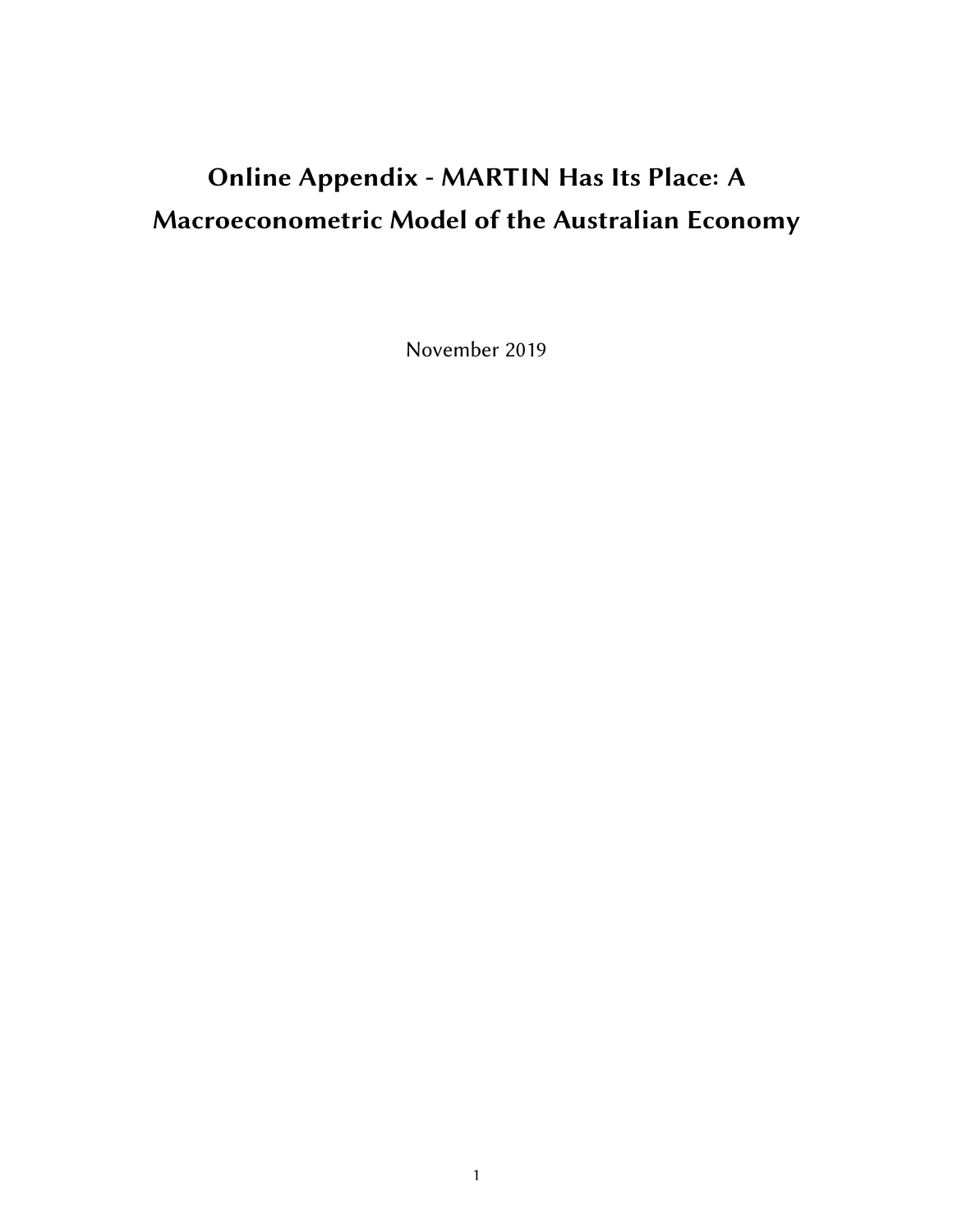# Online Appendix - MARTIN Has Its Place: A Macroeconometric Model of the Australian Economy

November 2019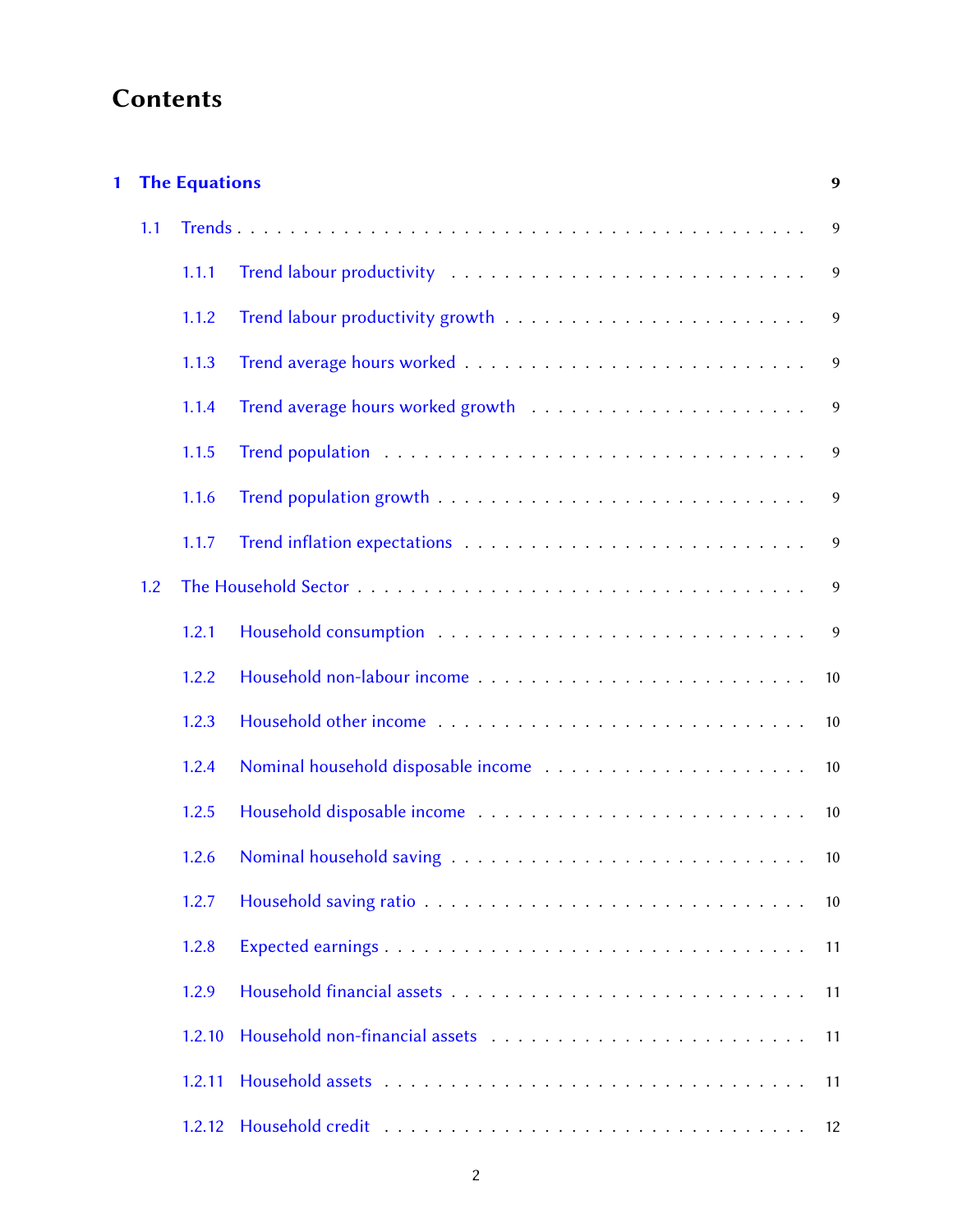# **Contents**

| 1 |     | <b>The Equations</b> |  |                |  |  |  |
|---|-----|----------------------|--|----------------|--|--|--|
|   | 1.1 |                      |  | 9              |  |  |  |
|   |     | 1.1.1                |  | 9              |  |  |  |
|   |     | 1.1.2                |  | 9              |  |  |  |
|   |     | 1.1.3                |  | 9              |  |  |  |
|   |     | 1.1.4                |  | $\overline{9}$ |  |  |  |
|   |     | 1.1.5                |  | 9              |  |  |  |
|   |     | 1.1.6                |  | 9              |  |  |  |
|   |     | 1.1.7                |  | 9              |  |  |  |
|   | 1.2 |                      |  | 9              |  |  |  |
|   |     | 1.2.1                |  | 9              |  |  |  |
|   |     | 1.2.2                |  | 10             |  |  |  |
|   |     | 1.2.3                |  | 10             |  |  |  |
|   |     | 1.2.4                |  | 10             |  |  |  |
|   |     | 1.2.5                |  | 10             |  |  |  |
|   |     | 1.2.6                |  | 10             |  |  |  |
|   |     | 1.2.7                |  | 10             |  |  |  |
|   |     | 1.2.8                |  | 11             |  |  |  |
|   |     | 1.2.9                |  | 11             |  |  |  |
|   |     | 1.2.10               |  | 11             |  |  |  |
|   |     | 1.2.11               |  | 11             |  |  |  |
|   |     | 1.2.12               |  | 12             |  |  |  |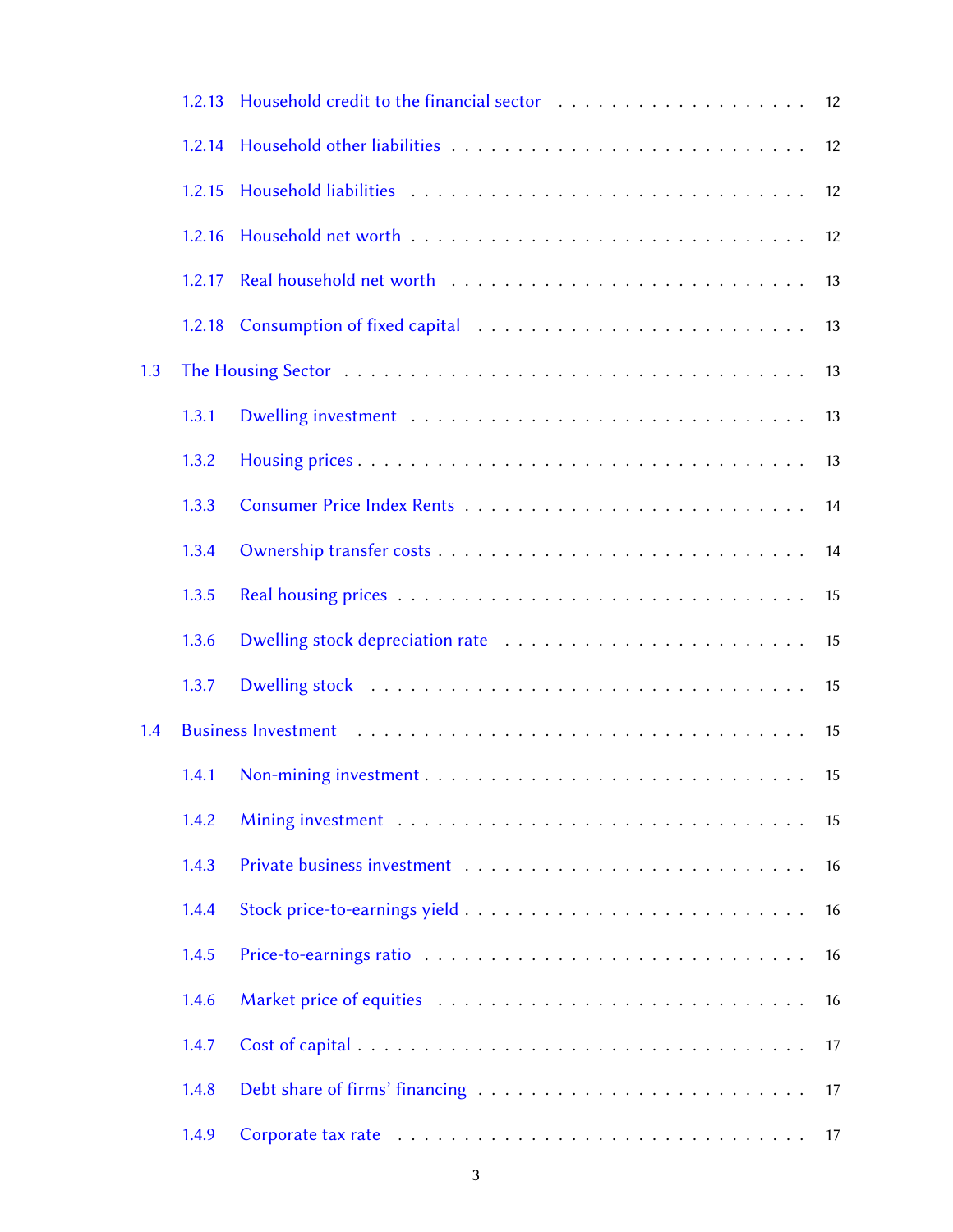|     | 1.2.13 |  |    |
|-----|--------|--|----|
|     | 1.2.14 |  |    |
|     | 1.2.15 |  | 12 |
|     | 1.2.16 |  | 12 |
|     | 1.2.17 |  | 13 |
|     | 1.2.18 |  | 13 |
| 1.3 |        |  | 13 |
|     | 1.3.1  |  | 13 |
|     | 1.3.2  |  | 13 |
|     | 1.3.3  |  | 14 |
|     | 1.3.4  |  | 14 |
|     | 1.3.5  |  | 15 |
|     | 1.3.6  |  | 15 |
|     | 1.3.7  |  | 15 |
| 1.4 |        |  | 15 |
|     | 1.4.1  |  | 15 |
|     | 1.4.2  |  | 15 |
|     | 1.4.3  |  | 16 |
|     | 1.4.4  |  | 16 |
|     | 1.4.5  |  | 16 |
|     | 1.4.6  |  | 16 |
|     | 1.4.7  |  | 17 |
|     | 1.4.8  |  | 17 |
|     | 1.4.9  |  | 17 |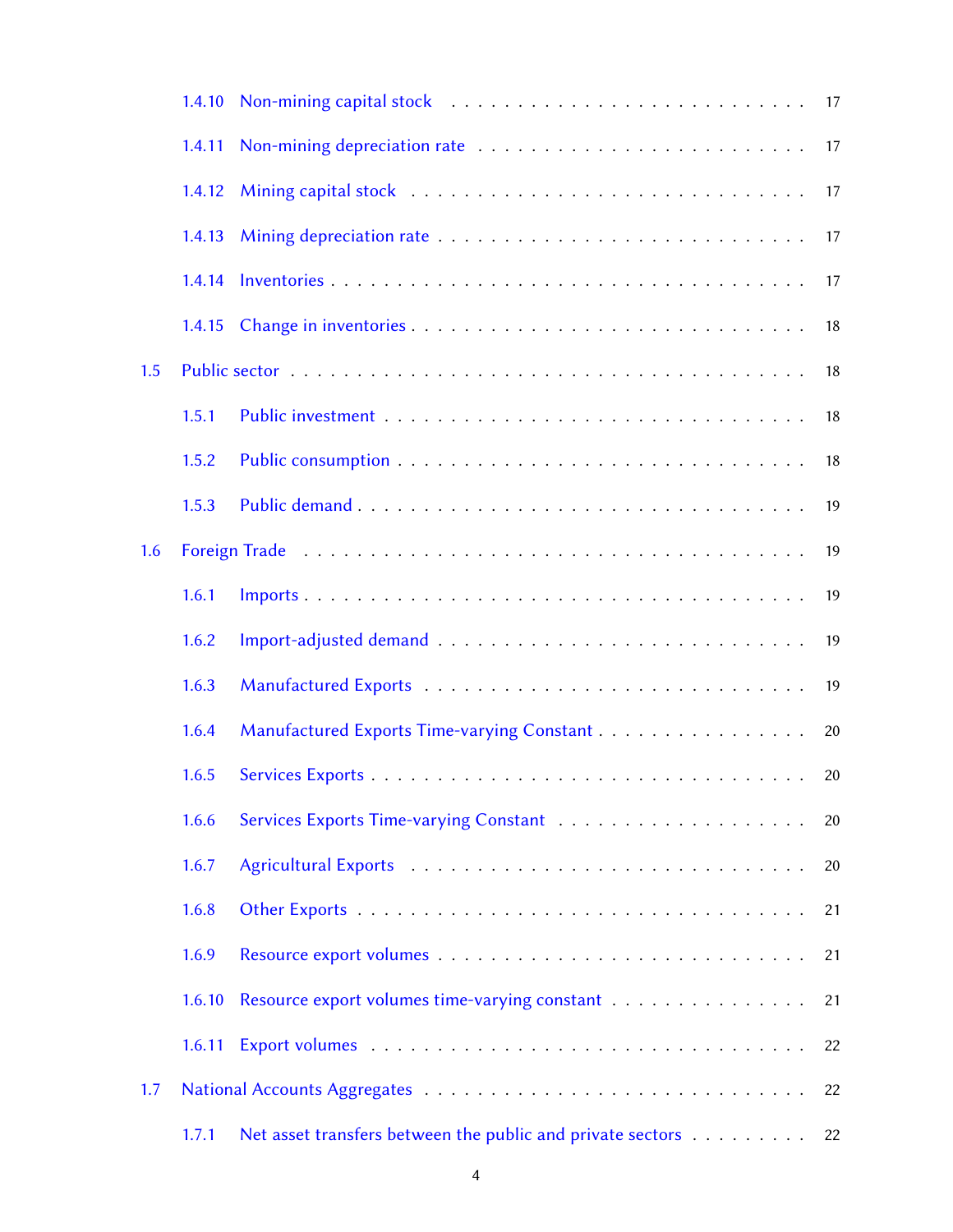|     | 1.4.10 |                                                            |    |
|-----|--------|------------------------------------------------------------|----|
|     | 1.4.11 |                                                            | 17 |
|     | 1.4.12 |                                                            | 17 |
|     | 1.4.13 |                                                            | 17 |
|     | 1.4.14 |                                                            | 17 |
|     | 1.4.15 |                                                            | 18 |
| 1.5 |        |                                                            | 18 |
|     | 1.5.1  |                                                            | 18 |
|     | 1.5.2  |                                                            | 18 |
|     | 1.5.3  |                                                            | 19 |
| 1.6 |        |                                                            | 19 |
|     | 1.6.1  |                                                            | 19 |
|     | 1.6.2  |                                                            | 19 |
|     | 1.6.3  |                                                            | 19 |
|     | 1.6.4  | Manufactured Exports Time-varying Constant                 | 20 |
|     | 1.6.5  |                                                            | 20 |
|     | 1.6.6  |                                                            | 20 |
|     | 1.6.7  |                                                            | 20 |
|     | 1.6.8  |                                                            | 21 |
|     | 1.6.9  |                                                            | 21 |
|     | 1.6.10 | Resource export volumes time-varying constant              | 21 |
|     | 1.6.11 |                                                            | 22 |
| 1.7 |        |                                                            | 22 |
|     | 1.7.1  | Net asset transfers between the public and private sectors | 22 |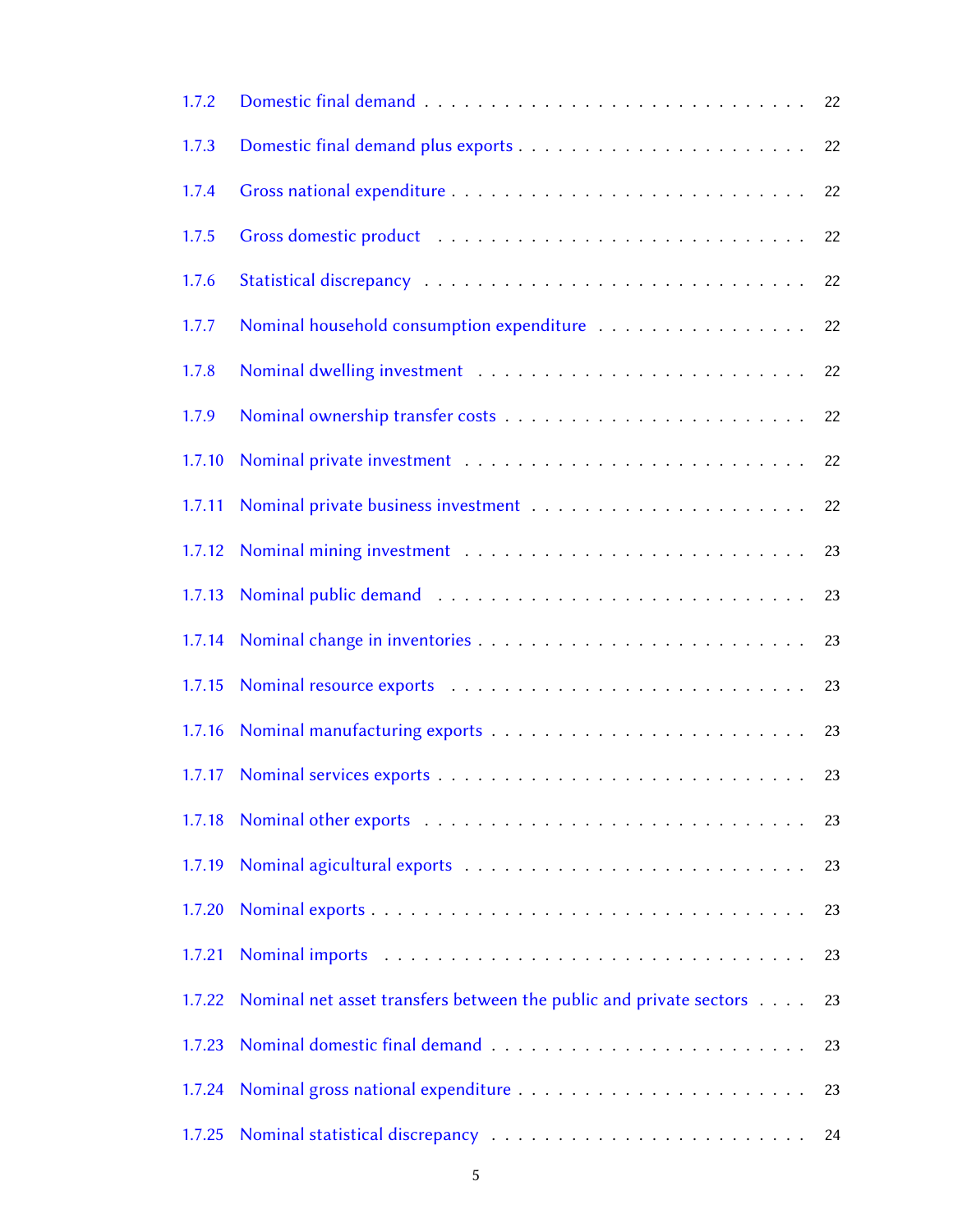| 1.7.2  |                                                                    | 22 |
|--------|--------------------------------------------------------------------|----|
| 1.7.3  |                                                                    | 22 |
| 1.7.4  |                                                                    | 22 |
| 1.7.5  |                                                                    | 22 |
| 1.7.6  |                                                                    | 22 |
| 1.7.7  | Nominal household consumption expenditure                          | 22 |
| 1.7.8  |                                                                    | 22 |
| 1.7.9  |                                                                    | 22 |
| 1.7.10 |                                                                    | 22 |
| 1.7.11 |                                                                    | 22 |
| 1.7.12 |                                                                    | 23 |
| 1.7.13 |                                                                    | 23 |
| 1.7.14 |                                                                    | 23 |
| 1.7.15 |                                                                    | 23 |
| 1.7.16 |                                                                    | 23 |
| 1.7.17 |                                                                    |    |
| 1.7.18 |                                                                    | 23 |
| 1.7.19 |                                                                    | 23 |
| 1.7.20 |                                                                    | 23 |
| 1.7.21 |                                                                    | 23 |
| 1.7.22 | Nominal net asset transfers between the public and private sectors | 23 |
| 1.7.23 |                                                                    | 23 |
| 1.7.24 |                                                                    | 23 |
| 1.7.25 |                                                                    | 24 |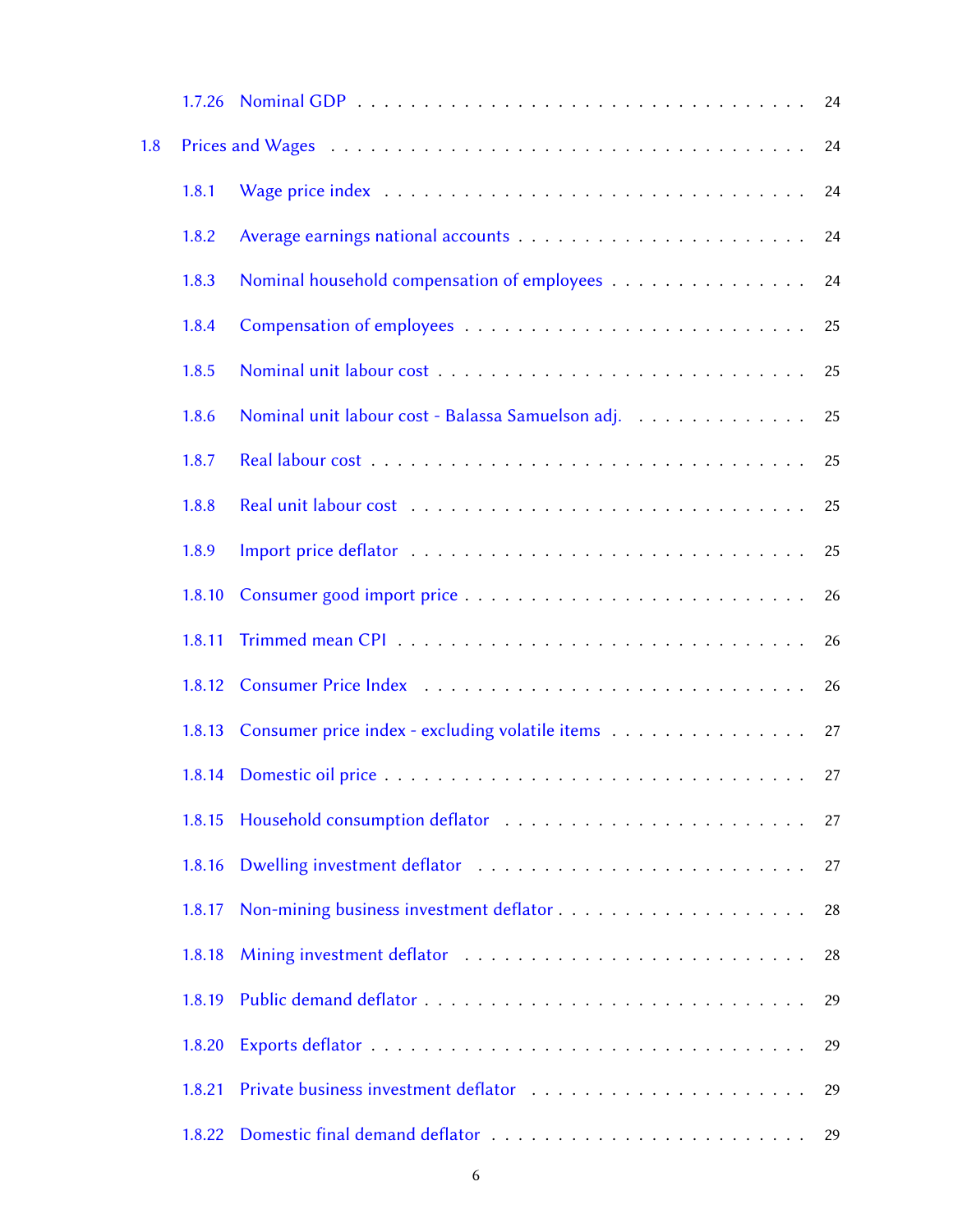|     | 1.7.26 |                                                   | 24 |
|-----|--------|---------------------------------------------------|----|
| 1.8 |        |                                                   | 24 |
|     | 1.8.1  |                                                   | 24 |
|     | 1.8.2  |                                                   | 24 |
|     | 1.8.3  | Nominal household compensation of employees       | 24 |
|     | 1.8.4  |                                                   | 25 |
|     | 1.8.5  |                                                   | 25 |
|     | 1.8.6  | Nominal unit labour cost - Balassa Samuelson adj. | 25 |
|     | 1.8.7  |                                                   | 25 |
|     | 1.8.8  |                                                   | 25 |
|     | 1.8.9  |                                                   | 25 |
|     | 1.8.10 |                                                   | 26 |
|     | 1.8.11 |                                                   | 26 |
|     | 1.8.12 |                                                   | 26 |
|     | 1.8.13 | Consumer price index - excluding volatile items   | 27 |
|     | 1.8.14 |                                                   | 27 |
|     | 1.8.15 |                                                   | 27 |
|     | 1.8.16 |                                                   | 27 |
|     | 1.8.17 |                                                   | 28 |
|     | 1.8.18 |                                                   | 28 |
|     | 1.8.19 |                                                   | 29 |
|     | 1.8.20 |                                                   | 29 |
|     | 1.8.21 |                                                   | 29 |
|     | 1.8.22 |                                                   | 29 |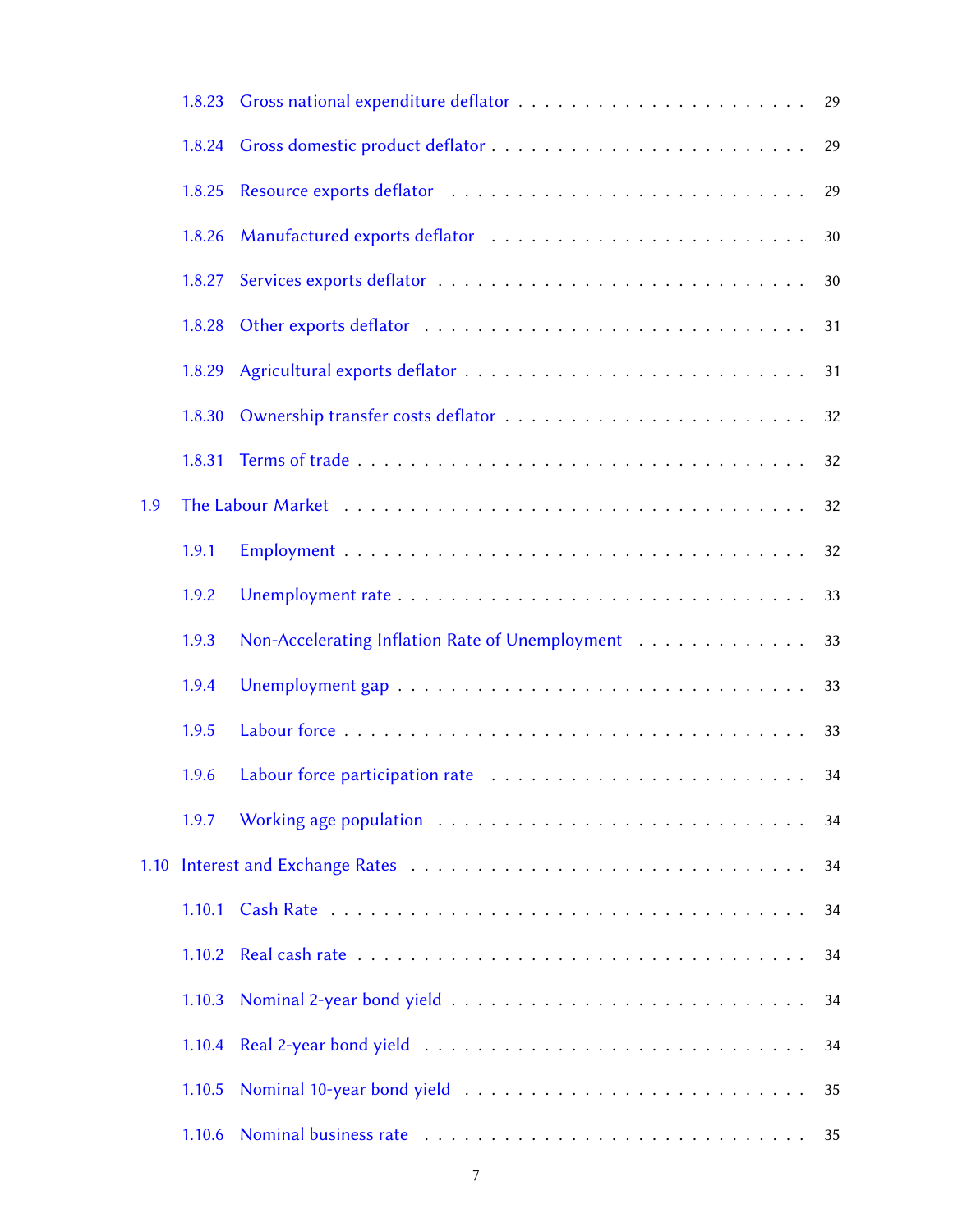|     | 1.8.23 |                                                 | 29 |
|-----|--------|-------------------------------------------------|----|
|     | 1.8.24 |                                                 | 29 |
|     | 1.8.25 |                                                 | 29 |
|     | 1.8.26 |                                                 | 30 |
|     | 1.8.27 |                                                 | 30 |
|     | 1.8.28 |                                                 | 31 |
|     | 1.8.29 |                                                 | 31 |
|     | 1.8.30 |                                                 | 32 |
|     | 1.8.31 |                                                 | 32 |
| 1.9 |        |                                                 | 32 |
|     | 1.9.1  |                                                 | 32 |
|     | 1.9.2  |                                                 | 33 |
|     | 1.9.3  | Non-Accelerating Inflation Rate of Unemployment | 33 |
|     | 1.9.4  |                                                 | 33 |
|     | 1.9.5  |                                                 | 33 |
|     | 1.9.6  |                                                 | 34 |
|     | 1.9.7  |                                                 | 34 |
|     |        |                                                 | 34 |
|     |        |                                                 | 34 |
|     |        |                                                 | 34 |
|     | 1.10.3 |                                                 | 34 |
|     | 1.10.4 |                                                 | 34 |
|     | 1.10.5 |                                                 | 35 |
|     | 1.10.6 |                                                 | 35 |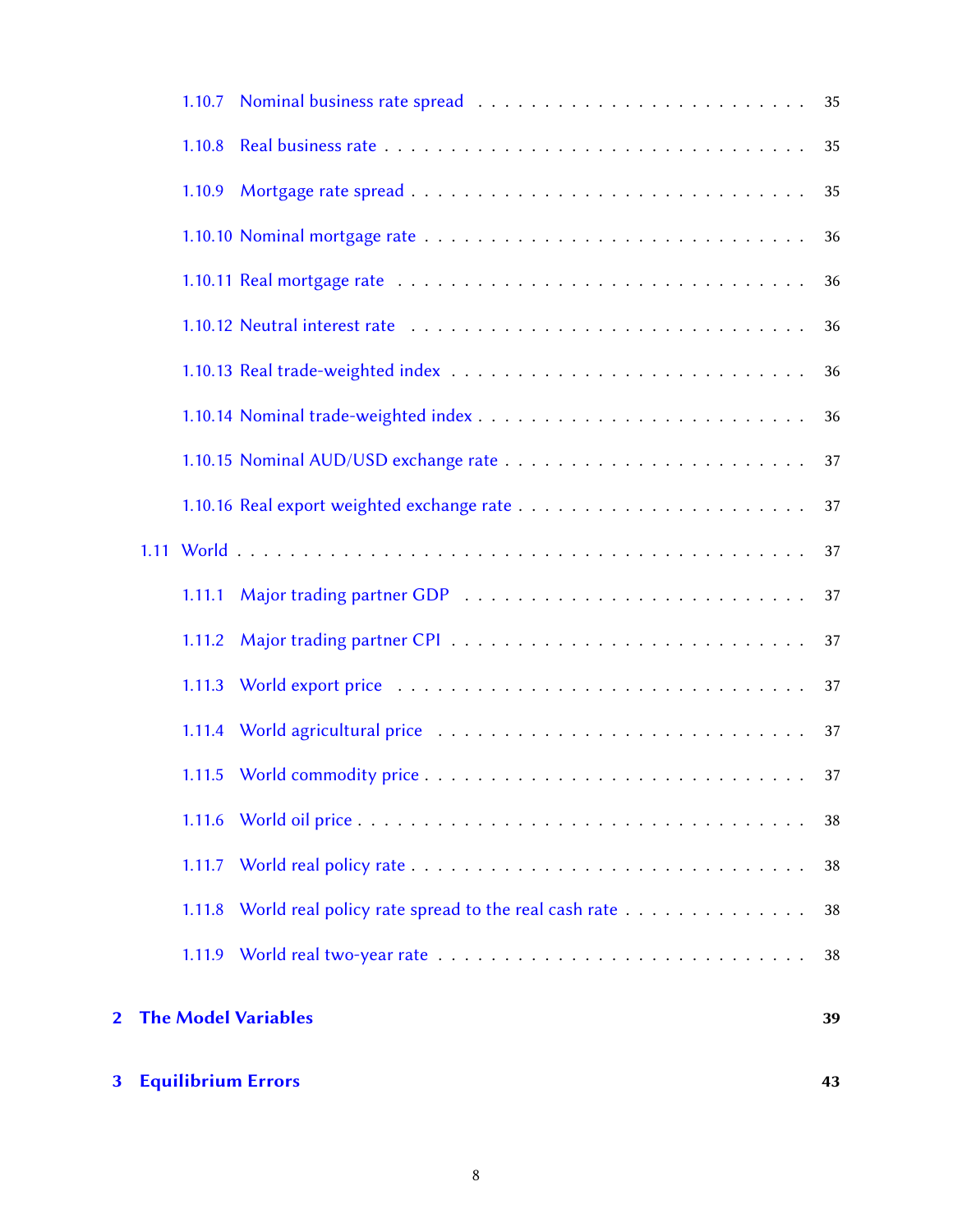| 3 <sup>1</sup> |        | <b>Equilibrium Errors</b>                           | 43 |
|----------------|--------|-----------------------------------------------------|----|
| $\overline{2}$ |        | <b>The Model Variables</b>                          | 39 |
|                |        |                                                     | 38 |
|                | 1.11.8 | World real policy rate spread to the real cash rate | 38 |
|                |        |                                                     | 38 |
|                |        |                                                     | 38 |
|                |        |                                                     |    |
|                |        |                                                     | 37 |
|                |        |                                                     | 37 |
|                | 1.11.2 |                                                     | 37 |
|                |        |                                                     | 37 |
|                |        |                                                     | 37 |
|                |        |                                                     | 37 |
|                |        |                                                     | 37 |
|                |        |                                                     | 36 |
|                |        |                                                     | 36 |
|                |        |                                                     | 36 |
|                |        |                                                     | 36 |
|                |        |                                                     | 36 |
|                | 1.10.9 |                                                     | 35 |
|                |        |                                                     | 35 |
|                |        |                                                     |    |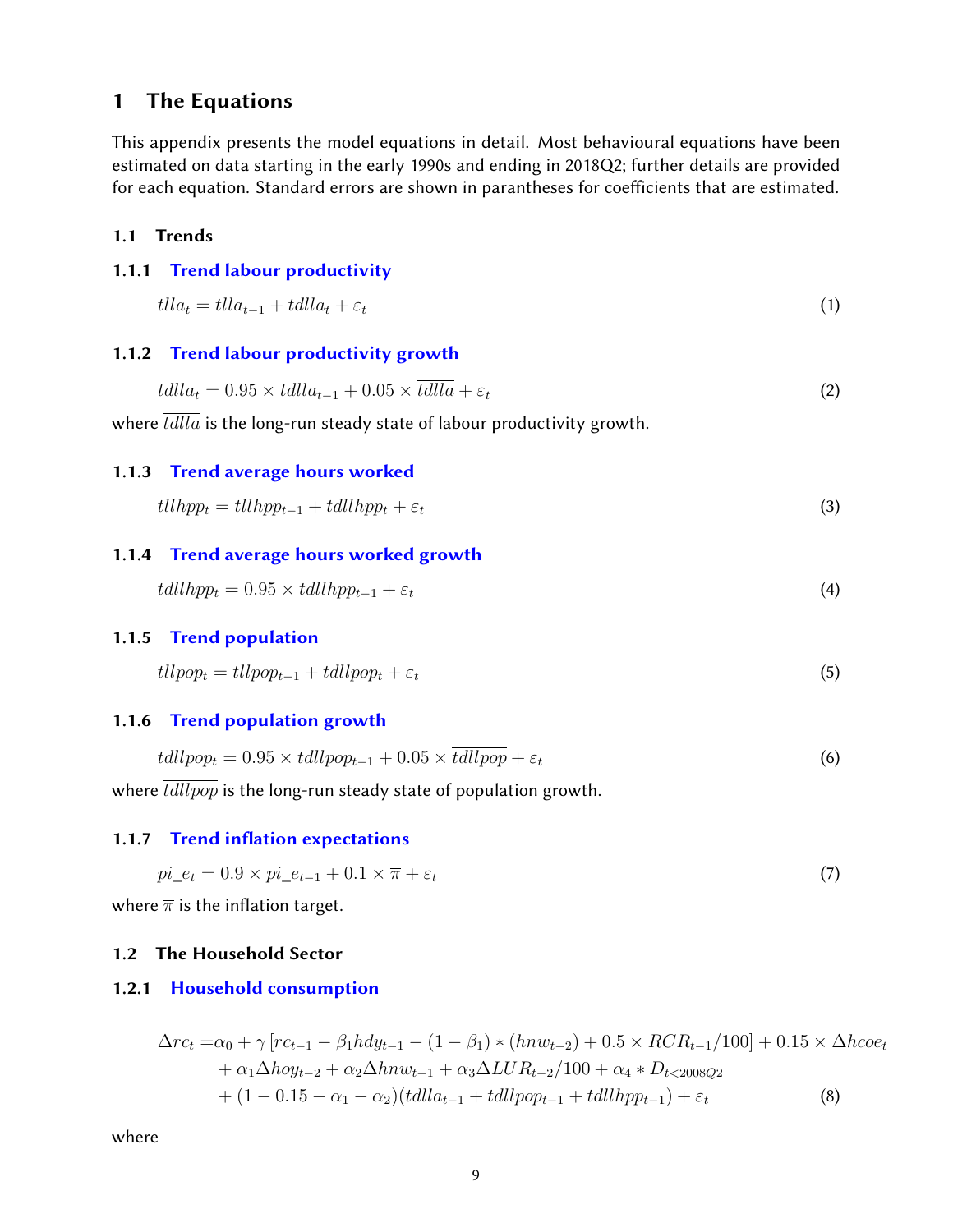# <span id="page-8-0"></span>1 The Equations

This appendix presents the model equations in detail. Most behavioural equations have been estimated on data starting in the early 1990s and ending in 2018Q2; further details are provided for each equation. Standard errors are shown in parantheses for coefficients that are estimated.

#### <span id="page-8-1"></span>1.1 Trends

#### <span id="page-8-2"></span>1.1.1 [Trend labour productivity](#page-38-0)

$$
tlla_t = tlla_{t-1} + tdlla_t + \varepsilon_t \tag{1}
$$

#### <span id="page-8-3"></span>1.1.2 [Trend labour productivity growth](#page-38-0)

$$
tdlla_t = 0.95 \times tdlla_{t-1} + 0.05 \times \overline{tdlla} + \varepsilon_t \tag{2}
$$

<span id="page-8-4"></span>where  $tdlla$  is the long-run steady state of labour productivity growth.

#### 1.1.3 [Trend average hours worked](#page-38-0)

$$
tllhpp_t = tllhpp_{t-1} + tdllhp_p_t + \varepsilon_t
$$
\n(3)

#### <span id="page-8-5"></span>1.1.4 [Trend average hours worked growth](#page-38-0)

$$
tdllhp_{t} = 0.95 \times tdllhp_{t-1} + \varepsilon_{t}
$$
\n
$$
\tag{4}
$$

#### <span id="page-8-6"></span>1.1.5 [Trend population](#page-38-0)

$$
tllpop_t = tllpop_{t-1} + tdllpop_t + \varepsilon_t \tag{5}
$$

#### <span id="page-8-7"></span>1.1.6 [Trend population growth](#page-38-0)

$$
tdllpop_t = 0.95 \times tdllpop_{t-1} + 0.05 \times \overline{tdllpop} + \varepsilon_t \tag{6}
$$

<span id="page-8-8"></span>where  $\overline{tdllpop}$  is the long-run steady state of population growth.

#### 1.1.7 Trend inflation expectations

$$
pi_{-}e_{t} = 0.9 \times pi_{-}e_{t-1} + 0.1 \times \overline{\pi} + \varepsilon_{t}
$$
\n
$$
\tag{7}
$$

<span id="page-8-9"></span>where  $\overline{\pi}$  is the inflation target.

#### 1.2 The Household Sector

#### <span id="page-8-10"></span>1.2.1 [Household consumption](#page-38-0)

$$
\Delta rc_t = \alpha_0 + \gamma [rc_{t-1} - \beta_1 h dy_{t-1} - (1 - \beta_1) * (h n w_{t-2}) + 0.5 \times RCR_{t-1}/100] + 0.15 \times \Delta h coe_t \n+ \alpha_1 \Delta h o y_{t-2} + \alpha_2 \Delta h n w_{t-1} + \alpha_3 \Delta L U R_{t-2}/100 + \alpha_4 * D_{t<2008Q2} \n+ (1 - 0.15 - \alpha_1 - \alpha_2) (t d l l a_{t-1} + t d l l pop_{t-1} + t d l l l pop_{t-1}) + \varepsilon_t
$$
\n(8)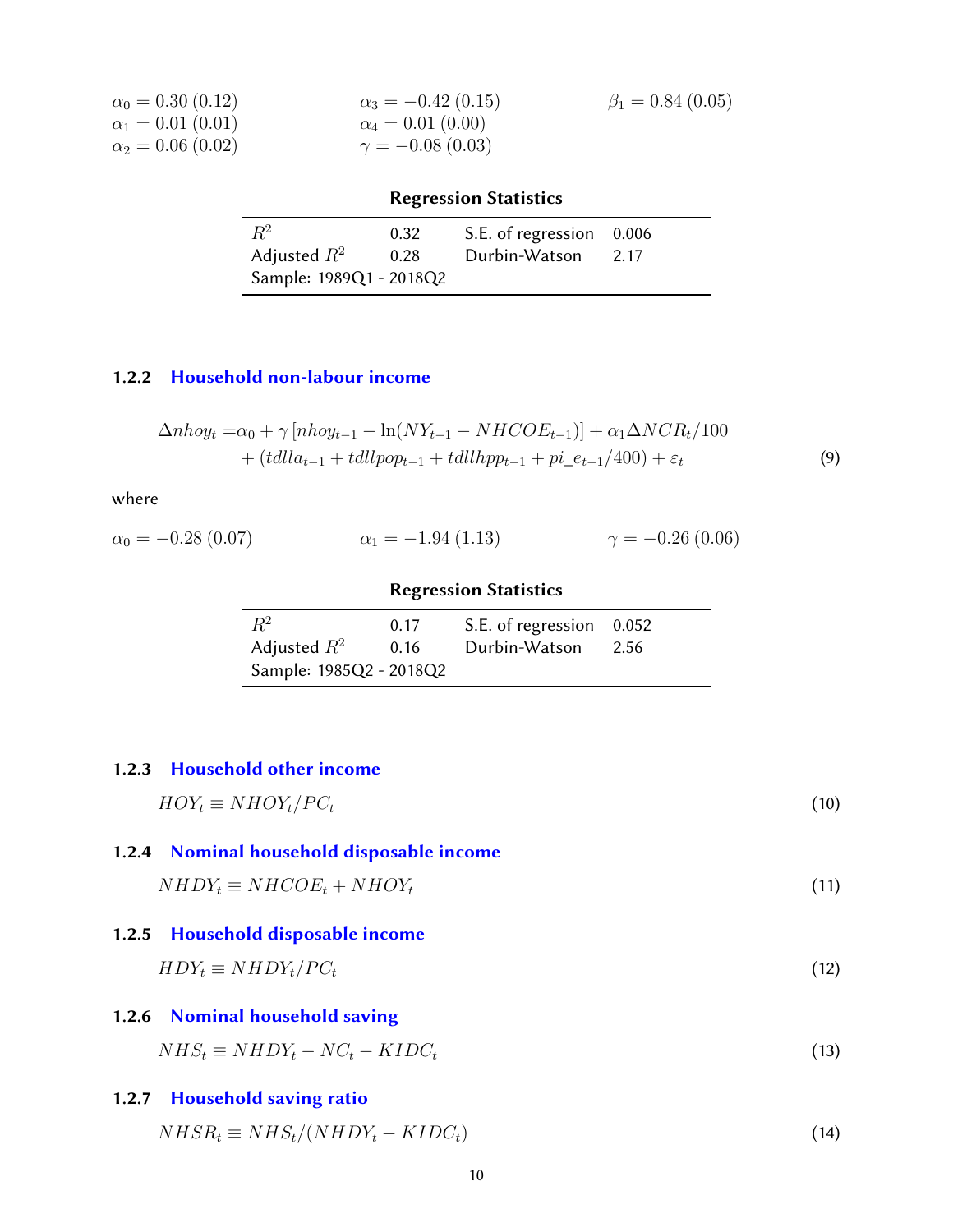| $\alpha_0 = 0.30$ (0.12) | $\alpha_3 = -0.42$ (0.15) | $\beta_1 = 0.84$ (0.05) |
|--------------------------|---------------------------|-------------------------|
| $\alpha_1 = 0.01(0.01)$  | $\alpha_4 = 0.01(0.00)$   |                         |
| $\alpha_2 = 0.06(0.02)$  | $\gamma = -0.08(0.03)$    |                         |

|                         |      | <b>Regression Statistics</b> |      |
|-------------------------|------|------------------------------|------|
| $R^2$                   | 0.32 | S.E. of regression 0.006     |      |
| Adjusted $R^2$          | 0.28 | Durbin-Watson                | 2.17 |
| Sample: 1989Q1 - 2018Q2 |      |                              |      |

# <span id="page-9-0"></span>1.2.2 [Household non-labour income](#page-38-0)

$$
\Delta n \text{ \ } n \text{ \ } \text{or} \ \nabla n \text{ \ } \text{or} \ \nabla n \text{ \ } \text{or} \ \nabla n \text{ \ } \text{or} \ \nabla n \text{ \ } \text{or} \ \nabla n \text{ \ } \text{or} \ \nabla n \text{ \ } \text{or} \ \nabla n \text{ \ } \text{or} \ \nabla n \text{ \ } \text{or} \ \nabla n \text{ \ } \text{or} \ \nabla n \text{ \ } \text{or} \ \nabla n \text{ \ } \text{or} \ \nabla n \text{ \ } \text{or} \ \nabla n \text{ \ } \text{or} \ \nabla n \text{ \ } \text{or} \ \nabla n \text{ \ } \text{or} \ \nabla n \text{ \ } \text{or} \ \nabla n \text{ \ } \text{or} \ \nabla n \text{ \ } \text{or} \ \nabla n \text{ \ } \text{or} \ \nabla n \text{ \ } \text{or} \ \nabla n \text{ \ } \text{or} \ \nabla n \text{ \ } \text{or} \ \nabla n \text{ \ } \text{or} \ \nabla n \text{ \ } \text{or} \ \nabla n \text{ \ } \text{or} \ \nabla n \text{ \ } \text{or} \ \nabla n \text{ \ } \text{or} \ \nabla n \text{ \ } \text{or} \ \nabla n \text{ \ } \text{or} \ \nabla n \text{ \ } \text{or} \ \nabla n \text{ \ } \text{or} \ \nabla n \text{ \ } \text{or} \ \nabla n \text{ \ } \text{or} \ \nabla n \text{ \ } \text{or} \ \nabla n \text{ \ } \text{or} \ \nabla n \text{ \ } \text{or} \ \nabla n \text{ \ } \text{or} \ \nabla n \text{ \ } \text{or} \ \nabla n \text{ \ } \text{or} \ \nabla n \text{ \ } \text{or} \ \nabla n \text{ \ } \text{or} \ \nabla n \text{ \ } \text{or} \ \nabla n \text{ \ } \text{or} \ \nabla n \text{ \ } \text{or} \ \nabla n \text{ \ } \text{or} \ \nabla n \text{ \ } \text{or} \ \nabla
$$

where

$$
\alpha_0 = -0.28 \ (0.07) \qquad \alpha_1 = -1.94 \ (1.13) \qquad \gamma = -0.26 \ (0.06)
$$

# Regression Statistics

| $R^2$                   | 0.17 | S.E. of regression 0.052 |      |
|-------------------------|------|--------------------------|------|
| Adjusted $R^2$          | 0.16 | Durbin-Watson            | 2.56 |
| Sample: 1985Q2 - 2018Q2 |      |                          |      |

# <span id="page-9-1"></span>1.2.3 [Household other income](#page-38-0)

<span id="page-9-6"></span><span id="page-9-5"></span><span id="page-9-4"></span><span id="page-9-3"></span><span id="page-9-2"></span>

| $HOY_t \equiv NHOY_t/PC_t$                                                    | (10) |
|-------------------------------------------------------------------------------|------|
| 1.2.4 Nominal household disposable income<br>$NHDY_t \equiv NHCOE_t + NHOY_t$ | (11) |
| 1.2.5 Household disposable income<br>$HDY_t \equiv NHDY_t/PC_t$               | (12) |
| 1.2.6 Nominal household saving<br>$NHS_t \equiv NHDY_t - NC_t - KIDC_t$       | (13) |
| 1.2.7 Household saving ratio<br>$NHSR_t \equiv NHS_t/(NHDY_t - KIDC_t)$       | (14) |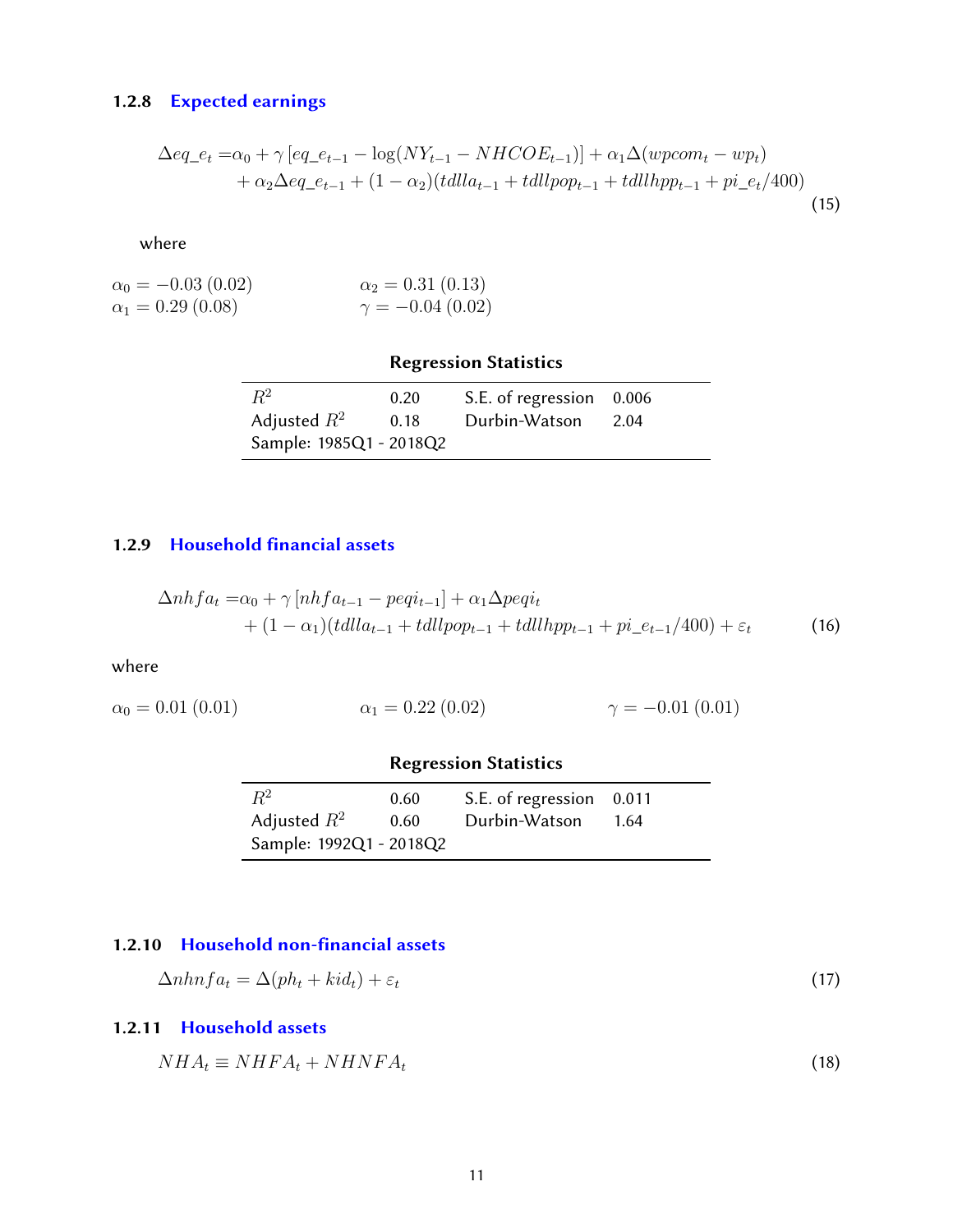# 1.2.8 [Expected earnings](#page-38-0)

$$
\Delta eq_{-}e_{t} = \alpha_{0} + \gamma \left[ eq_{-}e_{t-1} - \log(NY_{t-1} - NHCOE_{t-1}) \right] + \alpha_{1}\Delta (wpcom_{t} - wp_{t}) + \alpha_{2}\Delta eq_{-}e_{t-1} + (1 - \alpha_{2})(tdlla_{t-1} + tdllpop_{t-1} + tdllapp_{t-1} + pi_{-}e_{t}/400)
$$
\n(15)

where

$$
\alpha_0 = -0.03 \ (0.02) \n\alpha_1 = 0.29 \ (0.08) \n\gamma = -0.04 \ (0.02)
$$

|                         |              | <b>Regression Statistics</b>              |      |
|-------------------------|--------------|-------------------------------------------|------|
| $R^2$<br>Adjusted $R^2$ | 0.20<br>0.18 | S.E. of regression 0.006<br>Durbin-Watson | 2.04 |
| Sample: 1985Q1 - 2018Q2 |              |                                           |      |

-

### <span id="page-10-0"></span>1.2.9 Household financial assets

$$
\Delta nhfa_t = \alpha_0 + \gamma \left[ nhfa_{t-1} - peqi_{t-1} \right] + \alpha_1 \Delta peqi_t + (1 - \alpha_1)(tdlla_{t-1} + tdllpop_{t-1} + tdllapp_{t-1} + pi_e_{t-1}/400) + \varepsilon_t
$$
\n(16)

where

$$
\alpha_0 = 0.01 \ (0.01) \qquad \alpha_1 = 0.22 \ (0.02) \qquad \gamma = -0.01 \ (0.01)
$$

# Regression Statistics

| $R^2$                   | 0.60 | S.E. of regression 0.011 |      |
|-------------------------|------|--------------------------|------|
| Adjusted $R^2$          | 0.60 | Durbin-Watson            | 1.64 |
| Sample: 1992Q1 - 2018Q2 |      |                          |      |

# <span id="page-10-1"></span>1.2.10 Household non-financial assets

$$
\Delta n h n f a_t = \Delta (p h_t + k i d_t) + \varepsilon_t \tag{17}
$$

# <span id="page-10-2"></span>1.2.11 [Household assets](#page-38-0)

<span id="page-10-3"></span>
$$
NHA_t \equiv NHFA_t + NHNFA_t \tag{18}
$$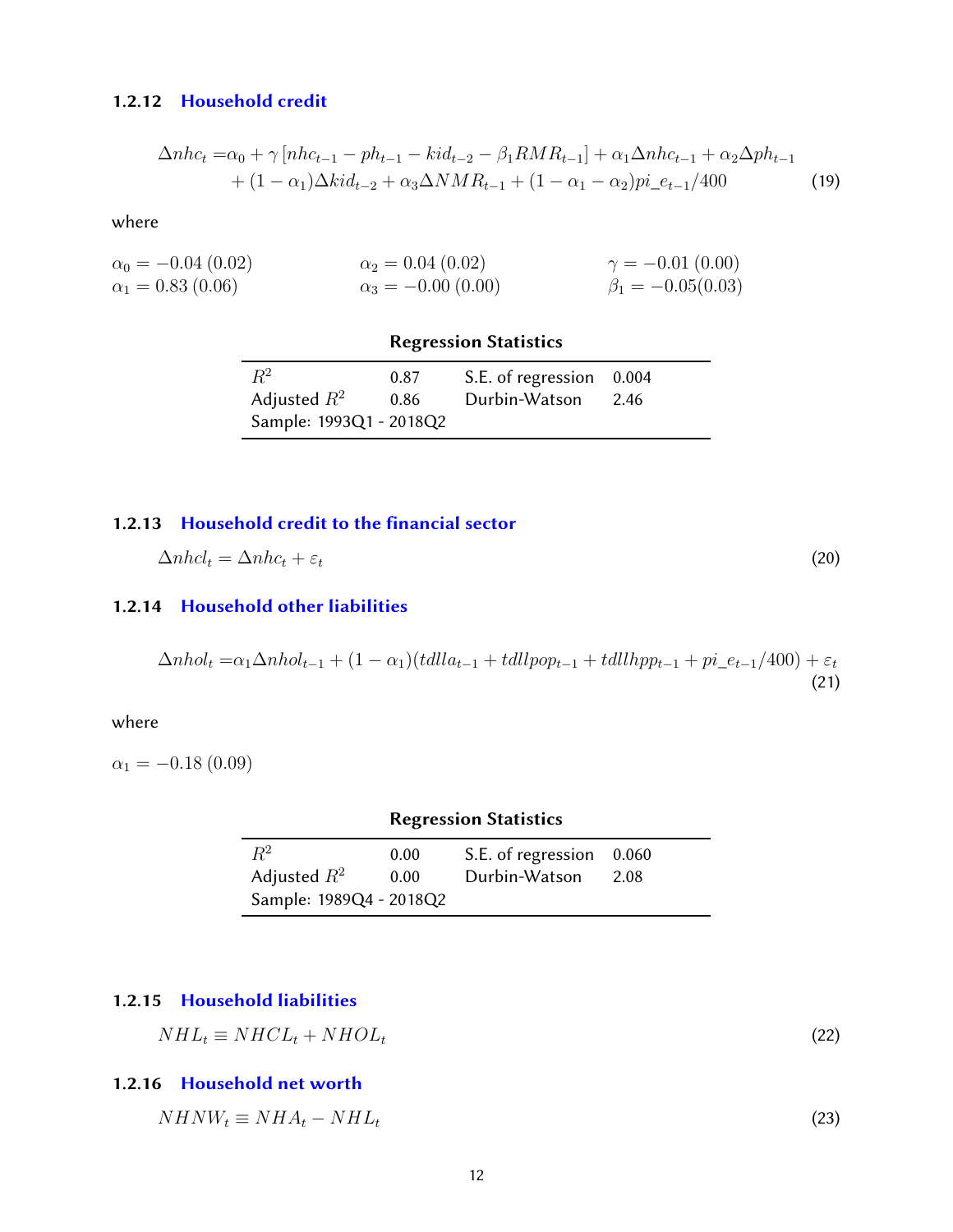#### 1.2.12 [Household credit](#page-38-0)

$$
\Delta n h c_t = \alpha_0 + \gamma [n h c_{t-1} - p h_{t-1} - k i d_{t-2} - \beta_1 R M R_{t-1}] + \alpha_1 \Delta n h c_{t-1} + \alpha_2 \Delta p h_{t-1} + (1 - \alpha_1) \Delta k i d_{t-2} + \alpha_3 \Delta N M R_{t-1} + (1 - \alpha_1 - \alpha_2) p i_e_{t-1} / 400
$$
\n(19)

where

| $\alpha_0 = -0.04$ (0.02) | $\alpha_2 = 0.04~(0.02)$ | $\gamma = -0.01(0.00)$  |
|---------------------------|--------------------------|-------------------------|
| $\alpha_1 = 0.83\ (0.06)$ | $\alpha_3 = -0.00(0.00)$ | $\beta_1 = -0.05(0.03)$ |

#### Regression Statistics

| $R^2$                   |      |                          |       |
|-------------------------|------|--------------------------|-------|
|                         | 0.87 | S.E. of regression 0.004 |       |
| Adjusted $R^2$          | 0.86 | Durbin-Watson            | -2.46 |
| Sample: 1993Q1 - 2018Q2 |      |                          |       |

#### <span id="page-11-0"></span>1.2.13 [Household credit to the](#page-38-0) financial sector

 $\Delta n h c_t = \Delta n h c_t + \varepsilon_t$  (20)

#### <span id="page-11-1"></span>1.2.14 [Household other liabilities](#page-38-0)

$$
\Delta nhol_t = \alpha_1 \Delta nhol_{t-1} + (1 - \alpha_1)(tdlla_{t-1} + tdllpop_{t-1} + tdllapp_{t-1} + pi_{t-t-1}/400) + \varepsilon_t
$$
\n(21)

where

 $\alpha_1 = -0.18$  (0.09)

# Regression Statistics 0.00 S.E. of regression 0.060

| $R^2$                   | 0.00 | S.E. of regression 0.060 |  |
|-------------------------|------|--------------------------|--|
| Adjusted $R^2$          | 0.00 | Durbin-Watson 2.08       |  |
| Sample: 1989Q4 - 2018Q2 |      |                          |  |

#### <span id="page-11-2"></span>1.2.15 [Household liabilities](#page-38-0)

$$
NHL_t \equiv NHCL_t + NHOL_t \tag{22}
$$

### <span id="page-11-3"></span>1.2.16 [Household net worth](#page-38-0)

<span id="page-11-4"></span> $NHNW_t \equiv NHA_t - NHL_t$  (23)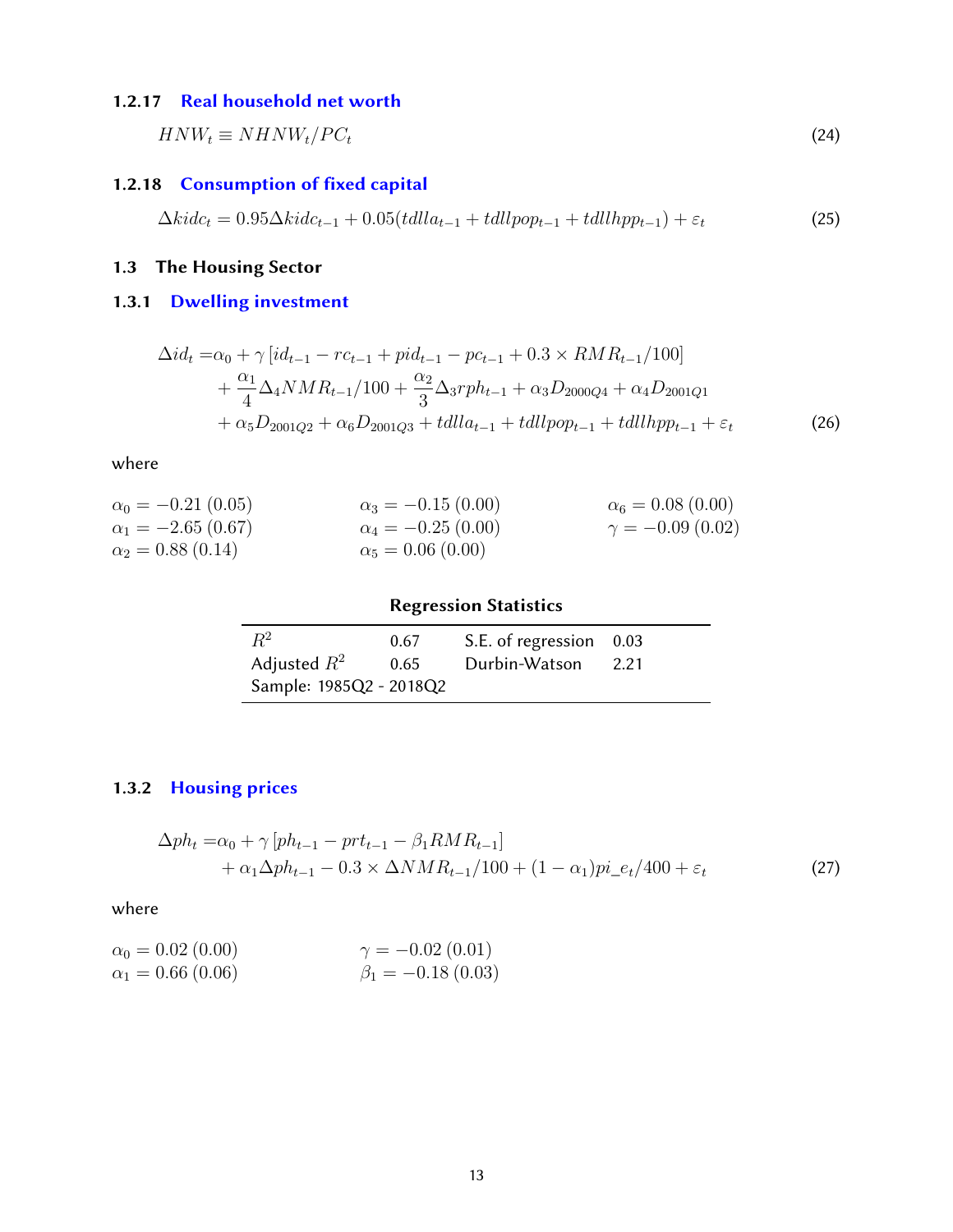#### 1.2.17 [Real household net worth](#page-38-0)

 $HNW_t \equiv NHNW_t/PC_t$  (24)

# <span id="page-12-0"></span>1.2.18 [Consumption of](#page-38-0) fixed capital

$$
\Delta kidc_t = 0.95 \Delta kidc_{t-1} + 0.05(tdlla_{t-1} + tallpop_{t-1} + tallhpp_{t-1}) + \varepsilon_t
$$
\n(25)

# <span id="page-12-1"></span>1.3 The Housing Sector

# <span id="page-12-2"></span>1.3.1 [Dwelling investment](#page-38-0)

$$
\Delta id_t = \alpha_0 + \gamma \left[ id_{t-1} - rc_{t-1} + pid_{t-1} - pc_{t-1} + 0.3 \times RMR_{t-1}/100 \right] + \frac{\alpha_1}{4} \Delta_4 NMR_{t-1}/100 + \frac{\alpha_2}{3} \Delta_3 rph_{t-1} + \alpha_3 D_{2000Q4} + \alpha_4 D_{2001Q1} + \alpha_5 D_{2001Q2} + \alpha_6 D_{2001Q3} + talla_{t-1} + tallpop_{t-1} + tallhpp_{t-1} + \varepsilon_t
$$
\n(26)

where

| $\alpha_0 = -0.21\,(0.05)$ | $\alpha_3 = -0.15(0.00)$  | $\alpha_6 = 0.08(0.00)$ |
|----------------------------|---------------------------|-------------------------|
| $\alpha_1 = -2.65(0.67)$   | $\alpha_4 = -0.25$ (0.00) | $\gamma = -0.09(0.02)$  |
| $\alpha_2 = 0.88(0.14)$    | $\alpha_5 = 0.06(0.00)$   |                         |

# Regression Statistics

| $R^2$                   | 0.67 | S.E. of regression 0.03 |      |
|-------------------------|------|-------------------------|------|
| Adjusted $R^2$          | 0.65 | Durbin-Watson           | 2.21 |
| Sample: 1985Q2 - 2018Q2 |      |                         |      |

# <span id="page-12-3"></span>1.3.2 [Housing prices](#page-38-0)

$$
\Delta ph_t = \alpha_0 + \gamma [ph_{t-1} - pr_{t-1} - \beta_1 RM R_{t-1}] + \alpha_1 \Delta ph_{t-1} - 0.3 \times \Delta N M R_{t-1}/100 + (1 - \alpha_1) pi_{e}t/400 + \varepsilon_t
$$
\n(27)

$$
\alpha_0 = 0.02 (0.00)
$$
  
\n
$$
\alpha_1 = 0.66 (0.06)
$$
  
\n
$$
\gamma = -0.02 (0.01)
$$
  
\n
$$
\beta_1 = -0.18 (0.03)
$$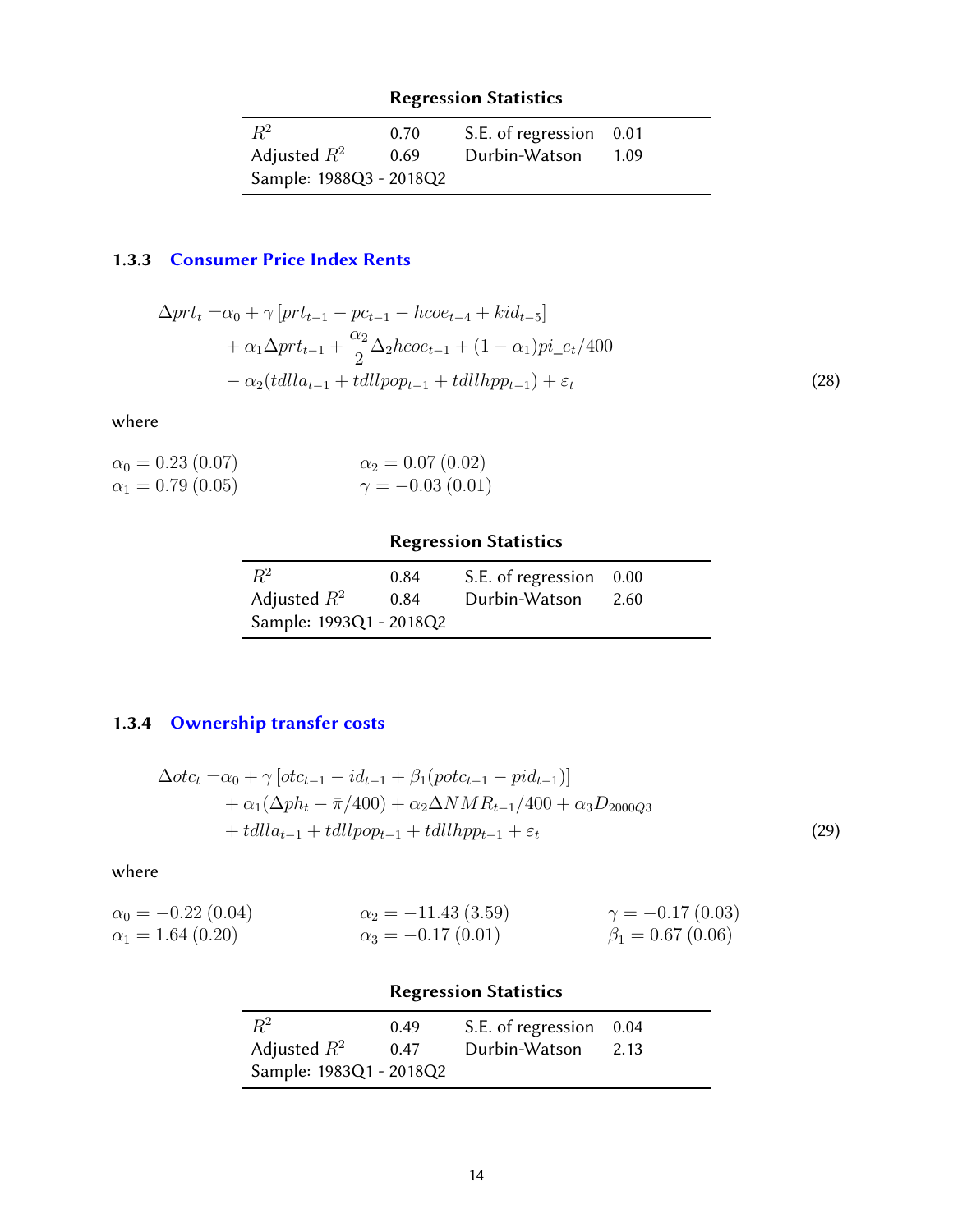| $R^2$                   | 0.70 | S.E. of regression 0.01 |      |
|-------------------------|------|-------------------------|------|
| Adjusted $R^2$          | 0.69 | Durbin-Watson           | 1.09 |
| Sample: 1988Q3 - 2018Q2 |      |                         |      |

# <span id="page-13-0"></span>1.3.3 [Consumer Price Index Rents](#page-38-0)

$$
\Delta prt_{t} = \alpha_{0} + \gamma \left[ prt_{t-1} - pc_{t-1} - h\cos_{t-4} + kid_{t-5} \right] \n+ \alpha_{1}\Delta prt_{t-1} + \frac{\alpha_{2}}{2}\Delta_{2}h\cos_{t-1} + (1 - \alpha_{1})pi_{-}e_{t}/400 \n- \alpha_{2}(tdlla_{t-1} + tallpop_{t-1} + tallhpp_{t-1}) + \varepsilon_{t}
$$
\n(28)

where

| $\alpha_0 = 0.23$ (0.07) | $\alpha_2 = 0.07(0.02)$ |
|--------------------------|-------------------------|
| $\alpha_1 = 0.79$ (0.05) | $\gamma = -0.03(0.01)$  |

# Regression Statistics

| $R^2$                   | 0.84 | S.E. of regression 0.00 |      |
|-------------------------|------|-------------------------|------|
| Adjusted $R^2$          | 0.84 | Durbin-Watson           | 2.60 |
| Sample: 1993Q1 - 2018Q2 |      |                         |      |

# <span id="page-13-1"></span>1.3.4 [Ownership transfer costs](#page-38-0)

$$
\Delta otc_t = \alpha_0 + \gamma \left[ otc_{t-1} - id_{t-1} + \beta_1 (pot c_{t-1} - pid_{t-1}) \right] + \alpha_1 (\Delta ph_t - \bar{\pi}/400) + \alpha_2 \Delta NMR_{t-1}/400 + \alpha_3 D_{2000Q3} + t dll a_{t-1} + t dll pop_{t-1} + t dll lpp_{t-1} + \varepsilon_t
$$
\n(29)

| $\alpha_0 = -0.22$ (0.04) | $\alpha_2 = -11.43(3.59)$ | $\gamma = -0.17(0.03)$ |
|---------------------------|---------------------------|------------------------|
| $\alpha_1 = 1.64\ (0.20)$ | $\alpha_3 = -0.17(0.01)$  | $\beta_1 = 0.67(0.06)$ |

<span id="page-13-2"></span>

| <b>Regression Statistics</b> |      |                         |      |
|------------------------------|------|-------------------------|------|
| $R^2$                        | 0.49 | S.E. of regression 0.04 |      |
| Adjusted $R^2$               | 0.47 | Durbin-Watson           | 2.13 |
| Sample: 1983Q1 - 2018Q2      |      |                         |      |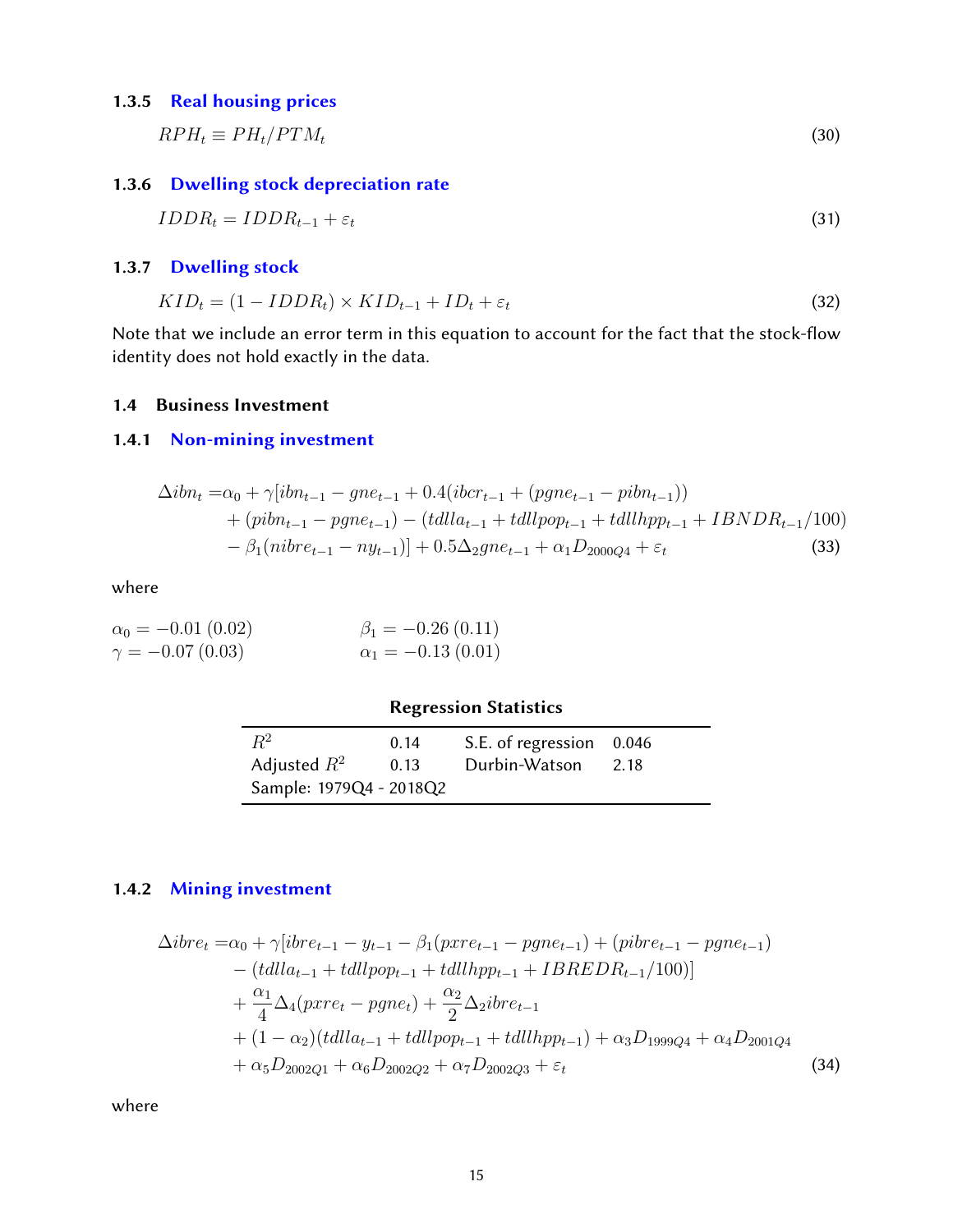#### 1.3.5 [Real housing prices](#page-38-0)

 $RPH_t \equiv PH_t/PTM_t$  (30)

### <span id="page-14-0"></span>1.3.6 [Dwelling stock depreciation rate](#page-38-0)

$$
IDDR_t = IDDR_{t-1} + \varepsilon_t \tag{31}
$$

#### <span id="page-14-1"></span>1.3.7 [Dwelling stock](#page-38-0)

$$
KID_t = (1 - IDDR_t) \times KID_{t-1} + ID_t + \varepsilon_t \tag{32}
$$

Note that we include an error term in this equation to account for the fact that the stock-flow identity does not hold exactly in the data.

#### <span id="page-14-2"></span>1.4 Business Investment

#### <span id="page-14-3"></span>1.4.1 [Non-mining investment](#page-38-0)

$$
\Delta ibn_t = \alpha_0 + \gamma [ibn_{t-1} - gne_{t-1} + 0.4(ibcr_{t-1} + (pgne_{t-1} - pibn_{t-1})) + (pibn_{t-1} - pgne_{t-1}) - (tdlla_{t-1} + tdllpop_{t-1} + tdllpp_{t-1} + IBNDR_{t-1}/100) - \beta_1 (nibre_{t-1} - ny_{t-1})] + 0.5\Delta_2 gne_{t-1} + \alpha_1 D_{2000Q4} + \varepsilon_t
$$
\n(33)

where

| $\alpha_0 = -0.01(0.02)$ | $\beta_1 = -0.26(0.11)$  |
|--------------------------|--------------------------|
| $\gamma = -0.07(0.03)$   | $\alpha_1 = -0.13(0.01)$ |

#### Regression Statistics

| $R^2$                   | 0.14 | S.E. of regression 0.046 |      |
|-------------------------|------|--------------------------|------|
| Adjusted $R^2$          | 0.13 | Durbin-Watson            | 2.18 |
| Sample: 1979Q4 - 2018Q2 |      |                          |      |

### <span id="page-14-4"></span>1.4.2 [Mining investment](#page-38-0)

$$
\Delta ibre_t = \alpha_0 + \gamma[ibre_{t-1} - y_{t-1} - \beta_1(pxre_{t-1} - pgne_{t-1}) + (pibre_{t-1} - pgne_{t-1})
$$
  
\n
$$
- (tdlla_{t-1} + tdllpop_{t-1} + tdllupp_{t-1} + IBREDR_{t-1}/100)]
$$
  
\n
$$
+ \frac{\alpha_1}{4} \Delta_4(pxre_t - pgne_t) + \frac{\alpha_2}{2} \Delta_2ibre_{t-1}
$$
  
\n
$$
+ (1 - \alpha_2)(tdlla_{t-1} + tdllpop_{t-1} + tdllipp_{t-1}) + \alpha_3D_{1999Q4} + \alpha_4D_{2001Q4}
$$
  
\n
$$
+ \alpha_5D_{2002Q1} + \alpha_6D_{2002Q2} + \alpha_7D_{2002Q3} + \varepsilon_t
$$
\n(34)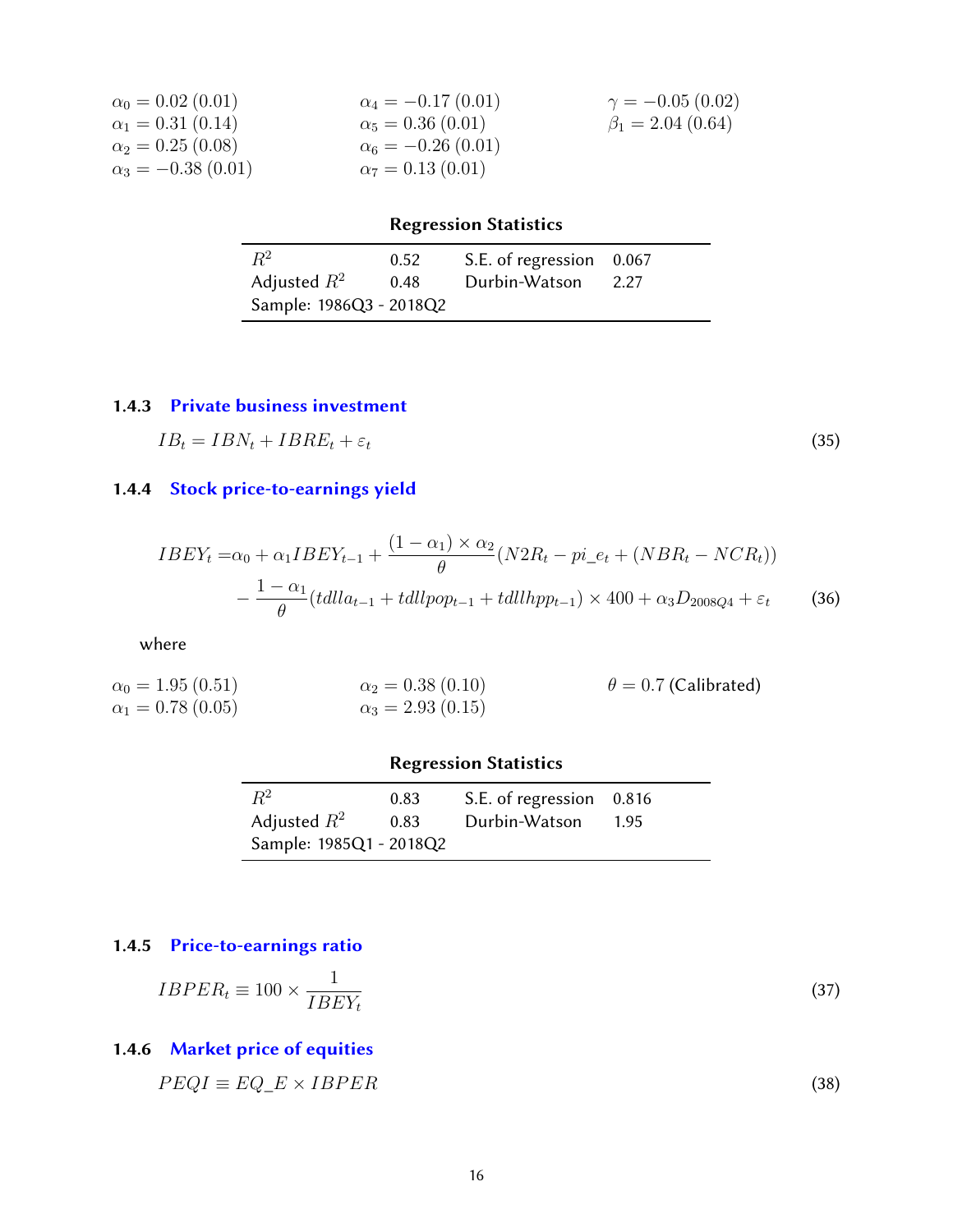| $\alpha_0 = 0.02$ (0.01) | $\alpha_4 = -0.17(0.01)$ | $\gamma = -0.05(0.02)$ |
|--------------------------|--------------------------|------------------------|
| $\alpha_1 = 0.31(0.14)$  | $\alpha_5 = 0.36(0.01)$  | $\beta_1 = 2.04(0.64)$ |
| $\alpha_2 = 0.25(0.08)$  | $\alpha_6 = -0.26(0.01)$ |                        |
| $\alpha_3 = -0.38(0.01)$ | $\alpha_7 = 0.13(0.01)$  |                        |

| $R^2$                   | 0.52 | S.E. of regression 0.067 |  |
|-------------------------|------|--------------------------|--|
| Adjusted $R^2$          | 0.48 | Durbin-Watson 2.27       |  |
| Sample: 1986Q3 - 2018Q2 |      |                          |  |

### <span id="page-15-0"></span>1.4.3 [Private business investment](#page-38-0)

$$
IB_t = IBN_t + IBRE_t + \varepsilon_t \tag{35}
$$

# <span id="page-15-1"></span>1.4.4 [Stock price-to-earnings yield](#page-38-0)

$$
IBEY_{t} = \alpha_{0} + \alpha_{1} IBEY_{t-1} + \frac{(1 - \alpha_{1}) \times \alpha_{2}}{\theta} (N2R_{t} - pi_{e}t + (NBR_{t} - NCR_{t})) - \frac{1 - \alpha_{1}}{\theta} (tdlla_{t-1} + tdllpop_{t-1} + tdllpp_{t-1}) \times 400 + \alpha_{3} D_{2008Q4} + \varepsilon_{t}
$$
(36)

where

 $\alpha_0 = 1.95 (0.51)$  $\alpha_1 = 0.78$  (0.05)  $\alpha_2 = 0.38(0.10)$  $\alpha_3 = 2.93(0.15)$  $\theta = 0.7$  (Calibrated)

# Regression Statistics

| $R^2$                   | 0.83 | S.E. of regression 0.816 |      |
|-------------------------|------|--------------------------|------|
| Adjusted $R^2$          | 0.83 | Durbin-Watson            | 1.95 |
| Sample: 1985Q1 - 2018Q2 |      |                          |      |

### <span id="page-15-2"></span>1.4.5 [Price-to-earnings ratio](#page-38-0)

$$
IBPER_t \equiv 100 \times \frac{1}{IBEY_t} \tag{37}
$$

# <span id="page-15-3"></span>1.4.6 [Market price of equities](#page-38-0)

<span id="page-15-4"></span>
$$
PEQI \equiv EQ\_E \times IBPER \tag{38}
$$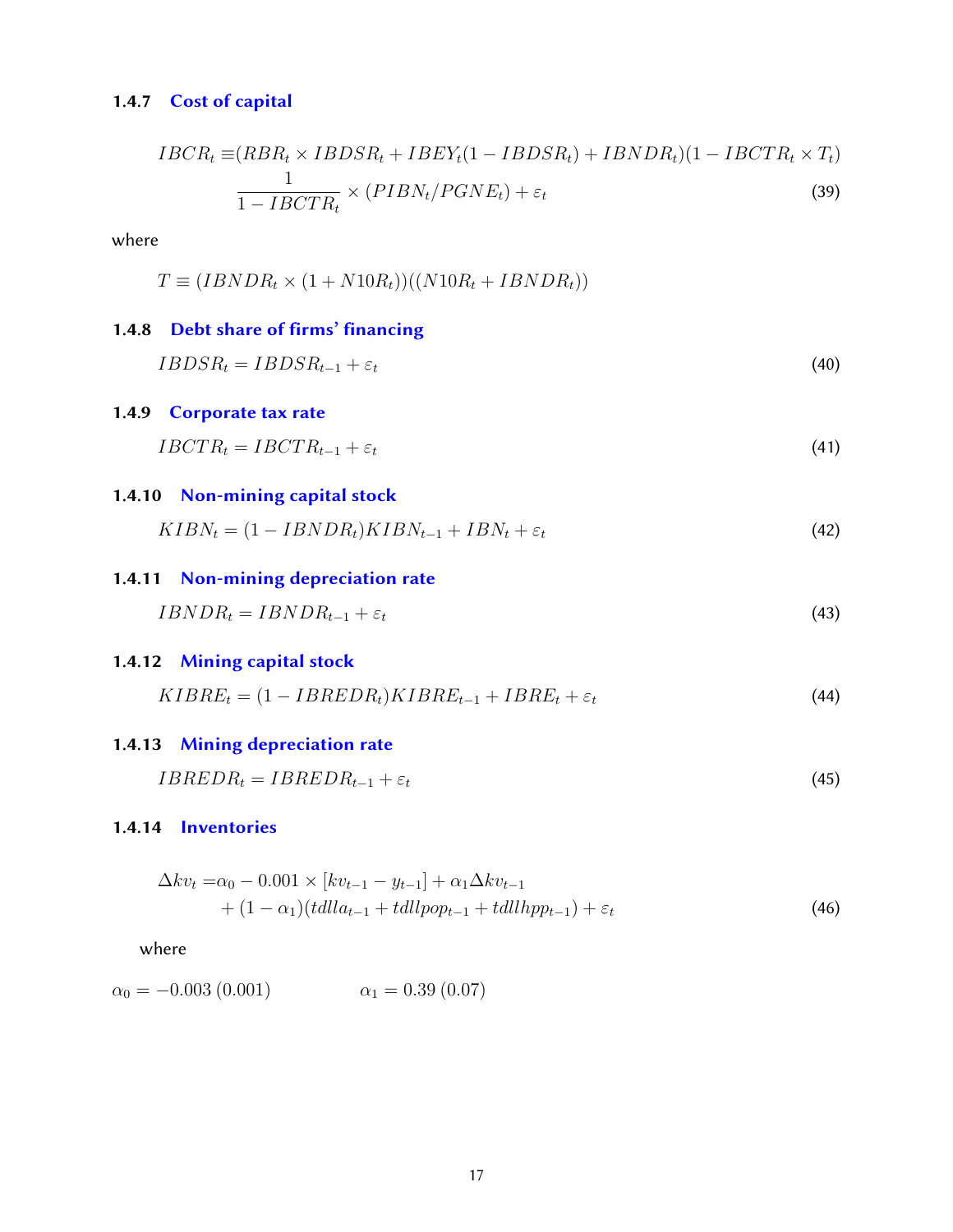#### 1.4.7 [Cost of capital](#page-38-0)

$$
IBCR_t \equiv (RBR_t \times IBDSR_t + IBEY_t(1 - IBDSR_t) + IBNDR_t)(1 - IBCTR_t \times T_t)
$$
  

$$
\frac{1}{1 - IBCTR_t} \times (PIBN_t/PGNE_t) + \varepsilon_t
$$
 (39)

where

$$
T \equiv (IBNDR_t \times (1 + N10R_t))((N10R_t + IBNDR_t))
$$

# <span id="page-16-0"></span>1.4.8 [Debt share of](#page-38-0) firms' financing

 $IBDSR_t = IBDSR_{t-1} + \varepsilon_t$ (40)

### <span id="page-16-1"></span>1.4.9 [Corporate tax rate](#page-38-0)

$$
IBCTR_t = IBCTR_{t-1} + \varepsilon_t \tag{41}
$$

#### <span id="page-16-2"></span>1.4.10 [Non-mining capital stock](#page-38-0)

$$
KIBN_t = (1 - IBNDR_t)KIBN_{t-1} + IBN_t + \varepsilon_t \tag{42}
$$

# <span id="page-16-3"></span>1.4.11 [Non-mining depreciation rate](#page-38-0)

 $IBNDR_t = IBNDR_{t-1} + \varepsilon_t$ (43)

### <span id="page-16-4"></span>1.4.12 [Mining capital stock](#page-38-0)

$$
KIBRE_t = (1 - IBREDR_t)KIBRE_{t-1} + IBRE_t + \varepsilon_t \tag{44}
$$

#### <span id="page-16-5"></span>1.4.13 [Mining depreciation rate](#page-38-0)

$$
IBREDR_t = IBREDR_{t-1} + \varepsilon_t \tag{45}
$$

#### <span id="page-16-6"></span>1.4.14 [Inventories](#page-38-0)

$$
\Delta kv_t = \alpha_0 - 0.001 \times [kv_{t-1} - y_{t-1}] + \alpha_1 \Delta kv_{t-1} + (1 - \alpha_1)(tdlla_{t-1} + tdllpop_{t-1} + tdllpp_{t-1}) + \varepsilon_t
$$
\n(46)

$$
\alpha_0 = -0.003 \ (0.001) \qquad \alpha_1 = 0.39 \ (0.07)
$$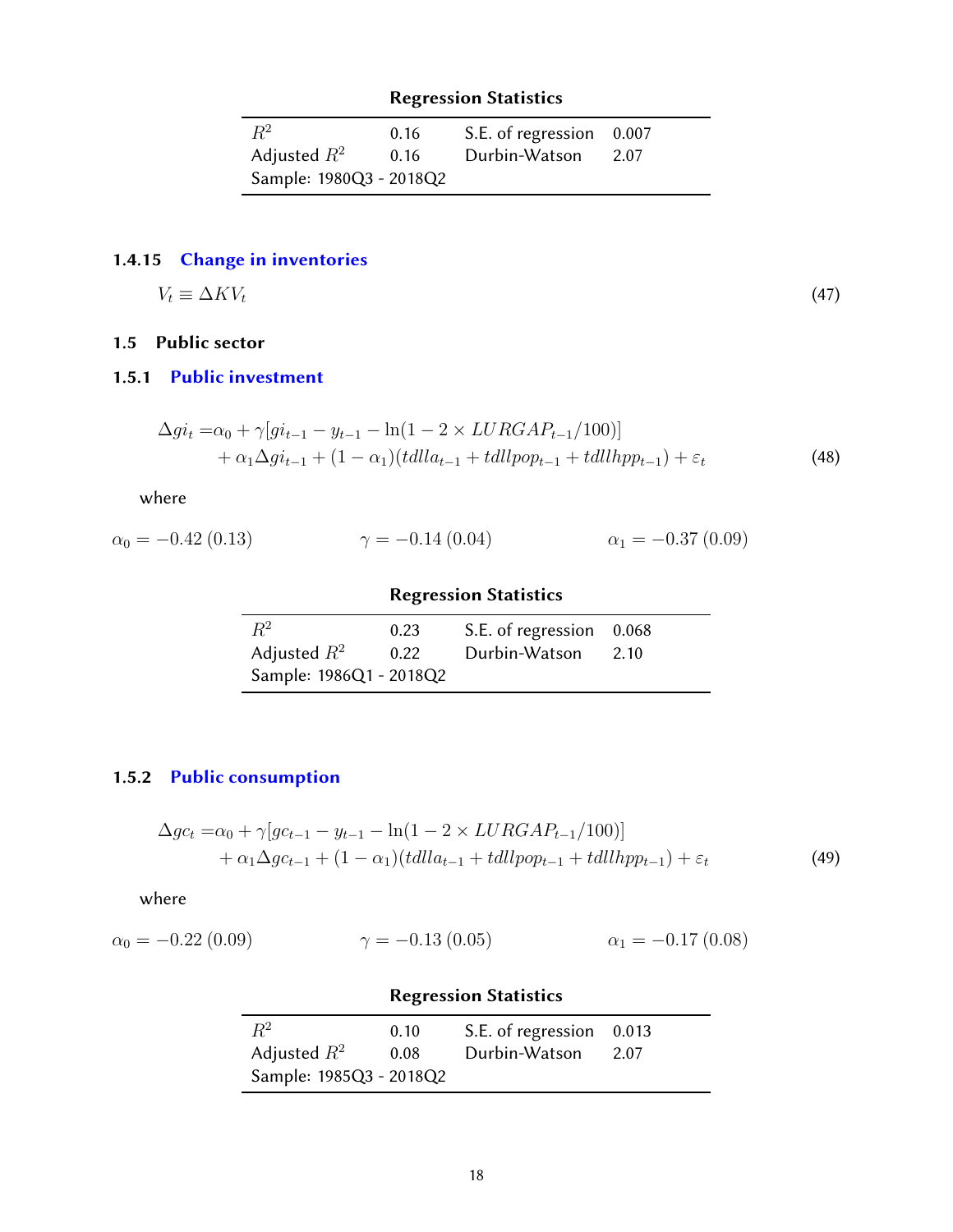| $R^2$                   | 0.16 | S.E. of regression 0.007 |      |
|-------------------------|------|--------------------------|------|
| Adjusted $R^2$          | 0.16 | Durbin-Watson            | 2.07 |
| Sample: 1980Q3 - 2018Q2 |      |                          |      |

# <span id="page-17-0"></span>1.4.15 [Change in inventories](#page-38-0)

$$
V_t \equiv \Delta K V_t \tag{47}
$$

# <span id="page-17-1"></span>1.5 Public sector

### <span id="page-17-2"></span>1.5.1 [Public investment](#page-38-0)

$$
\Delta gi_t = \alpha_0 + \gamma [gi_{t-1} - y_{t-1} - \ln(1 - 2 \times LURGAP_{t-1}/100)] + \alpha_1 \Delta gi_{t-1} + (1 - \alpha_1)(tdlla_{t-1} + tdllpop_{t-1} + tdllpp_{t-1}) + \varepsilon_t
$$
\n(48)

where

$$
\alpha_0 = -0.42 \ (0.13) \qquad \qquad \gamma = -0.14 \ (0.04) \qquad \qquad \alpha_1 = -0.37 \ (0.09)
$$

# Regression Statistics

| $R^2$                   | 0.23 | S.E. of regression 0.068 |      |
|-------------------------|------|--------------------------|------|
| Adjusted $R^2$          | 0.22 | Durbin-Watson            | 2.10 |
| Sample: 1986Q1 - 2018Q2 |      |                          |      |

# <span id="page-17-3"></span>1.5.2 [Public consumption](#page-38-0)

$$
\Delta g c_t = \alpha_0 + \gamma [g c_{t-1} - y_{t-1} - \ln(1 - 2 \times LURGAP_{t-1}/100)] + \alpha_1 \Delta g c_{t-1} + (1 - \alpha_1)(t d l l a_{t-1} + t d l l p p_{t-1} + t d l l h p p_{t-1}) + \varepsilon_t
$$
\n(49)

where

$$
\alpha_0 = -0.22 \ (0.09) \qquad \qquad \gamma = -0.13 \ (0.05) \qquad \qquad \alpha_1 = -0.17 \ (0.08)
$$

# Regression Statistics

<span id="page-17-4"></span>

| $R^2$                   | 0.10 | S.E. of regression 0.013 |      |
|-------------------------|------|--------------------------|------|
| Adjusted $R^2$          | 0.08 | Durbin-Watson            | 2.07 |
| Sample: 1985Q3 - 2018Q2 |      |                          |      |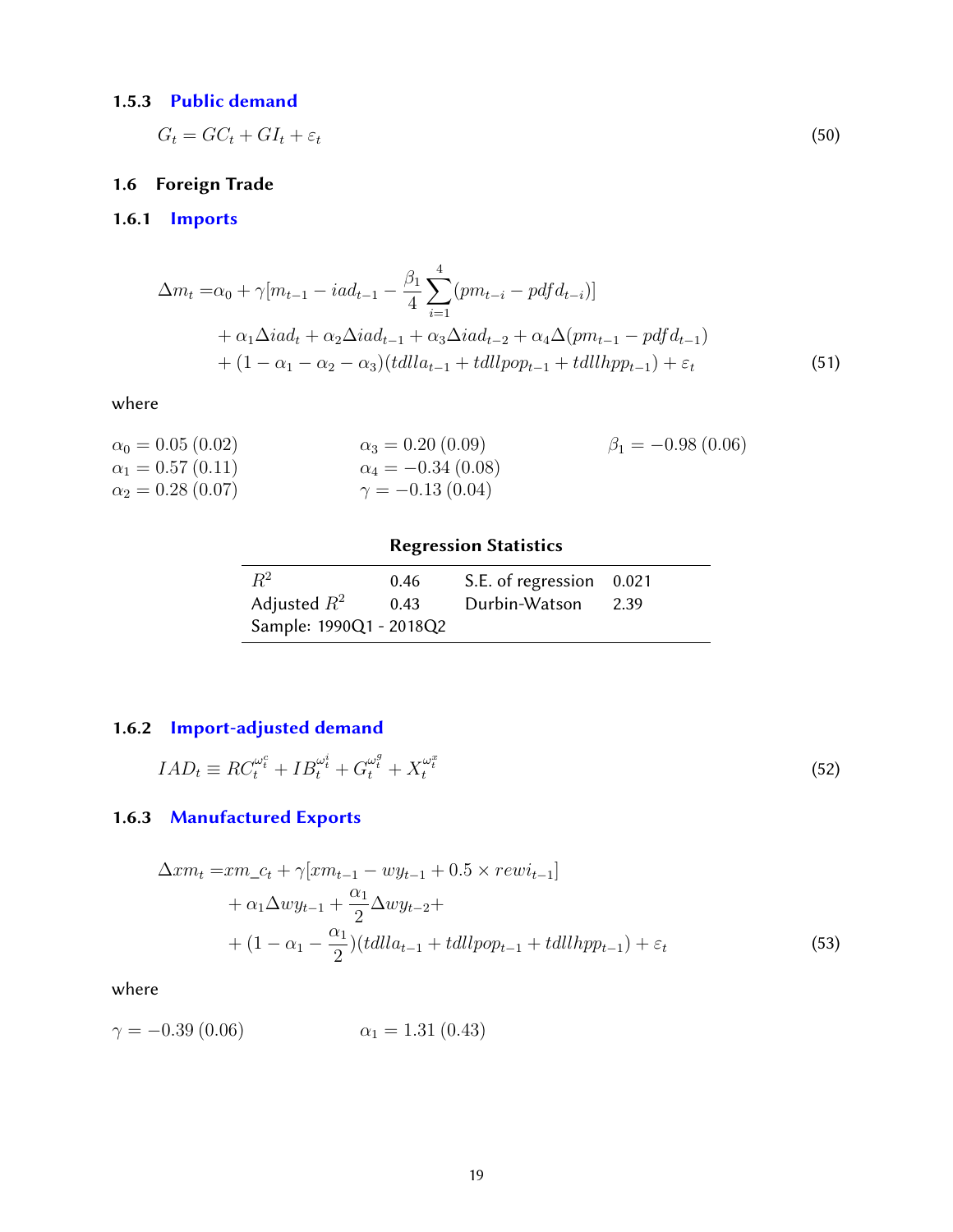# 1.5.3 [Public demand](#page-38-0)

$$
G_t = GC_t + GI_t + \varepsilon_t \tag{50}
$$

# <span id="page-18-0"></span>1.6 Foreign Trade

# <span id="page-18-1"></span>1.6.1 [Imports](#page-38-0)

$$
\Delta m_t = \alpha_0 + \gamma [m_{t-1} - i a d_{t-1} - \frac{\beta_1}{4} \sum_{i=1}^4 (pm_{t-i} - pdf d_{t-i})]
$$
  
+  $\alpha_1 \Delta i a d_t + \alpha_2 \Delta i a d_{t-1} + \alpha_3 \Delta i a d_{t-2} + \alpha_4 \Delta (pm_{t-1} - pdf d_{t-1})$   
+  $(1 - \alpha_1 - \alpha_2 - \alpha_3)(t d l l a_{t-1} + t d l l pop_{t-1} + t d l l l pop_{t-1}) + \varepsilon_t$  (51)

#### where

| $\alpha_0 = 0.05$ (0.02) | $\alpha_3 = 0.20$ (0.09)   | $\beta_1 = -0.98(0.06)$ |
|--------------------------|----------------------------|-------------------------|
| $\alpha_1 = 0.57(0.11)$  | $\alpha_4 = -0.34\ (0.08)$ |                         |
| $\alpha_2 = 0.28$ (0.07) | $\gamma = -0.13(0.04)$     |                         |

# Regression Statistics

| $R^2$                   | 0.46 | S.E. of regression 0.021 |      |
|-------------------------|------|--------------------------|------|
| Adjusted $R^2$          | 0.43 | Durbin-Watson            | 2.39 |
| Sample: 1990Q1 - 2018Q2 |      |                          |      |

# <span id="page-18-2"></span>1.6.2 [Import-adjusted demand](#page-38-0)

$$
IAD_t \equiv RC_t^{\omega_t^c} + IB_t^{\omega_t^i} + G_t^{\omega_t^g} + X_t^{\omega_t^x}
$$
\n
$$
(52)
$$

# <span id="page-18-3"></span>1.6.3 [Manufactured Exports](#page-38-0)

$$
\Delta x m_t = x m_c t + \gamma [x m_{t-1} - w y_{t-1} + 0.5 \times r e w i_{t-1}] \n+ \alpha_1 \Delta w y_{t-1} + \frac{\alpha_1}{2} \Delta w y_{t-2} + \n+ (1 - \alpha_1 - \frac{\alpha_1}{2}) (t d l l a_{t-1} + t d l l p o p_{t-1} + t d l l h p p_{t-1}) + \varepsilon_t
$$
\n(53)

$$
\gamma = -0.39 \ (0.06) \qquad \alpha_1 = 1.31 \ (0.43)
$$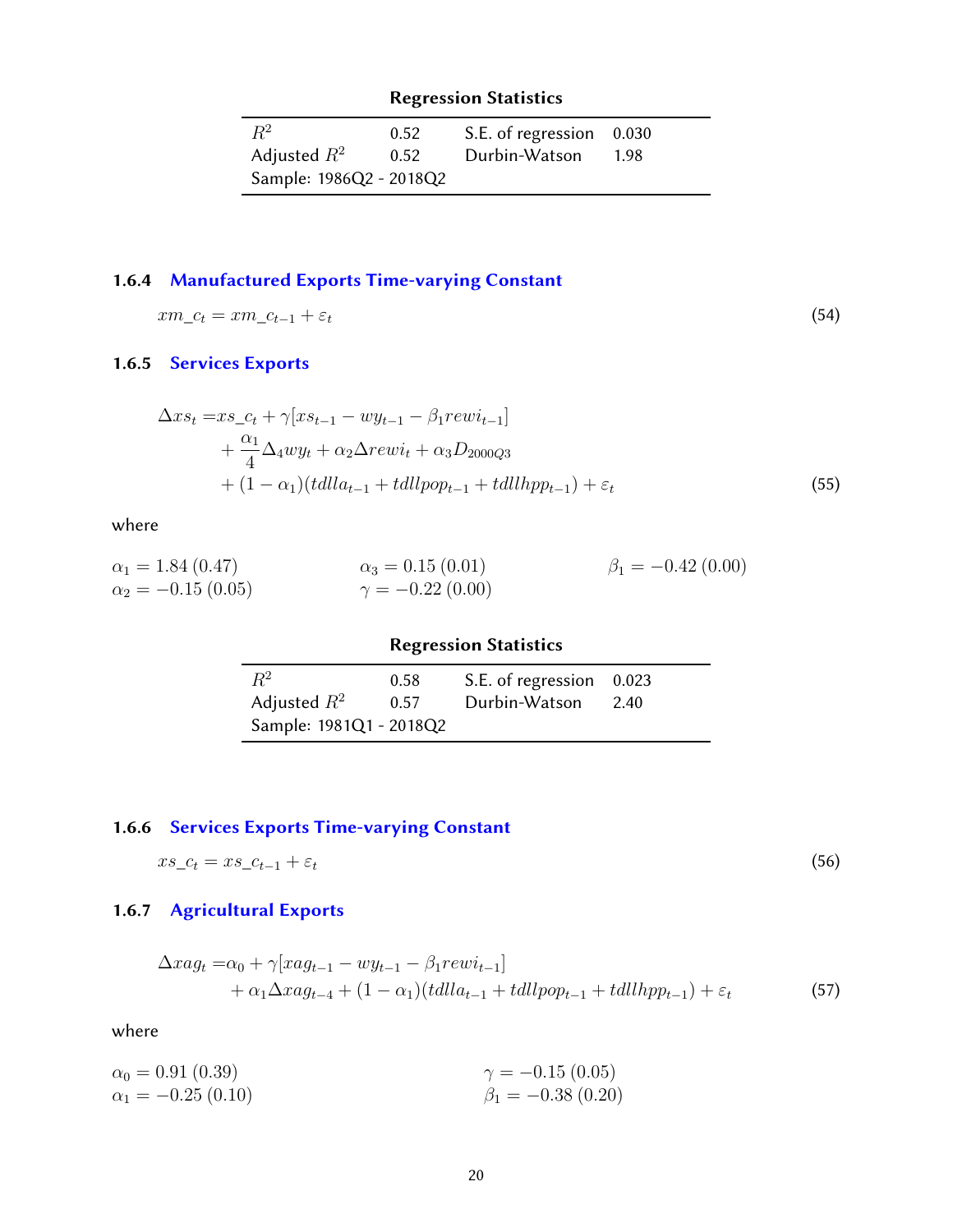| $R^2$                   | 0.52 | S.E. of regression 0.030 |  |
|-------------------------|------|--------------------------|--|
| Adjusted $R^2$          | 0.52 | Durbin-Watson 1.98       |  |
| Sample: 1986Q2 - 2018Q2 |      |                          |  |

# <span id="page-19-0"></span>1.6.4 [Manufactured Exports Time-varying Constant](#page-38-0)

$$
xm_{-}c_{t}=xm_{-}c_{t-1}+\varepsilon_{t}
$$
\n
$$
(54)
$$

# <span id="page-19-1"></span>1.6.5 [Services Exports](#page-38-0)

$$
\Delta xs_t = xs_c t + \gamma [xs_{t-1} - wy_{t-1} - \beta_1 rev i_{t-1}] \n+ \frac{\alpha_1}{4} \Delta_4 wy_t + \alpha_2 \Delta rew i_t + \alpha_3 D_{2000Q3} \n+ (1 - \alpha_1)(tdlla_{t-1} + tdllpop_{t-1} + tdllapp_{t-1}) + \varepsilon_t
$$
\n(55)

where

$$
\alpha_1 = 1.84 (0.47) \n\alpha_2 = -0.15 (0.05) \n\gamma = -0.22 (0.00) \n\gamma = -0.22 (0.00)
$$
\n
$$
\beta_1 = -0.42 (0.00)
$$

| <b>Regression Statistics</b> |      |                          |      |
|------------------------------|------|--------------------------|------|
| $R^2$                        | 0.58 | S.E. of regression 0.023 |      |
| Adjusted $R^2$               | 0.57 | Durbin-Watson            | 2.40 |
| Sample: 1981Q1 - 2018Q2      |      |                          |      |

# <span id="page-19-2"></span>1.6.6 [Services Exports Time-varying Constant](#page-38-0)

$$
xs_{-}c_{t} = xs_{-}c_{t-1} + \varepsilon_{t} \tag{56}
$$

# <span id="page-19-3"></span>1.6.7 [Agricultural Exports](#page-38-0)

$$
\Delta x a g_t = \alpha_0 + \gamma [x a g_{t-1} - w g_{t-1} - \beta_1 r e w i_{t-1}]
$$
  
+ 
$$
\alpha_1 \Delta x a g_{t-4} + (1 - \alpha_1) (t d l l a_{t-1} + t d l l p o p_{t-1} + t d l l h p p_{t-1}) + \varepsilon_t
$$
(57)

$$
\alpha_0 = 0.91 (0.39) \n\alpha_1 = -0.25 (0.10) \n\beta_1 = -0.38 (0.20)
$$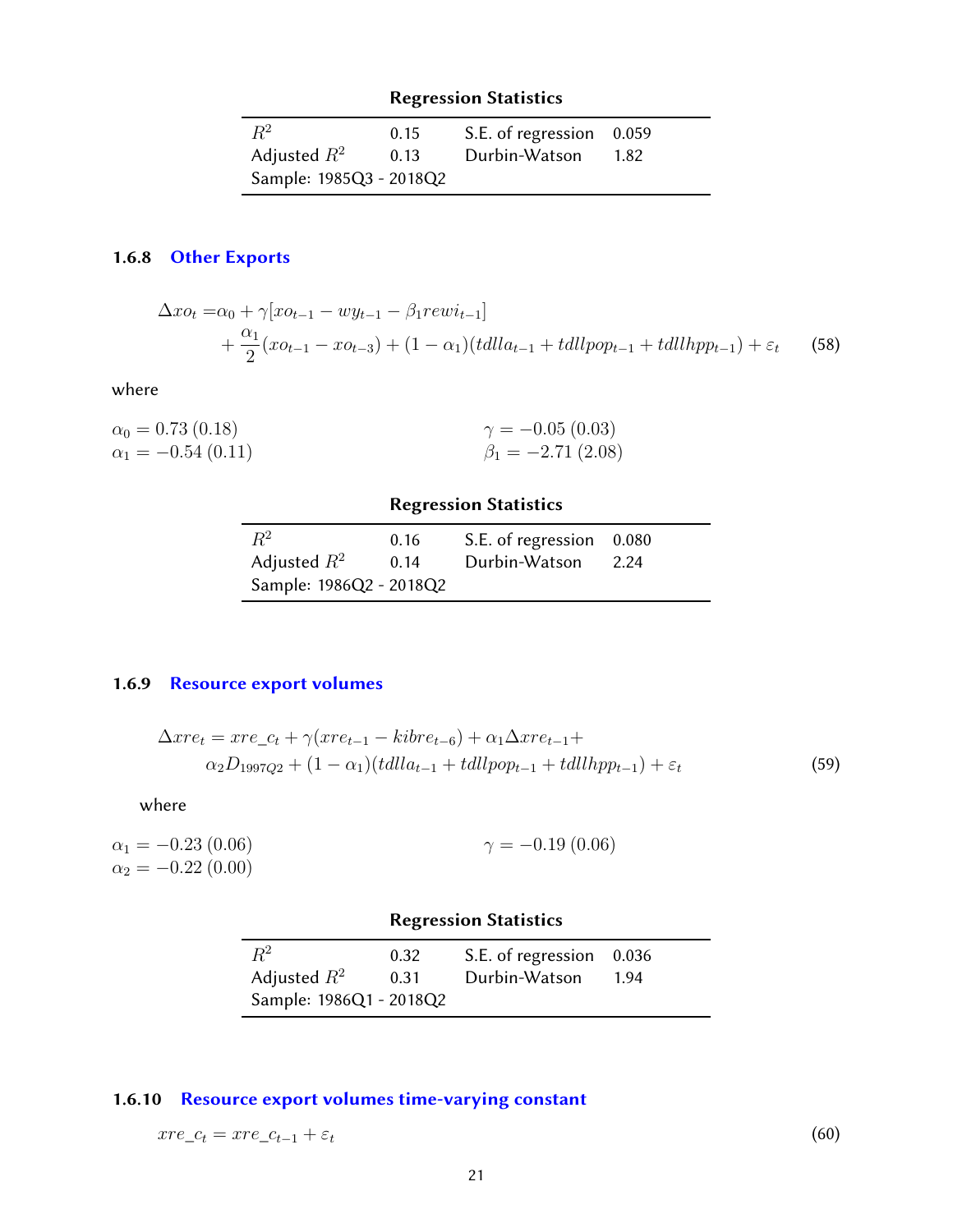| $R^2$                   | 0.15 | S.E. of regression 0.059 |      |
|-------------------------|------|--------------------------|------|
| Adjusted $R^2$          | 0.13 | Durbin-Watson            | 1.82 |
| Sample: 1985Q3 - 2018Q2 |      |                          |      |

# <span id="page-20-0"></span>1.6.8 [Other Exports](#page-38-0)

$$
\Delta x o_t = \alpha_0 + \gamma [x o_{t-1} - w y_{t-1} - \beta_1 r e w i_{t-1}] + \frac{\alpha_1}{2} (x o_{t-1} - x o_{t-3}) + (1 - \alpha_1) (t d l l a_{t-1} + t d l l p o_{t-1} + t d l l h p p_{t-1}) + \varepsilon_t
$$
 (58)

where

| $\alpha_0 = 0.73$ (0.18) | $\gamma = -0.05(0.03)$  |
|--------------------------|-------------------------|
| $\alpha_1 = -0.54(0.11)$ | $\beta_1 = -2.71(2.08)$ |

### Regression Statistics

| $R^2$                   | 0.16 | S.E. of regression 0.080 |      |
|-------------------------|------|--------------------------|------|
| Adjusted $R^2$          | 0.14 | Durbin-Watson            | 2.24 |
| Sample: 1986Q2 - 2018Q2 |      |                          |      |

# <span id="page-20-1"></span>1.6.9 [Resource export volumes](#page-38-0)

$$
\Delta x re_t = x re_c t + \gamma (x re_{t-1} - kibre_{t-6}) + \alpha_1 \Delta x re_{t-1} +
$$
  
\n
$$
\alpha_2 D_{1997Q2} + (1 - \alpha_1)(tdlla_{t-1} + tdllpop_{t-1} + tdllpop_{t-1}) + \varepsilon_t
$$
\n(59)

where

| $\alpha_1 = -0.23(0.06)$  | $\gamma = -0.19(0.06)$ |
|---------------------------|------------------------|
| $\alpha_2 = -0.22$ (0.00) |                        |

# Regression Statistics

| $R^2$                   | 0.32 | S.E. of regression 0.036 |  |
|-------------------------|------|--------------------------|--|
| Adjusted $R^2$          | 0.31 | Durbin-Watson 1.94       |  |
| Sample: 1986Q1 - 2018Q2 |      |                          |  |

# <span id="page-20-2"></span>1.6.10 [Resource export volumes time-varying constant](#page-38-0)

<span id="page-20-3"></span>
$$
xre\_c_t = xre\_c_{t-1} + \varepsilon_t \tag{60}
$$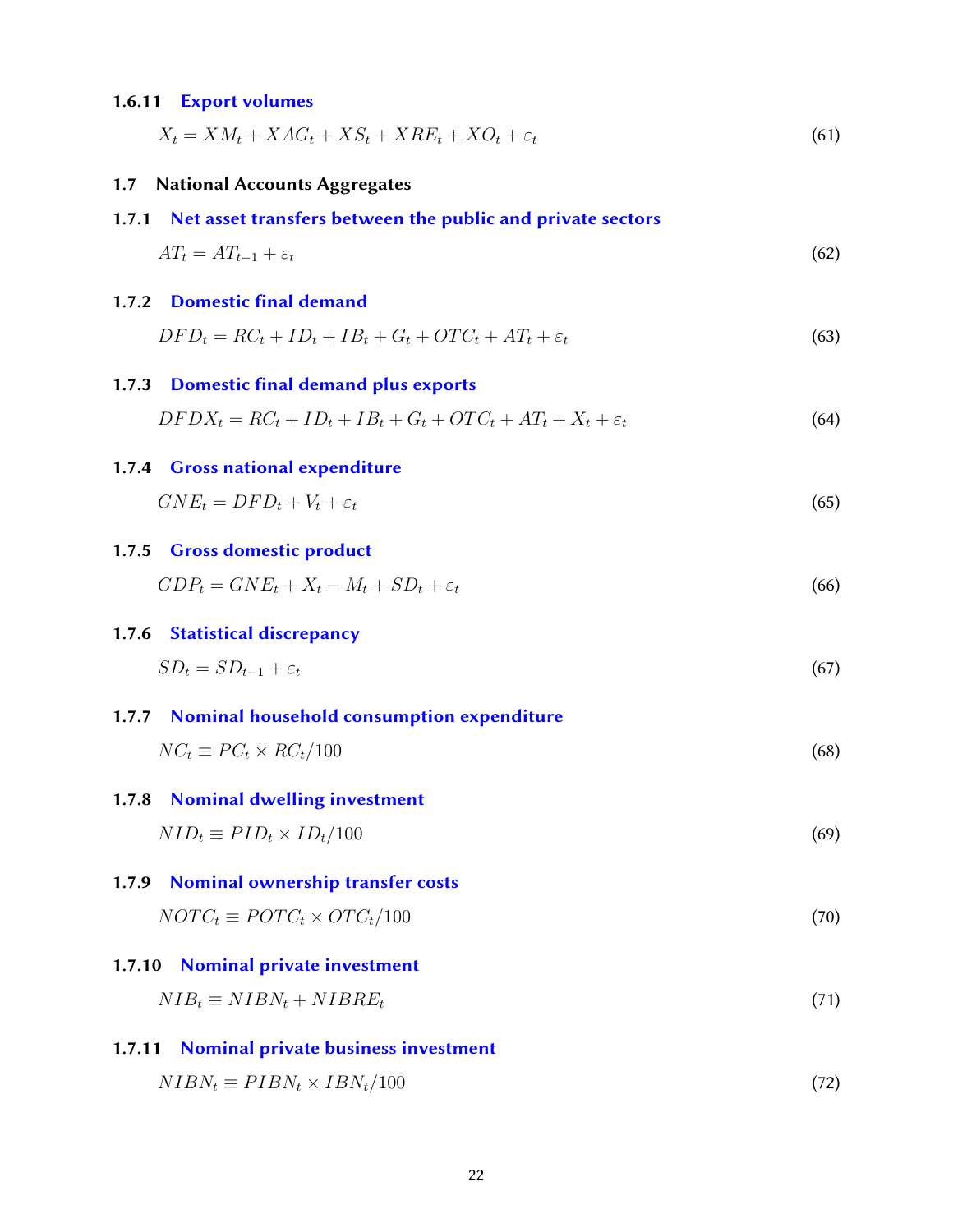#### 1.6.11 [Export volumes](#page-38-0)

| $X_t = X M_t + X A G_t + X S_t + X R E_t + X O_t + \varepsilon_t$ |  |
|-------------------------------------------------------------------|--|
|-------------------------------------------------------------------|--|

#### <span id="page-21-0"></span>1.7 National Accounts Aggregates

#### <span id="page-21-1"></span>1.7.1 [Net asset transfers between the public and private sectors](#page-38-0)

$$
AT_t = AT_{t-1} + \varepsilon_t \tag{62}
$$

### <span id="page-21-2"></span>1.7.2 Domestic final demand

$$
DFD_t = RC_t + ID_t + IB_t + G_t + OTC_t + AT_t + \varepsilon_t \tag{63}
$$

#### <span id="page-21-3"></span>1.7.3 Domestic final demand plus exports

$$
DFDX_t = RC_t + ID_t + IB_t + G_t + OTC_t + AT_t + X_t + \varepsilon_t
$$
\n
$$
(64)
$$

#### <span id="page-21-4"></span>1.7.4 [Gross national expenditure](#page-38-0)

$$
GNE_t = DFD_t + V_t + \varepsilon_t \tag{65}
$$

#### <span id="page-21-5"></span>1.7.5 [Gross domestic product](#page-38-0)

$$
GDP_t = GNE_t + X_t - M_t + SD_t + \varepsilon_t \tag{66}
$$

#### <span id="page-21-6"></span>1.7.6 [Statistical discrepancy](#page-38-0)

$$
SD_t = SD_{t-1} + \varepsilon_t \tag{67}
$$

<span id="page-21-7"></span>1.7.7 [Nominal household consumption expenditure](#page-38-0)  $NC_t \equiv PC_t \times RC_t/100$  (68)

#### <span id="page-21-8"></span>1.7.8 [Nominal dwelling investment](#page-38-0)

$$
NID_t \equiv PID_t \times ID_t / 100 \tag{69}
$$

# <span id="page-21-9"></span>1.7.9 [Nominal ownership transfer costs](#page-38-0)

$$
NOTC_t \equiv POTC_t \times OTC_t / 100 \tag{70}
$$

#### <span id="page-21-10"></span>1.7.10 [Nominal private investment](#page-38-0)

 $NIB_t \equiv NIBN_t + NIBRE_t$ (71)

#### <span id="page-21-11"></span>1.7.11 [Nominal private business investment](#page-38-0)

<span id="page-21-12"></span>
$$
NIBN_t \equiv PIBN_t \times IBN_t/100 \tag{72}
$$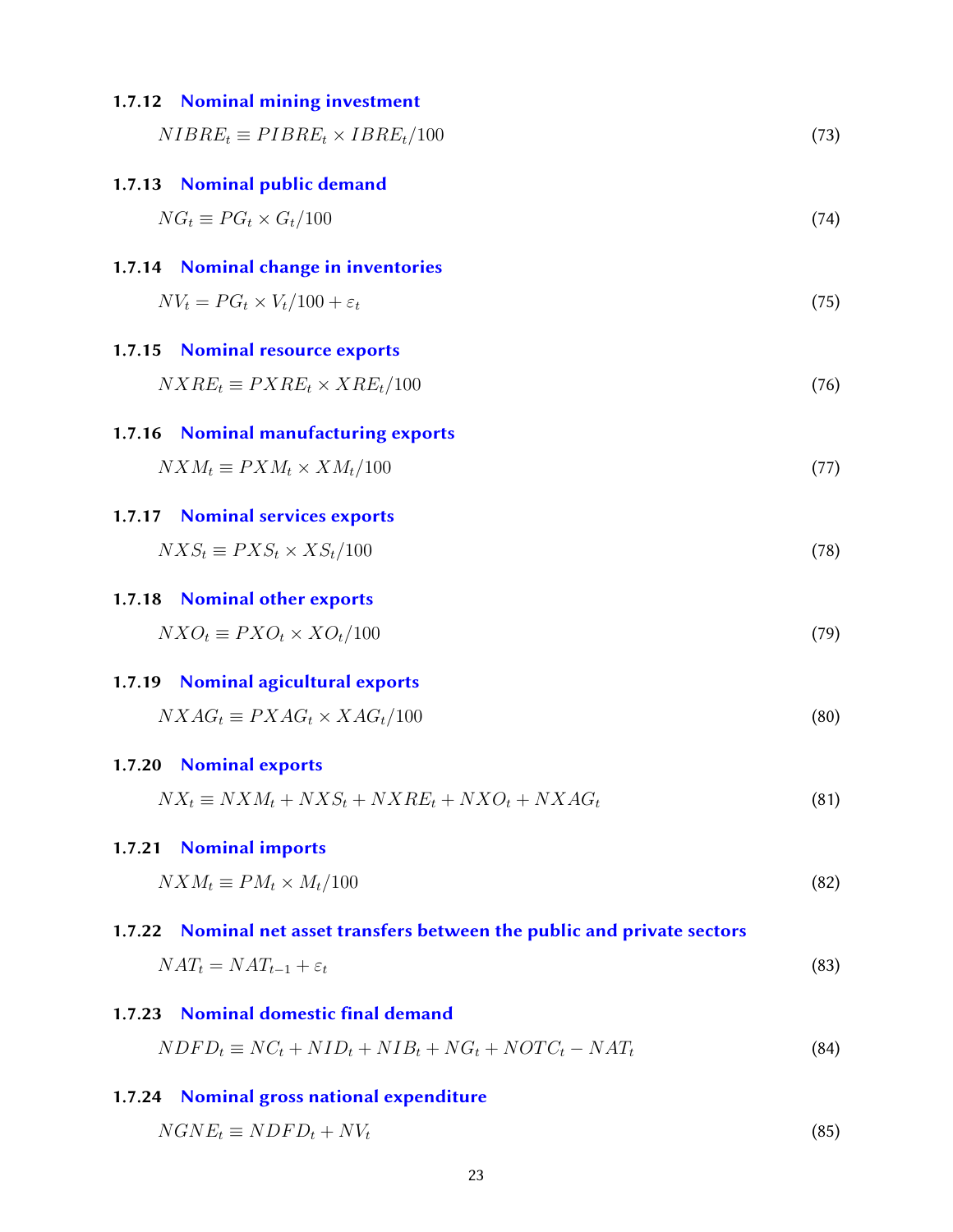<span id="page-22-5"></span><span id="page-22-4"></span><span id="page-22-3"></span><span id="page-22-2"></span><span id="page-22-1"></span><span id="page-22-0"></span>

|        | 1.7.12 Nominal mining investment                                   |      |
|--------|--------------------------------------------------------------------|------|
|        | $NIBRE_t \equiv PIBRE_t \times IBRE_t/100$                         | (73) |
|        | 1.7.13 Nominal public demand                                       |      |
|        | $NG_t \equiv PG_t \times G_t/100$                                  | (74) |
|        | 1.7.14 Nominal change in inventories                               |      |
|        | $N V_t = P G_t \times V_t / 100 + \varepsilon_t$                   | (75) |
| 1.7.15 | <b>Nominal resource exports</b>                                    |      |
|        | $NXRE_t \equiv PXRE_t \times XRE_t/100$                            | (76) |
| 1.7.16 | <b>Nominal manufacturing exports</b>                               |      |
|        | $NXM_t \equiv PXM_t \times XM_t/100$                               | (77) |
| 1.7.17 | <b>Nominal services exports</b>                                    |      |
|        | $NXS_t \equiv PXS_t \times KS_t/100$                               | (78) |
| 1.7.18 | <b>Nominal other exports</b>                                       |      |
|        | $NXO_t \equiv PXO_t \times XO_t/100$                               | (79) |
| 1.7.19 | <b>Nominal agicultural exports</b>                                 |      |
|        | $NXAG_t \equiv PXAG_t \times XAG_t/100$                            | (80) |
|        | 1.7.20 Nominal exports                                             |      |
|        | $NX_t \equiv NXM_t + NXS_t + NXRE_t + NXO_t + NXAG_t$              | (81) |
| 1.7.21 | <b>Nominal imports</b>                                             |      |
|        | $NXM_t \equiv PM_t \times M_t/100$                                 | (82) |
| 1.7.22 | Nominal net asset transfers between the public and private sectors |      |
|        | $NAT_t = NAT_{t-1} + \varepsilon_t$                                | (83) |
| 1.7.23 | <b>Nominal domestic final demand</b>                               |      |
|        | $NDFD_t \equiv NC_t + NID_t + NIB_t + NG_t + NOTC_t - NAT_t$       | (84) |
| 1.7.24 | Nominal gross national expenditure                                 |      |
|        |                                                                    |      |

<span id="page-22-12"></span><span id="page-22-11"></span><span id="page-22-10"></span><span id="page-22-9"></span><span id="page-22-8"></span><span id="page-22-7"></span><span id="page-22-6"></span> $NGNE_t \equiv NDFD_t + NV_t$  (85)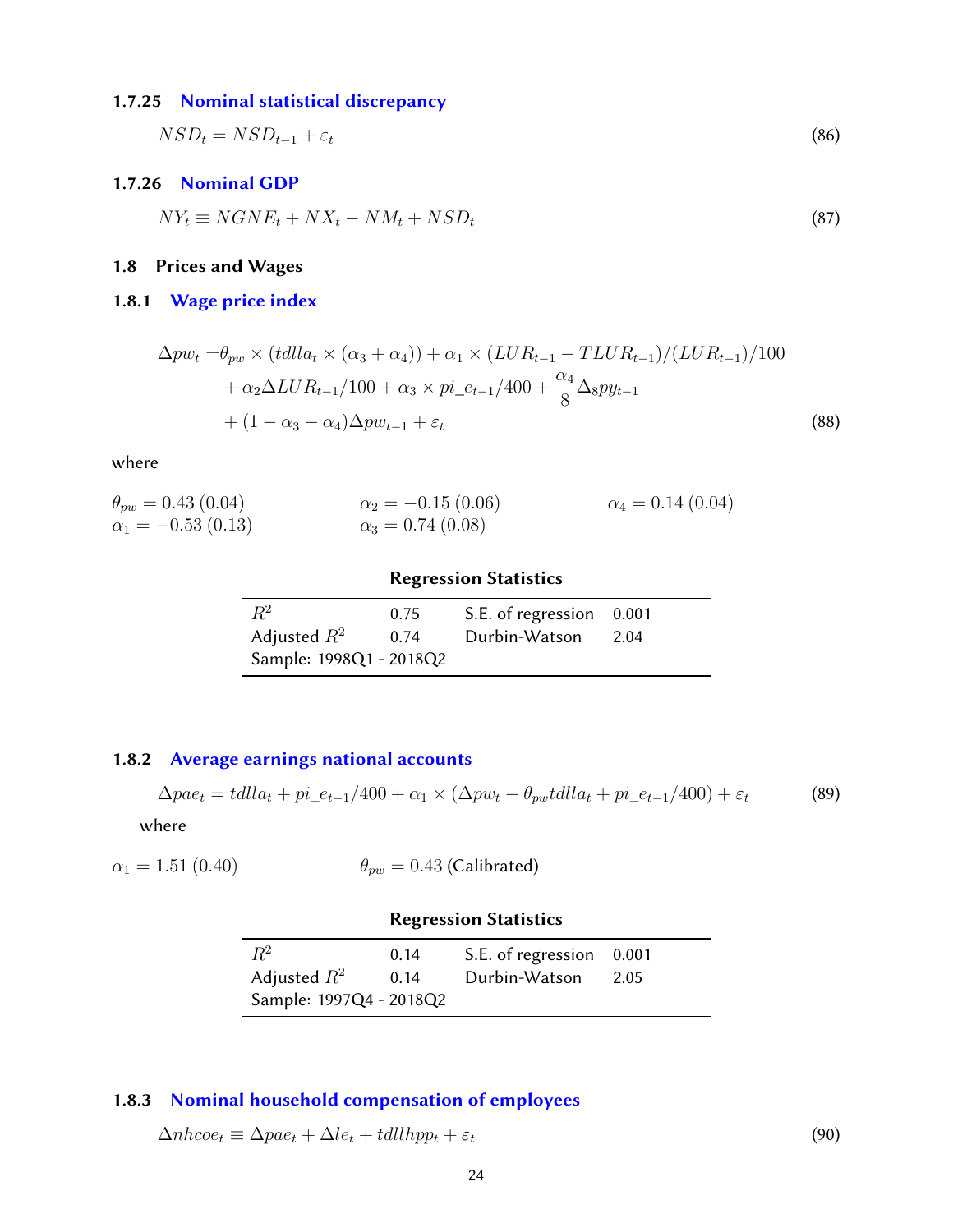#### 1.7.25 [Nominal statistical discrepancy](#page-38-0)

$$
NSD_t = NSD_{t-1} + \varepsilon_t \tag{86}
$$

#### <span id="page-23-0"></span>1.7.26 [Nominal GDP](#page-38-0)

 $NY_t \equiv NGNE_t + NX_t - NM_t + NSD_t$ (87)

#### <span id="page-23-1"></span>1.8 Prices and Wages

### <span id="page-23-2"></span>1.8.1 [Wage price index](#page-38-0)

$$
\Delta pw_t = \theta_{pw} \times (tdlla_t \times (\alpha_3 + \alpha_4)) + \alpha_1 \times (LUR_{t-1} - TLUR_{t-1})/(LUR_{t-1})/100
$$
  
+  $\alpha_2 \Delta LUR_{t-1}/100 + \alpha_3 \times pi_{-}e_{t-1}/400 + \frac{\alpha_4}{8} \Delta_8 py_{t-1}$   
+  $(1 - \alpha_3 - \alpha_4) \Delta pw_{t-1} + \varepsilon_t$  (88)

where

| $\theta_{pw} = 0.43(0.04)$ | $\alpha_2 = -0.15(0.06)$  | $\alpha_4 = 0.14(0.04)$ |
|----------------------------|---------------------------|-------------------------|
| $\alpha_1 = -0.53(0.13)$   | $\alpha_3 = 0.74\ (0.08)$ |                         |

### Regression Statistics

| $R^2$                   | 0.75 | S.E. of regression 0.001 |      |
|-------------------------|------|--------------------------|------|
| Adjusted $R^2$          | 0.74 | Durbin-Watson            | 2.04 |
| Sample: 1998Q1 - 2018Q2 |      |                          |      |

### <span id="page-23-3"></span>1.8.2 [Average earnings national accounts](#page-38-0)

 $\Delta pae_t = talla_t + pi\_e_{t-1}/400 + \alpha_1 \times (\Delta pw_t - \theta_{pw} talla_t + pi\_e_{t-1}/400) + \varepsilon_t$  (89)

where

$$
\alpha_1 = 1.51 (0.40) \qquad \theta_{pw} = 0.43 \text{ (Calibrated)}
$$

### Regression Statistics

| $R^2$                   | 0.14 | S.E. of regression 0.001 |      |
|-------------------------|------|--------------------------|------|
| Adjusted $R^2$          | 0.14 | Durbin-Watson            | 2.05 |
| Sample: 1997Q4 - 2018Q2 |      |                          |      |

# <span id="page-23-4"></span>1.8.3 [Nominal household compensation of employees](#page-38-0)

<span id="page-23-5"></span>
$$
\Delta n h coe_t \equiv \Delta p a e_t + \Delta l e_t + t d l l h p p_t + \varepsilon_t \tag{90}
$$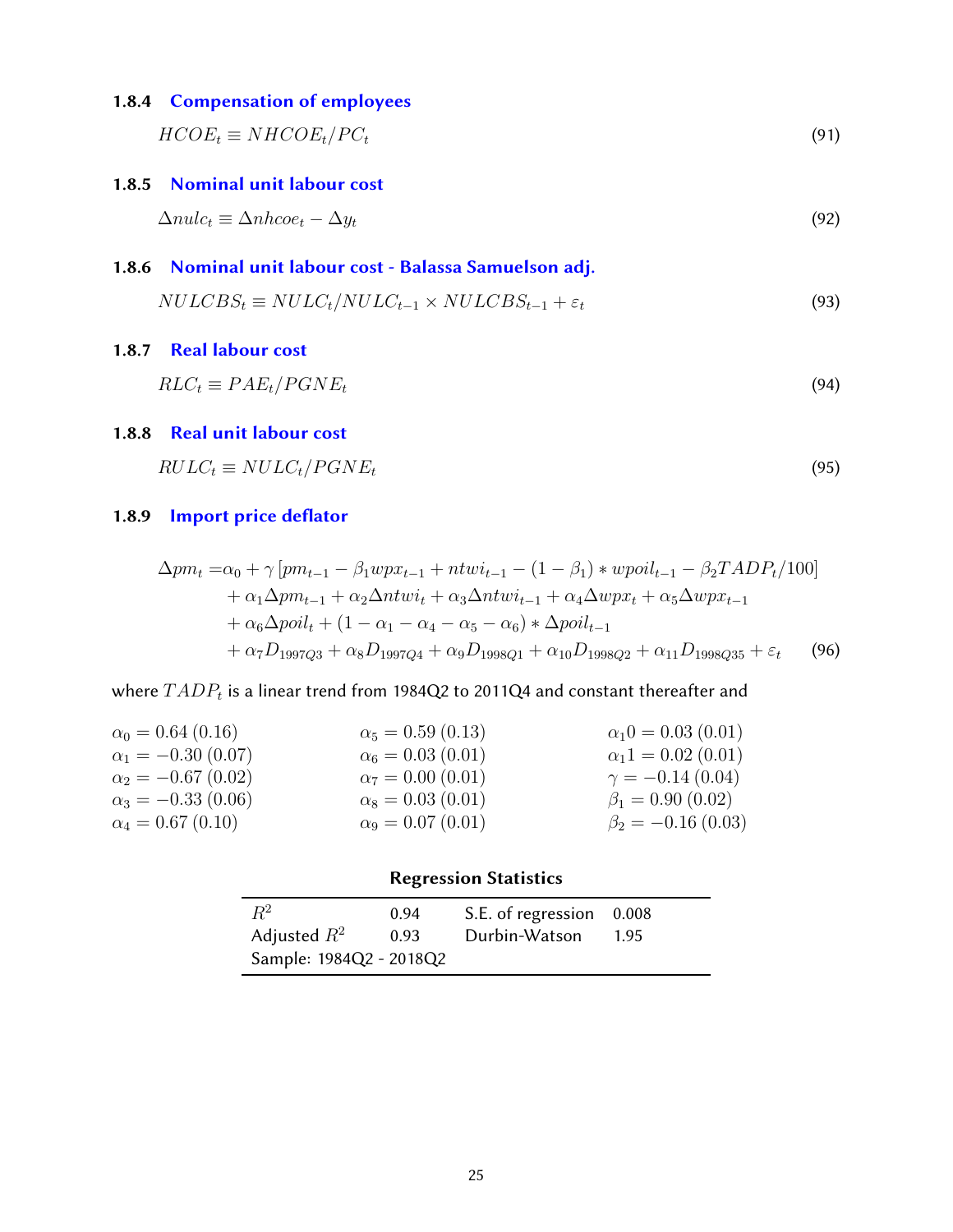### 1.8.4 [Compensation of employees](#page-38-0)

 $\text{HCOE}_t \equiv \text{N}\text{HCOE}_t/\text{PC}_t$  (91)

#### <span id="page-24-0"></span>1.8.5 [Nominal unit labour cost](#page-38-0)

$$
\Delta nulc_t \equiv \Delta nhcoe_t - \Delta y_t \tag{92}
$$

# <span id="page-24-1"></span>1.8.6 [Nominal unit labour cost - Balassa Samuelson adj.](#page-38-0)

$$
NULLCBS_t \equiv NULLC_t/NULLC_{t-1} \times NULLCBS_{t-1} + \varepsilon_t
$$
\n(93)

#### <span id="page-24-2"></span>1.8.7 [Real labour cost](#page-38-0)

$$
RLC_t \equiv PAE_t/PGNE_t \tag{94}
$$

#### <span id="page-24-3"></span>1.8.8 [Real unit labour cost](#page-38-0)

$$
RULC_t \equiv NULLC_t / PGNE_t \tag{95}
$$

### <span id="page-24-4"></span>1.8.9 Import price deflator

$$
\Delta pm_t = \alpha_0 + \gamma [pm_{t-1} - \beta_1 wpx_{t-1} + ntw_{t-1} - (1 - \beta_1) * wpoil_{t-1} - \beta_2 TADP_t/100] \n+ \alpha_1 \Delta pm_{t-1} + \alpha_2 \Delta ntwi_t + \alpha_3 \Delta ntwi_{t-1} + \alpha_4 \Delta wpx_t + \alpha_5 \Delta wpx_{t-1} \n+ \alpha_6 \Delta poil_t + (1 - \alpha_1 - \alpha_4 - \alpha_5 - \alpha_6) * \Delta poil_{t-1} \n+ \alpha_7 D_{1997Q3} + \alpha_8 D_{1997Q4} + \alpha_9 D_{1998Q1} + \alpha_{10} D_{1998Q2} + \alpha_{11} D_{1998Q35} + \varepsilon_t
$$
\n(96)

# where  $TADP_t$  is a linear trend from 1984Q2 to 2011Q4 and constant thereafter and

| $\alpha_0 = 0.64$ (0.16)  | $\alpha_5 = 0.59(0.13)$ | $\alpha_1 0 = 0.03$ (0.01) |
|---------------------------|-------------------------|----------------------------|
| $\alpha_1 = -0.30$ (0.07) | $\alpha_6 = 0.03(0.01)$ | $\alpha_1 1 = 0.02 (0.01)$ |
| $\alpha_2 = -0.67(0.02)$  | $\alpha_7 = 0.00(0.01)$ | $\gamma = -0.14(0.04)$     |
| $\alpha_3 = -0.33(0.06)$  | $\alpha_8 = 0.03(0.01)$ | $\beta_1 = 0.90$ (0.02)    |
| $\alpha_4 = 0.67(0.10)$   | $\alpha_9 = 0.07(0.01)$ | $\beta_2 = -0.16(0.03)$    |

<span id="page-24-5"></span>

|                         |      | <b>Regression Statistics</b> |        |
|-------------------------|------|------------------------------|--------|
| $R^2$                   | 0.94 | S.E. of regression 0.008     |        |
| Adjusted $R^2$          | 0.93 | Durbin-Watson                | - 1.95 |
| Sample: 1984Q2 - 2018Q2 |      |                              |        |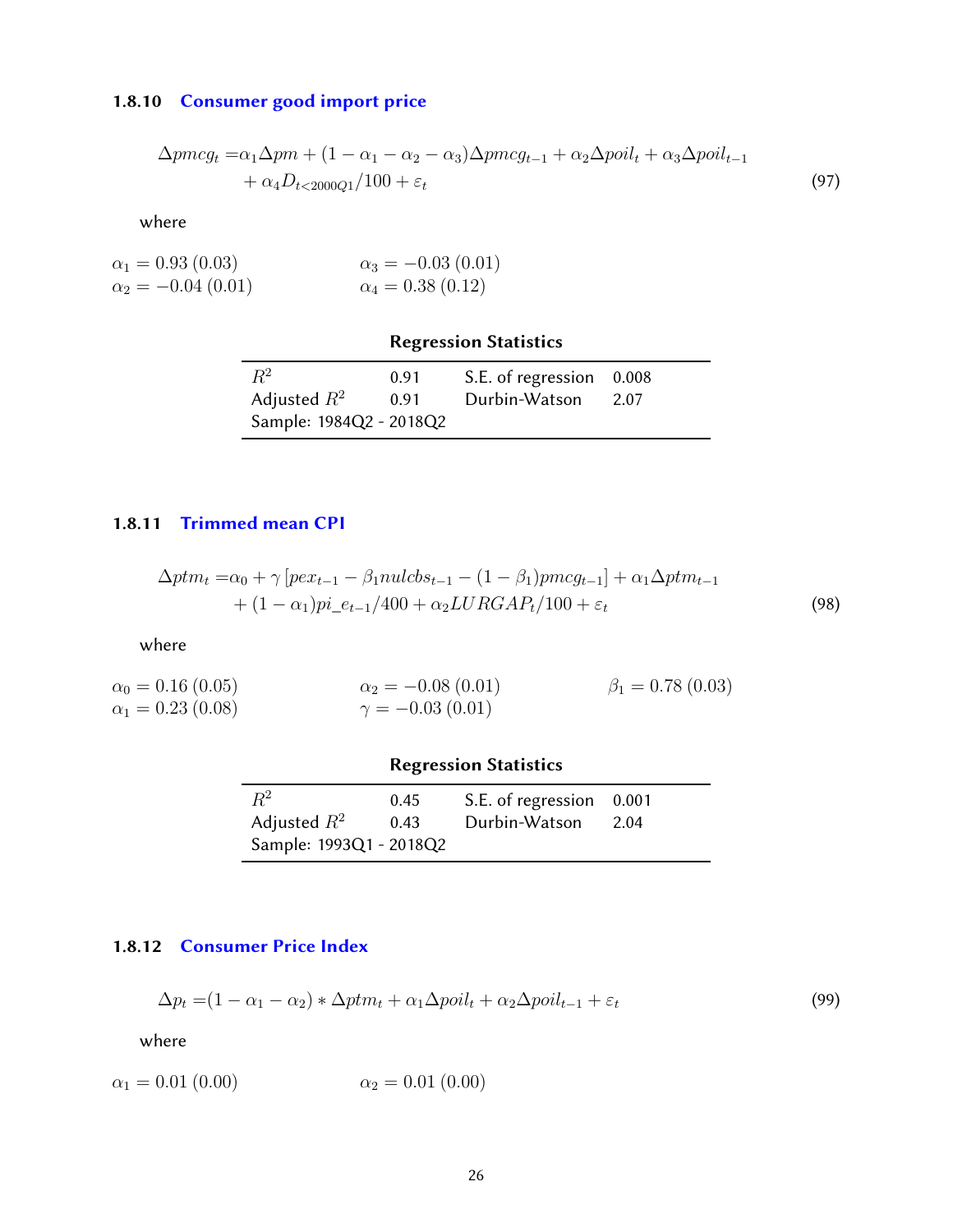#### 1.8.10 [Consumer good import price](#page-38-0)

$$
\Delta pmcg_t = \alpha_1 \Delta p m + (1 - \alpha_1 - \alpha_2 - \alpha_3) \Delta pmcg_{t-1} + \alpha_2 \Delta p oil_t + \alpha_3 \Delta p oil_{t-1} + \alpha_4 D_{t<2000Q1}/100 + \varepsilon_t
$$
\n(97)

where

$$
\alpha_1 = 0.93 (0.03) \n\alpha_2 = -0.04 (0.01) \n\alpha_3 = -0.03 (0.01) \n\alpha_4 = 0.38 (0.12)
$$

### Regression Statistics

| $\,R^2$<br>S.E. of regression 0.008<br>0.91     |  |
|-------------------------------------------------|--|
|                                                 |  |
| Adjusted $R^2$<br>Durbin-Watson<br>0.91<br>2.07 |  |
| Sample: 1984Q2 - 2018Q2                         |  |

#### <span id="page-25-0"></span>1.8.11 [Trimmed mean CPI](#page-38-0)

$$
\Delta ptm_t = \alpha_0 + \gamma [pex_{t-1} - \beta_1 nulcbs_{t-1} - (1 - \beta_1)pmg_{t-1}] + \alpha_1 \Delta ptm_{t-1}
$$
  
+ 
$$
(1 - \alpha_1)pi_{-}e_{t-1}/400 + \alpha_2 LURGAP_t/100 + \varepsilon_t
$$
 (98)

where

 $\alpha_0 = 0.16 (0.05)$  $\alpha_1 = 0.23\ (0.08)$  $\alpha_2 = -0.08(0.01)$  $\gamma = -0.03(0.01)$  $\beta_1 = 0.78(0.03)$ 

### Regression Statistics

| $\,R^2$                 | 0.45 | S.E. of regression 0.001 |        |
|-------------------------|------|--------------------------|--------|
| Adjusted $R^2$          | 0.43 | Durbin-Watson            | - 2.04 |
| Sample: 1993Q1 - 2018Q2 |      |                          |        |

#### <span id="page-25-1"></span>1.8.12 [Consumer Price Index](#page-38-0)

$$
\Delta p_t = (1 - \alpha_1 - \alpha_2) * \Delta p t m_t + \alpha_1 \Delta p o i l_t + \alpha_2 \Delta p o i l_{t-1} + \varepsilon_t \tag{99}
$$

<span id="page-25-2"></span>
$$
\alpha_1 = 0.01 \ (0.00) \qquad \alpha_2 = 0.01 \ (0.00)
$$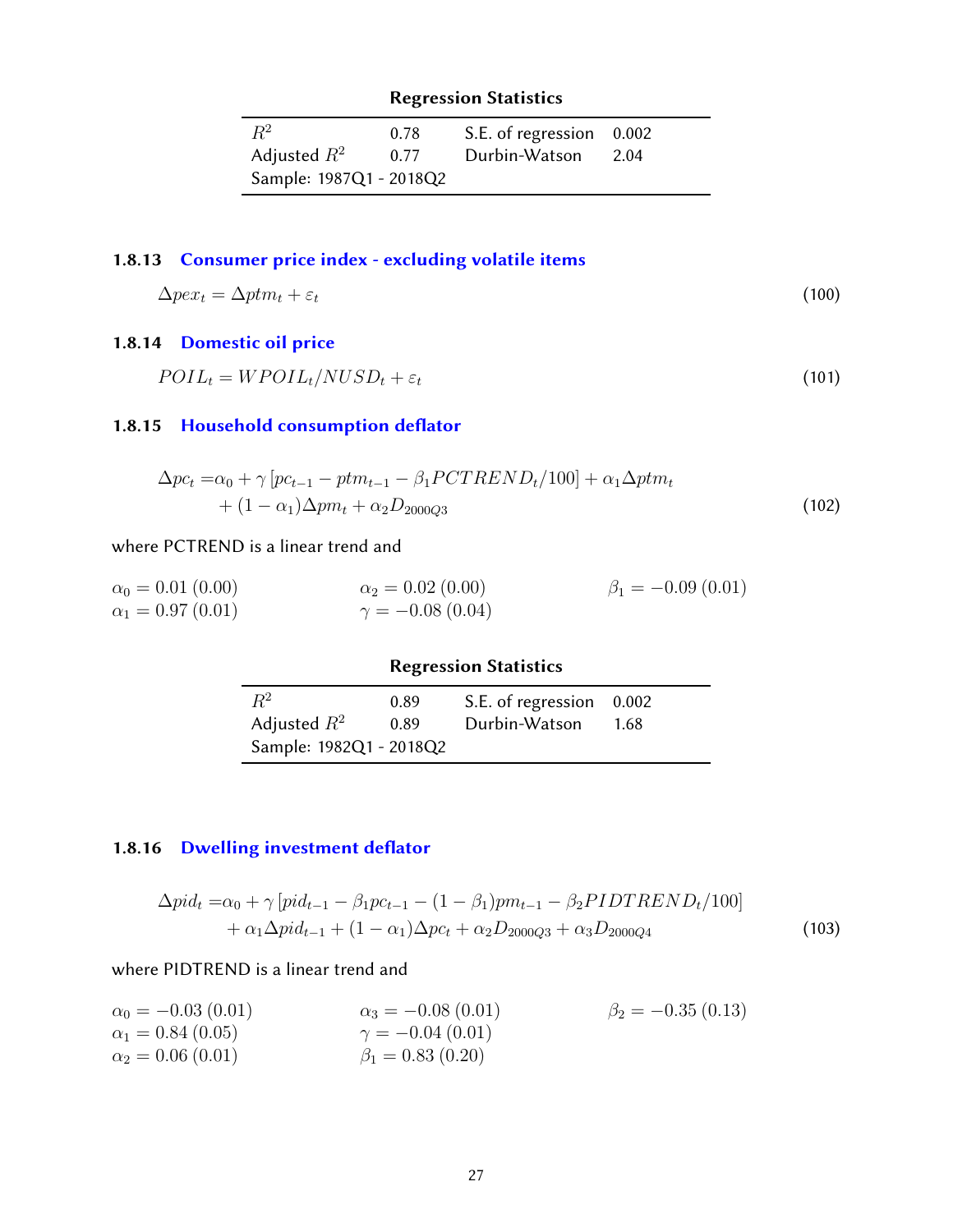| $R^2$                   | 0.78 | S.E. of regression 0.002 |      |
|-------------------------|------|--------------------------|------|
| Adjusted $R^2$          | 0.77 | Durbin-Watson            | 2.04 |
| Sample: 1987Q1 - 2018Q2 |      |                          |      |

# 1.8.13 [Consumer price index - excluding volatile items](#page-38-0)

$$
\Delta p e x_t = \Delta p t m_t + \varepsilon_t \tag{100}
$$

### <span id="page-26-0"></span>1.8.14 [Domestic oil price](#page-38-0)

$$
POL_t = WPOL_t / NUSD_t + \varepsilon_t \tag{101}
$$

# <span id="page-26-1"></span>1.8.15 Household consumption deflator

$$
\Delta pc_t = \alpha_0 + \gamma [pc_{t-1} - ptm_{t-1} - \beta_1 PCTREND_t/100] + \alpha_1 \Delta ptm_t + (1 - \alpha_1)\Delta pm_t + \alpha_2 D_{2000Q3}
$$
\n(102)

#### where PCTREND is a linear trend and

| $\alpha_0 = 0.01(0.00)$ | $\alpha_2 = 0.02$ (0.00) | $\beta_1 = -0.09(0.01)$ |
|-------------------------|--------------------------|-------------------------|
| $\alpha_1 = 0.97(0.01)$ | $\gamma = -0.08(0.04)$   |                         |

|                         |              | <b>Regression Statistics</b>              |      |
|-------------------------|--------------|-------------------------------------------|------|
| $R^2$<br>Adjusted $R^2$ | 0.89<br>0.89 | S.E. of regression 0.002<br>Durbin-Watson | 1.68 |
| Sample: 1982Q1 - 2018Q2 |              |                                           |      |

### <span id="page-26-2"></span>1.8.16 Dwelling investment deflator

$$
\Delta pid_t = \alpha_0 + \gamma [pid_{t-1} - \beta_1 pc_{t-1} - (1 - \beta_1)pm_{t-1} - \beta_2 PIDTREND_t/100] + \alpha_1 \Delta pid_{t-1} + (1 - \alpha_1) \Delta pc_t + \alpha_2 D_{2000Q3} + \alpha_3 D_{2000Q4}
$$
\n(103)

### where PIDTREND is a linear trend and

<span id="page-26-3"></span>

| $\alpha_0 = -0.03$ (0.01) | $\alpha_3 = -0.08(0.01)$ | $\beta_2 = -0.35(0.13)$ |
|---------------------------|--------------------------|-------------------------|
| $\alpha_1 = 0.84\ (0.05)$ | $\gamma = -0.04(0.01)$   |                         |
| $\alpha_2 = 0.06(0.01)$   | $\beta_1 = 0.83$ (0.20)  |                         |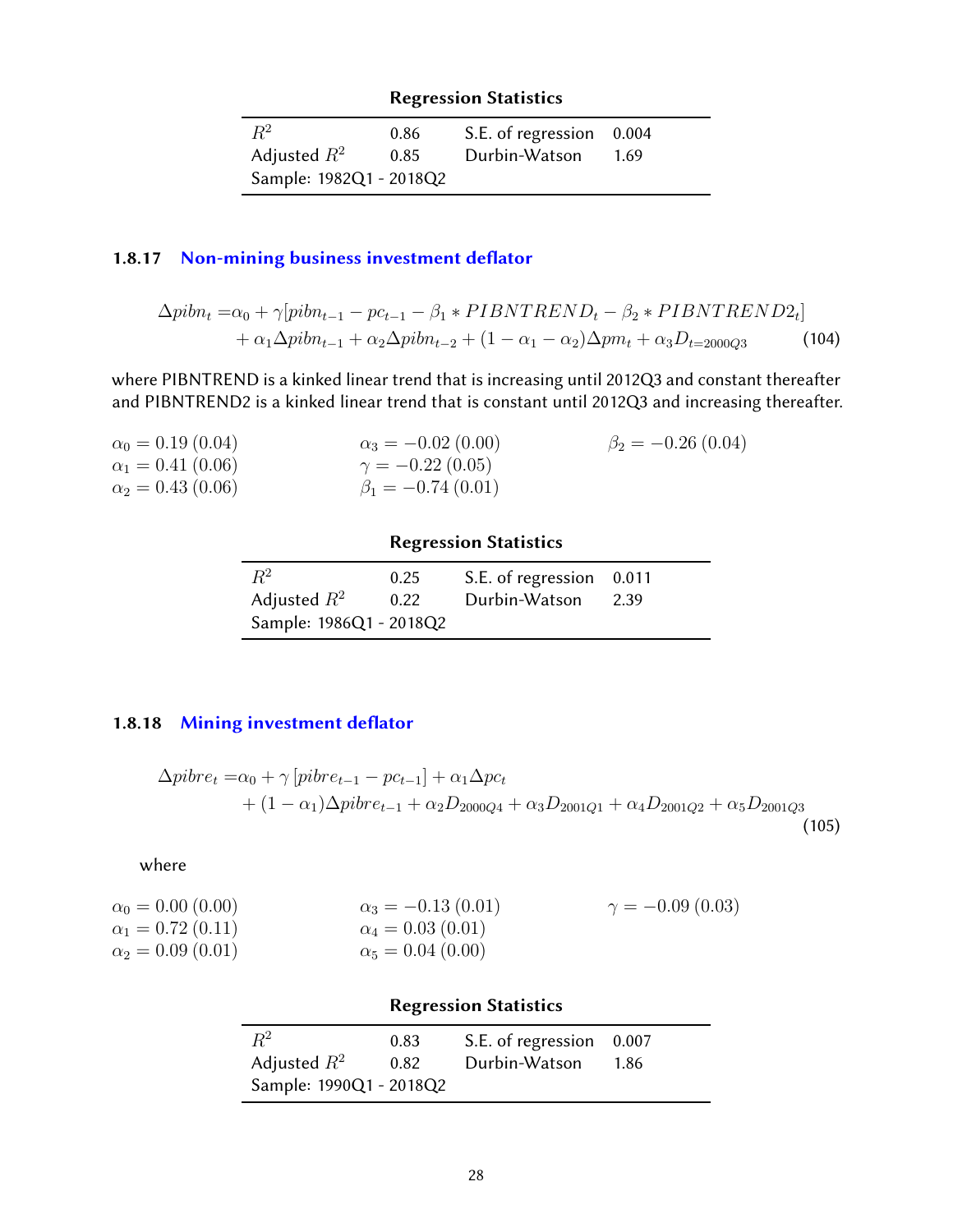| $R^2$                   | 0.86 | S.E. of regression 0.004 |      |
|-------------------------|------|--------------------------|------|
| Adjusted $R^2$          | 0.85 | Durbin-Watson            | 1.69 |
| Sample: 1982Q1 - 2018Q2 |      |                          |      |

### 1.8.17 Non-mining business investment deflator

$$
\Delta pibn_t = \alpha_0 + \gamma[pibn_{t-1} - pc_{t-1} - \beta_1 * PIBNTREND_t - \beta_2 * PIBNTREND2_t]
$$
  
+ 
$$
\alpha_1 \Delta pibn_{t-1} + \alpha_2 \Delta pibn_{t-2} + (1 - \alpha_1 - \alpha_2) \Delta pm_t + \alpha_3 D_{t=2000Q3}
$$
(104)

where PIBNTREND is a kinked linear trend that is increasing until 2012Q3 and constant thereafter and PIBNTREND2 is a kinked linear trend that is constant until 2012Q3 and increasing thereafter.

| $\alpha_0 = 0.19$ (0.04) | $\alpha_3 = -0.02$ (0.00) | $\beta_2 = -0.26(0.04)$ |
|--------------------------|---------------------------|-------------------------|
| $\alpha_1 = 0.41(0.06)$  | $\gamma = -0.22(0.05)$    |                         |
| $\alpha_2 = 0.43(0.06)$  | $\beta_1 = -0.74(0.01)$   |                         |

### Regression Statistics

| $R^2$                   | 0.25 | S.E. of regression 0.011 |      |
|-------------------------|------|--------------------------|------|
| Adjusted $R^2$          | 0.22 | Durbin-Watson            | 2.39 |
| Sample: 1986Q1 - 2018Q2 |      |                          |      |

### <span id="page-27-0"></span>1.8.18 Mining investment deflator

$$
\Delta pibre_t = \alpha_0 + \gamma [pibre_{t-1} - pc_{t-1}] + \alpha_1 \Delta pc_t + (1 - \alpha_1) \Delta pibre_{t-1} + \alpha_2 D_{2000Q4} + \alpha_3 D_{2001Q1} + \alpha_4 D_{2001Q2} + \alpha_5 D_{2001Q3}
$$
\n(105)

| $\alpha_0 = 0.00$ (0.00) | $\alpha_3 = -0.13(0.01)$ | $\gamma = -0.09(0.03)$ |
|--------------------------|--------------------------|------------------------|
| $\alpha_1 = 0.72(0.11)$  | $\alpha_4 = 0.03(0.01)$  |                        |
| $\alpha_2 = 0.09(0.01)$  | $\alpha_5 = 0.04(0.00)$  |                        |

<span id="page-27-1"></span>

|                         |      | <b>Regression Statistics</b> |      |
|-------------------------|------|------------------------------|------|
| $R^2$                   | 0.83 | S.E. of regression 0.007     |      |
| Adjusted $R^2$          | 0.82 | Durbin-Watson                | 1.86 |
| Sample: 1990Q1 - 2018Q2 |      |                              |      |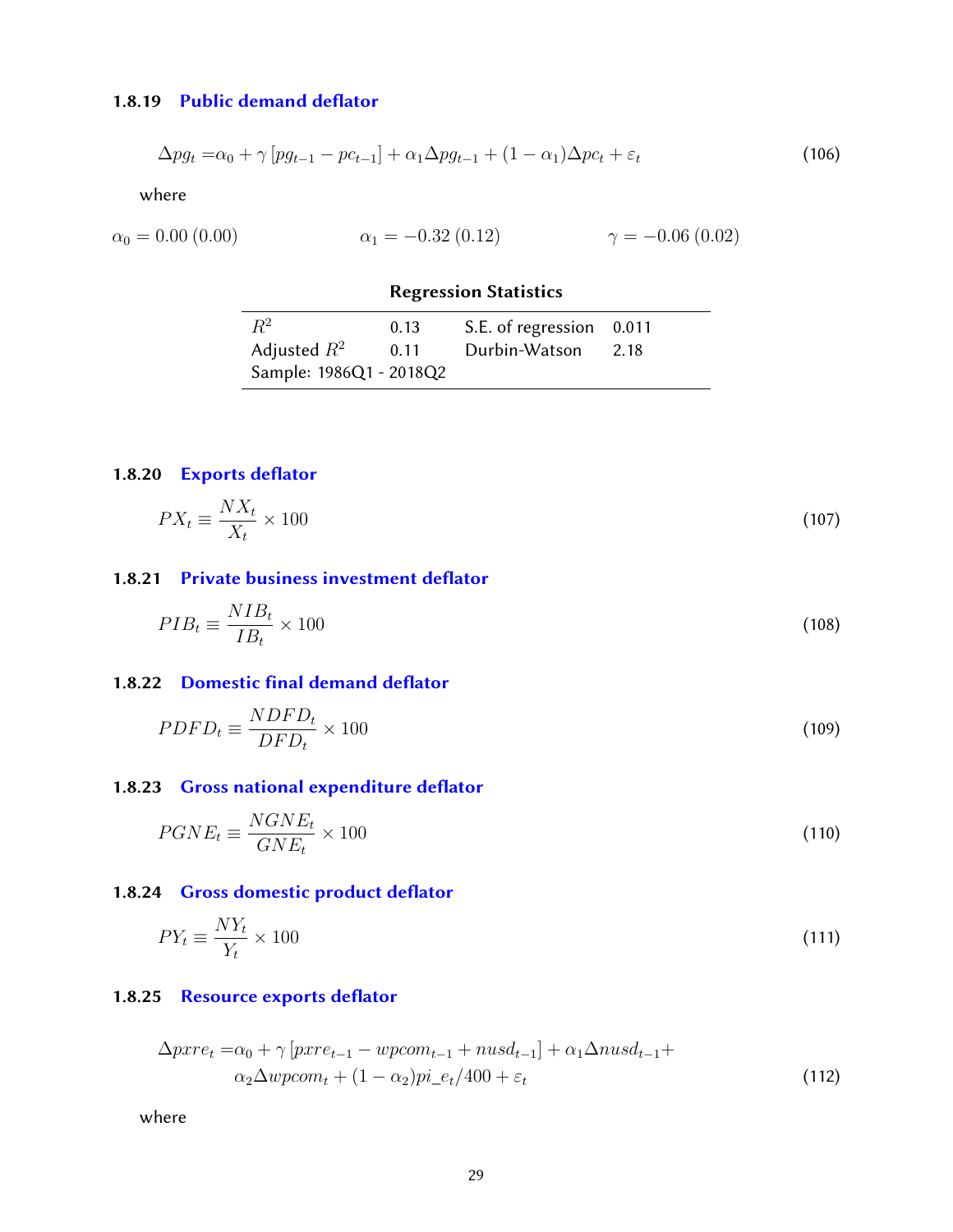#### 1.8.19 Public demand deflator

$$
\Delta p g_t = \alpha_0 + \gamma \left[ p g_{t-1} - p c_{t-1} \right] + \alpha_1 \Delta p g_{t-1} + (1 - \alpha_1) \Delta p c_t + \varepsilon_t \tag{106}
$$

where

$$
\alpha_0 = 0.00 \ (0.00) \qquad \alpha_1 = -0.32 \ (0.12) \qquad \gamma = -0.06 \ (0.02)
$$

### Regression Statistics

| $R^2$                   | 0.13 | S.E. of regression 0.011 |  |
|-------------------------|------|--------------------------|--|
| Adjusted $R^2$          | 0.11 | Durbin-Watson 2.18       |  |
| Sample: 1986Q1 - 2018Q2 |      |                          |  |

### <span id="page-28-0"></span>1.8.20 Exports deflator

$$
PX_t \equiv \frac{NX_t}{X_t} \times 100\tag{107}
$$

### <span id="page-28-1"></span>1.8.21 Private business investment deflator

$$
PIB_t \equiv \frac{NIB_t}{IB_t} \times 100\tag{108}
$$

### <span id="page-28-2"></span>1.8.22 Domestic final demand deflator

$$
PDFD_t \equiv \frac{NDFD_t}{DFD_t} \times 100\tag{109}
$$

### <span id="page-28-3"></span>1.8.23 Gross national expenditure deflator

$$
PGNE_t \equiv \frac{NGNE_t}{GNE_t} \times 100\tag{110}
$$

### <span id="page-28-4"></span>1.8.24 Gross domestic product deflator

$$
PY_t \equiv \frac{NY_t}{Y_t} \times 100\tag{111}
$$

### <span id="page-28-5"></span>1.8.25 Resource exports deflator

$$
\Delta pxre_t = \alpha_0 + \gamma \left[ pxre_{t-1} - wpcom_{t-1} + nusd_{t-1} \right] + \alpha_1 \Delta nusd_{t-1} +
$$
  
\n
$$
\alpha_2 \Delta wpcom_t + (1 - \alpha_2)pi_{e} + \epsilon_t \Delta nusd_{t-1} +
$$
\n(112)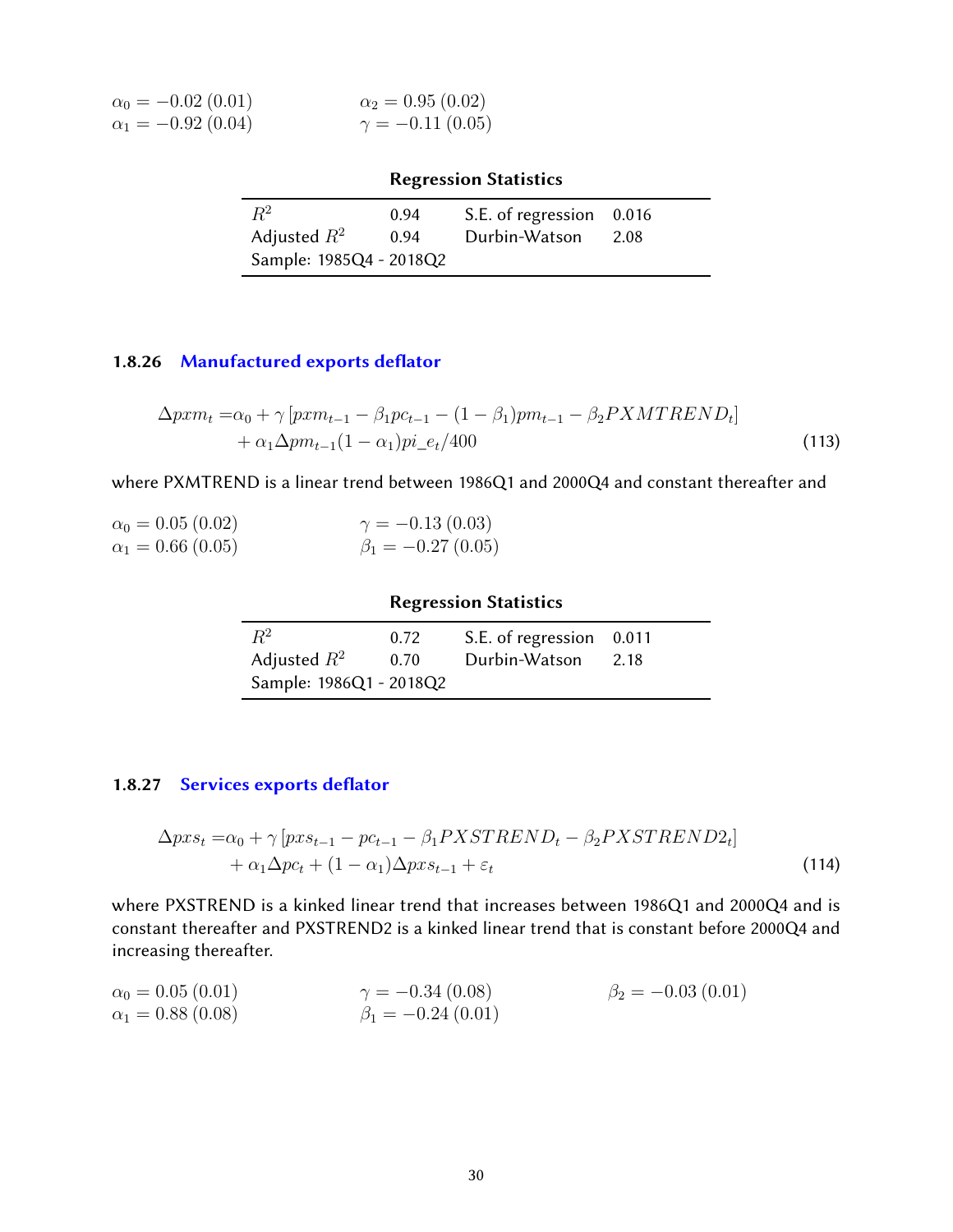| $\alpha_0 = -0.02$ (0.01)  | $\alpha_2 = 0.95(0.02)$ |
|----------------------------|-------------------------|
| $\alpha_1 = -0.92\ (0.04)$ | $\gamma = -0.11(0.05)$  |

|                         |      | <b>Regression Statistics</b> |      |
|-------------------------|------|------------------------------|------|
| $\,R^2$                 | 0.94 | S.E. of regression 0.016     |      |
| Adjusted $R^2$          | 0.94 | Durbin-Watson                | 2.08 |
| Sample: 1985Q4 - 2018Q2 |      |                              |      |

### <span id="page-29-0"></span>1.8.26 Manufactured exports deflator

$$
\Delta p x m_t = \alpha_0 + \gamma \left[ p x m_{t-1} - \beta_1 p c_{t-1} - (1 - \beta_1) p m_{t-1} - \beta_2 P X M T R E N D_t \right] + \alpha_1 \Delta p m_{t-1} (1 - \alpha_1) p i_e / 400
$$
\n(113)

where PXMTREND is a linear trend between 1986Q1 and 2000Q4 and constant thereafter and

| $\alpha_0 = 0.05$ (0.02) | $\gamma = -0.13(0.03)$   |
|--------------------------|--------------------------|
| $\alpha_1 = 0.66(0.05)$  | $\beta_1 = -0.27$ (0.05) |

### Regression Statistics

| $R^2$                   | 0.72 | S.E. of regression 0.011 |      |
|-------------------------|------|--------------------------|------|
| Adjusted $R^2$          | 0.70 | Durbin-Watson            | 2.18 |
| Sample: 1986Q1 - 2018Q2 |      |                          |      |

### <span id="page-29-1"></span>1.8.27 Services exports deflator

$$
\Delta pxs_t = \alpha_0 + \gamma [pxs_{t-1} - pc_{t-1} - \beta_1 PXSTREND_t - \beta_2 PXSTREND2_t]
$$
  
+ 
$$
\alpha_1 \Delta pc_t + (1 - \alpha_1) \Delta pxs_{t-1} + \varepsilon_t
$$
 (114)

where PXSTREND is a kinked linear trend that increases between 1986Q1 and 2000Q4 and is constant thereafter and PXSTREND2 is a kinked linear trend that is constant before 2000Q4 and increasing thereafter.

 $\alpha_0 = 0.05(0.01)$  $\alpha_0 = 0.05 (0.01)$ <br>  $\alpha_1 = 0.88 (0.08)$  $\gamma = -0.34(0.08)$  $\beta_1 = -0.24\ (0.01)$  $\beta_2 = -0.03(0.01)$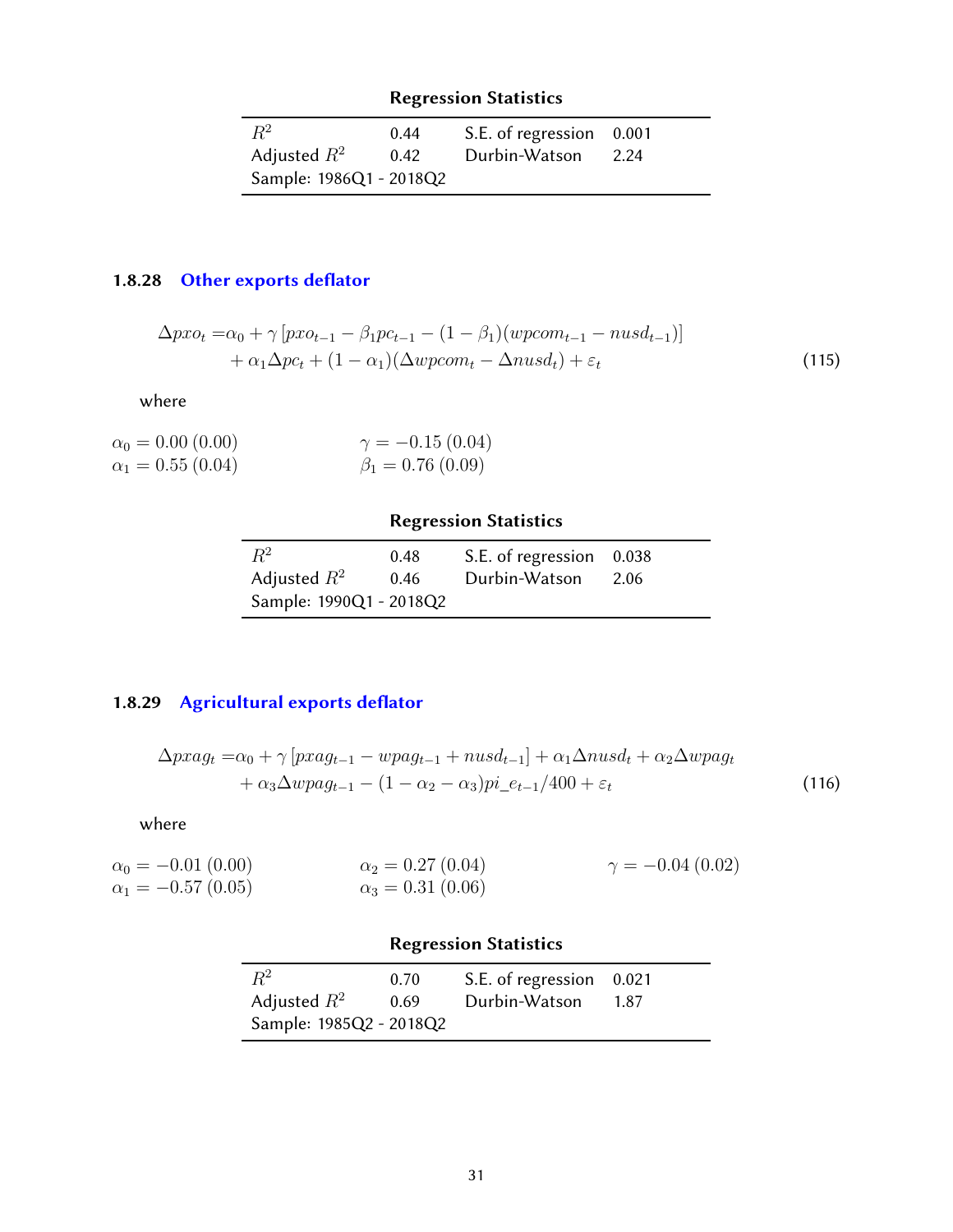| $R^2$                   | 0.44 | S.E. of regression 0.001 |      |
|-------------------------|------|--------------------------|------|
| Adjusted $R^2$          | 0.42 | Durbin-Watson            | 2.24 |
| Sample: 1986Q1 - 2018Q2 |      |                          |      |

# <span id="page-30-0"></span>1.8.28 Other exports deflator

$$
\Delta pxo_t = \alpha_0 + \gamma [pxo_{t-1} - \beta_1 pc_{t-1} - (1 - \beta_1)(wpcom_{t-1} - nusd_{t-1})]
$$
  
+ 
$$
\alpha_1 \Delta pc_t + (1 - \alpha_1)(\Delta wpcom_t - \Delta nusd_t) + \varepsilon_t
$$
 (115)

where

| $\alpha_0 = 0.00$ (0.00) | $\gamma = -0.15(0.04)$ |
|--------------------------|------------------------|
| $\alpha_1 = 0.55(0.04)$  | $\beta_1 = 0.76(0.09)$ |

# Regression Statistics

| $R^2$                   | 0.48 | S.E. of regression 0.038 |      |
|-------------------------|------|--------------------------|------|
| Adjusted $R^2$          | 0.46 | Durbin-Watson            | 2.06 |
| Sample: 1990Q1 - 2018Q2 |      |                          |      |

# <span id="page-30-1"></span>1.8.29 Agricultural exports deflator

$$
\Delta pxag_t = \alpha_0 + \gamma [pxag_{t-1} - wpag_{t-1} + nusd_{t-1}] + \alpha_1 \Delta nusd_t + \alpha_2 \Delta wpag_t + \alpha_3 \Delta w pag_{t-1} - (1 - \alpha_2 - \alpha_3)pi_{-}e_{t-1}/400 + \varepsilon_t
$$
\n(116)

where

| $\alpha_0 = -0.01(0.00)$ | $\alpha_2 = 0.27(0.04)$   | $\gamma = -0.04(0.02)$ |
|--------------------------|---------------------------|------------------------|
| $\alpha_1 = -0.57(0.05)$ | $\alpha_3 = 0.31\ (0.06)$ |                        |

# Regression Statistics

<span id="page-30-2"></span>

| $R^2$                   | 0.70 | S.E. of regression 0.021 |       |
|-------------------------|------|--------------------------|-------|
| Adjusted $R^2$          | 0.69 | Durbin-Watson            | -1.87 |
| Sample: 1985Q2 - 2018Q2 |      |                          |       |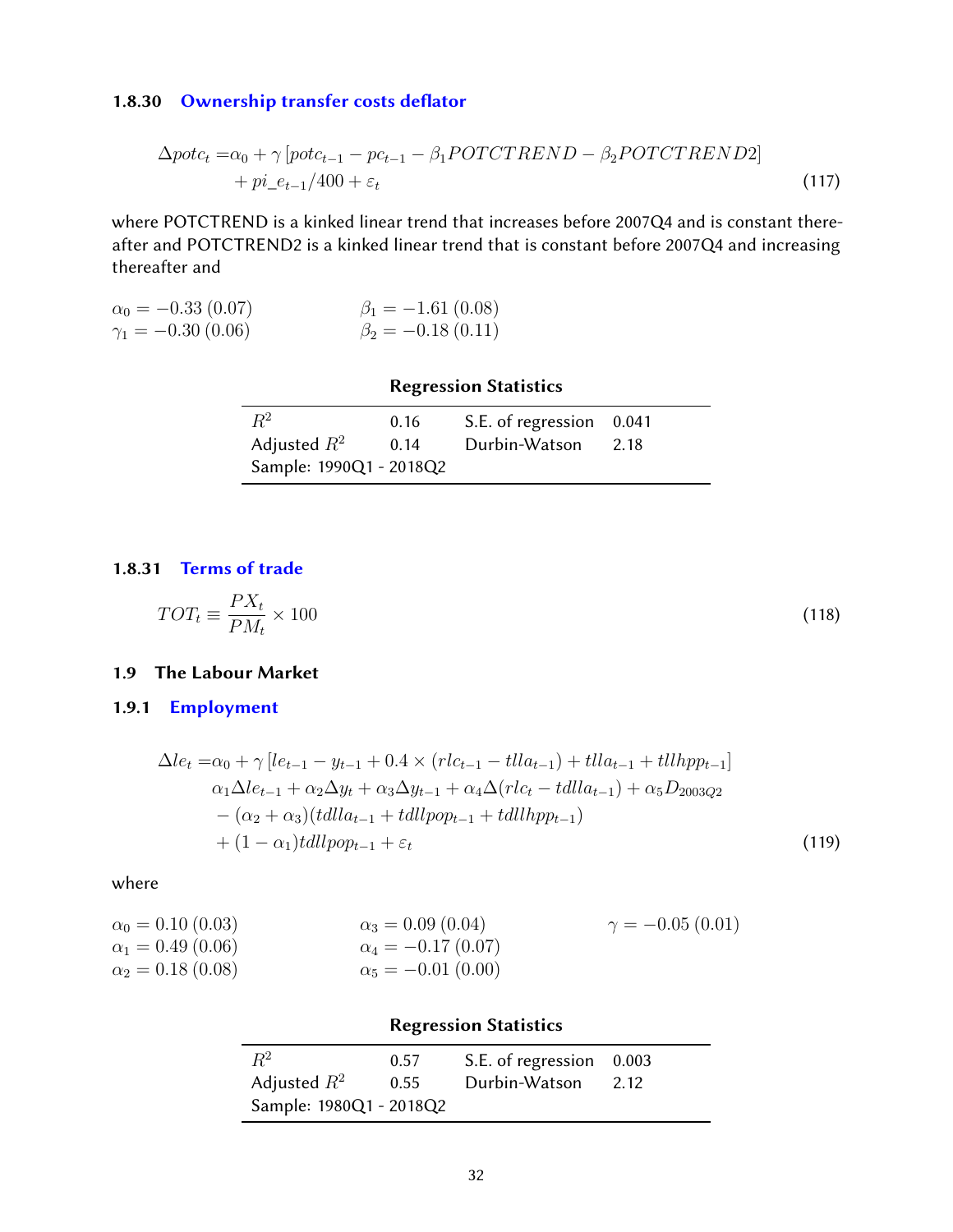### 1.8.30 Ownership transfer costs deflator

$$
\Delta pot c_t = \alpha_0 + \gamma \left[ pot c_{t-1} - p c_{t-1} - \beta_1 POTCTREND - \beta_2 POTCTREND2 \right] + pi_{et-1}/400 + \varepsilon_t
$$
\n(117)

where POTCTREND is a kinked linear trend that increases before 2007Q4 and is constant thereafter and POTCTREND2 is a kinked linear trend that is constant before 2007Q4 and increasing thereafter and

| $\alpha_0 = -0.33(0.07)$   | $\beta_1 = -1.61(0.08)$ |
|----------------------------|-------------------------|
| $\gamma_1 = -0.30\ (0.06)$ | $\beta_2 = -0.18(0.11)$ |

### Regression Statistics

| $R^2$                   | 0.16 | S.E. of regression 0.041 |      |
|-------------------------|------|--------------------------|------|
| Adjusted $R^2$          | 0.14 | Durbin-Watson            | 2.18 |
| Sample: 1990Q1 - 2018Q2 |      |                          |      |

### <span id="page-31-0"></span>1.8.31 [Terms of trade](#page-38-0)

$$
TOT_t \equiv \frac{PX_t}{PM_t} \times 100\tag{118}
$$

#### <span id="page-31-1"></span>1.9 The Labour Market

### <span id="page-31-2"></span>1.9.1 [Employment](#page-38-0)

$$
\Delta le_{t} = \alpha_{0} + \gamma \left[ le_{t-1} - y_{t-1} + 0.4 \times (rlc_{t-1} - tlla_{t-1}) + tlla_{t-1} + tllhpp_{t-1} \right]
$$
  
\n
$$
\alpha_{1} \Delta le_{t-1} + \alpha_{2} \Delta y_{t} + \alpha_{3} \Delta y_{t-1} + \alpha_{4} \Delta (rlc_{t} - tdlla_{t-1}) + \alpha_{5} D_{2003Q2}
$$
  
\n
$$
- (\alpha_{2} + \alpha_{3}) (tdlla_{t-1} + tdllpop_{t-1} + tdllhpp_{t-1})
$$
  
\n
$$
+ (1 - \alpha_{1}) tdllpop_{t-1} + \varepsilon_{t}
$$
\n(119)

where

| $\alpha_0 = 0.10 (0.03)$ | $\alpha_3 = 0.09$ (0.04)  | $\gamma = -0.05(0.01)$ |
|--------------------------|---------------------------|------------------------|
| $\alpha_1 = 0.49(0.06)$  | $\alpha_4 = -0.17$ (0.07) |                        |
| $\alpha_2 = 0.18(0.08)$  | $\alpha_5 = -0.01(0.00)$  |                        |

#### Regression Statistics

| $R^2$                   | 0.57 | S.E. of regression 0.003 | 2.12 |
|-------------------------|------|--------------------------|------|
| Adjusted $R^2$          | 0.55 | Durbin-Watson            |      |
| Sample: 1980Q1 - 2018Q2 |      |                          |      |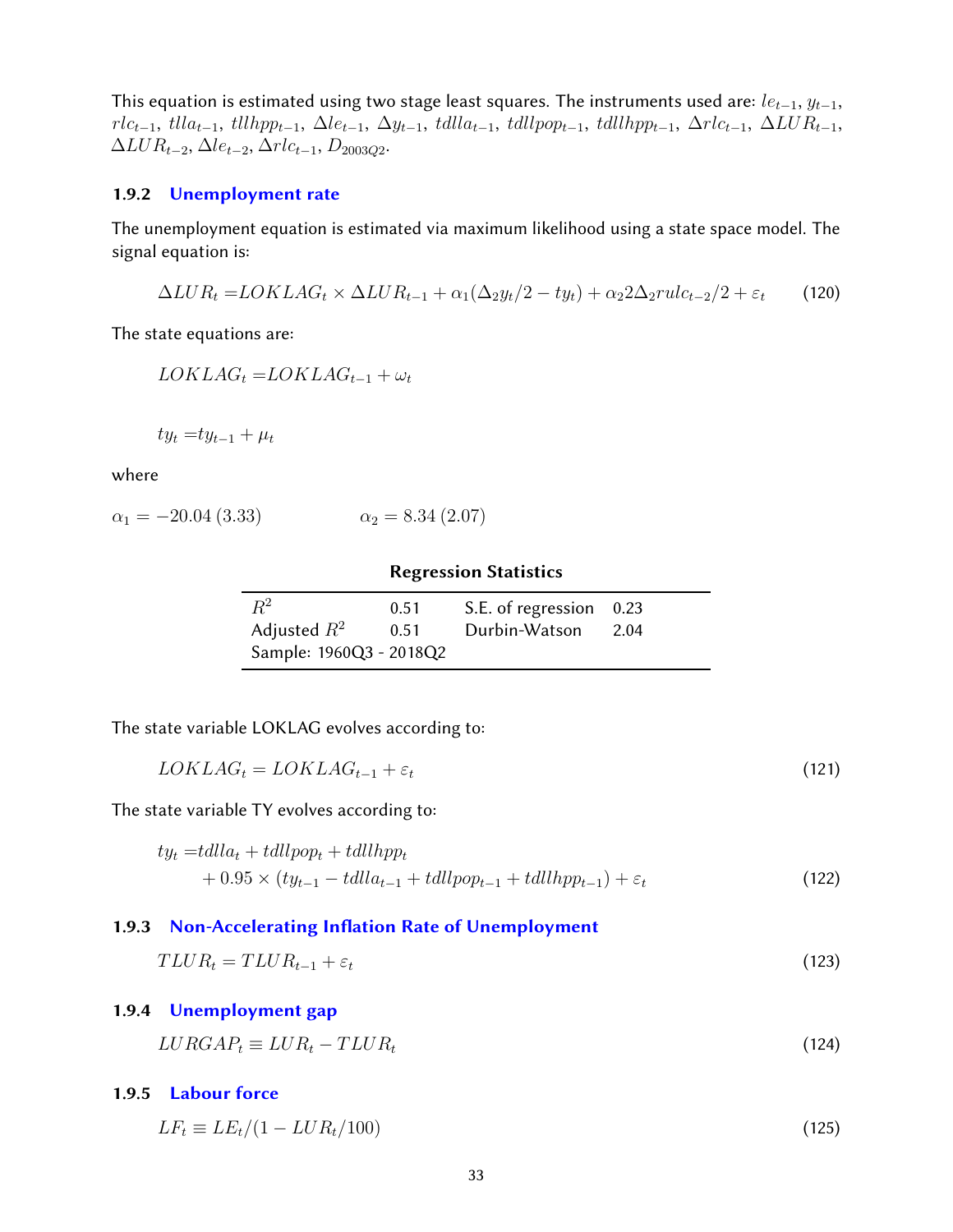This equation is estimated using two stage least squares. The instruments used are:  $le_{t-1}$ ,  $y_{t-1}$ ,  $rlc_{t-1}$ , tll $la_{t-1}$ , tllhpp<sub>t−1</sub>,  $\Delta le_{t-1}$ ,  $\Delta y_{t-1}$ , tdll $cap_{t-1}$ , tdllhpp<sub>t−1</sub>,  $\Delta rlc_{t-1}$ ,  $\Delta LUR_{t-1}$ ,  $\Delta LUR_{t-2}, \Delta le_{t-2}, \Delta rlc_{t-1}, D_{2003Q2}.$ 

#### <span id="page-32-0"></span>1.9.2 [Unemployment rate](#page-38-0)

The unemployment equation is estimated via maximum likelihood using a state space model. The signal equation is:

$$
\Delta LUR_t = LOKLAG_t \times \Delta LUR_{t-1} + \alpha_1(\Delta_2 y_t/2 - ty_t) + \alpha_2 2\Delta_2 rule_{t-2}/2 + \varepsilon_t
$$
 (120)

The state equations are:

 $LOKLAG_t = LOKLAG_{t-1} + \omega_t$ 

$$
ty_t = ty_{t-1} + \mu_t
$$

where

$$
\alpha_1 = -20.04 \ (3.33) \qquad \alpha_2 = 8.34 \ (2.07)
$$

#### <span id="page-32-6"></span><span id="page-32-5"></span>Regression Statistics

| $R^2$                   | 0.51 | S.E. of regression 0.23 |      |
|-------------------------|------|-------------------------|------|
| Adjusted $R^2$          | 0.51 | Durbin-Watson           | 2.04 |
| Sample: 1960Q3 - 2018Q2 |      |                         |      |

The state variable LOKLAG evolves according to:

$$
LOKLAG_t = LOKLAG_{t-1} + \varepsilon_t \tag{121}
$$

The state variable TY evolves according to:

$$
ty_{t} = tdlla_{t} + tdlpop_{t} + tdllpop_{t}
$$
  
+ 0.95 × ( $ty_{t-1}$  –  $tdlla_{t-1}$  +  $tdllpop_{t-1}$  +  $tdllupp_{t-1}$ ) +  $\varepsilon_{t}$  (122)

#### <span id="page-32-1"></span>1.9.3 Non-Accelerating Inflation Rate of Unemployment

$$
TLUR_t = TLUR_{t-1} + \varepsilon_t \tag{123}
$$

#### <span id="page-32-2"></span>1.9.4 [Unemployment gap](#page-38-0)

 $LURGAP_t \equiv LUR_t - T LUR_t$  (124)

<span id="page-32-3"></span>1.9.5 [Labour force](#page-38-0)

<span id="page-32-4"></span>
$$
LF_t \equiv LE_t/(1 - LUR_t/100) \tag{125}
$$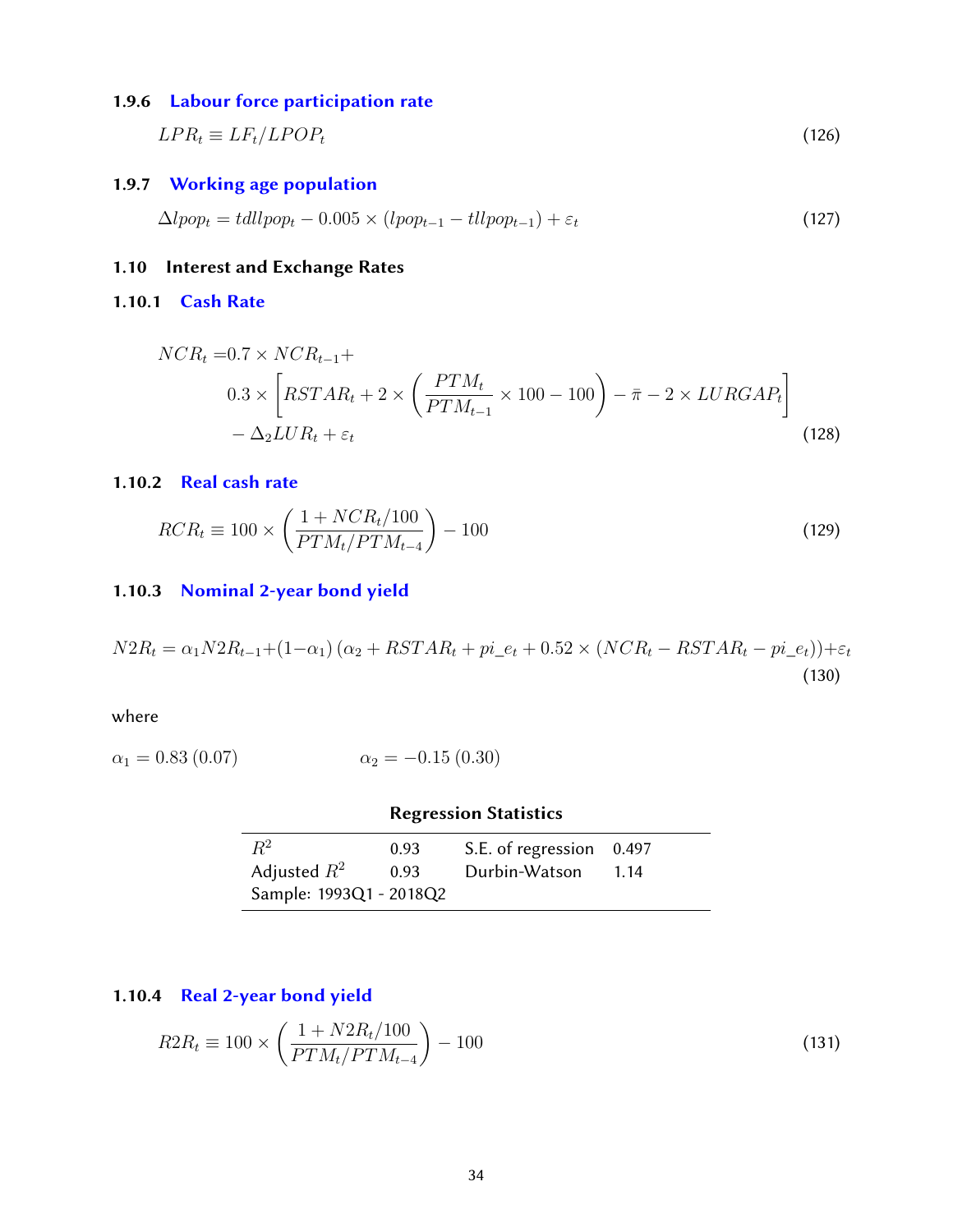### 1.9.6 [Labour force participation rate](#page-38-0)

$$
LPR_t \equiv LF_t / LPOP_t \tag{126}
$$

### <span id="page-33-0"></span>1.9.7 [Working age population](#page-38-0)

$$
\Delta l pop_t = tdl l pop_t - 0.005 \times (l pop_{t-1} - tll pop_{t-1}) + \varepsilon_t \tag{127}
$$

### <span id="page-33-1"></span>1.10 Interest and Exchange Rates

#### <span id="page-33-2"></span>1.10.1 [Cash Rate](#page-38-0)

$$
NCR_t = 0.7 \times NCR_{t-1} +
$$
  
\n
$$
0.3 \times \left[ RSTAR_t + 2 \times \left( \frac{PTM_t}{PTM_{t-1}} \times 100 - 100 \right) - \bar{\pi} - 2 \times LURGAP_t \right]
$$
  
\n
$$
- \Delta_2 LUR_t + \varepsilon_t
$$
\n(128)

#### <span id="page-33-3"></span>1.10.2 [Real cash rate](#page-38-0)

$$
RCR_t \equiv 100 \times \left(\frac{1 + NCR_t/100}{PTM_t/PTM_{t-4}}\right) - 100\tag{129}
$$

#### <span id="page-33-4"></span>1.10.3 [Nominal 2-year bond yield](#page-38-0)

 $N2R_t = \alpha_1 N2R_{t-1} + (1-\alpha_1)(\alpha_2 + RSTAR_t + pi_{e_t} + 0.52 \times (NCR_t - RSTAR_t - pi_{e_t})) + \varepsilon_t$ (130)

where

$$
\alpha_1 = 0.83 \ (0.07) \qquad \alpha_2 = -0.15 \ (0.30)
$$

|                         |      | <b>Regression Statistics</b> |      |
|-------------------------|------|------------------------------|------|
| $\mathbb{R}^2$          | 0.93 | S.E. of regression 0.497     |      |
| Adjusted $R^2$          | 0.93 | Durbin-Watson                | 1.14 |
| Sample: 1993Q1 - 2018Q2 |      |                              |      |

### <span id="page-33-5"></span>1.10.4 [Real 2-year bond yield](#page-38-0)

<span id="page-33-6"></span>
$$
R2R_t \equiv 100 \times \left(\frac{1 + N2R_t/100}{PTM_t/PTM_{t-4}}\right) - 100\tag{131}
$$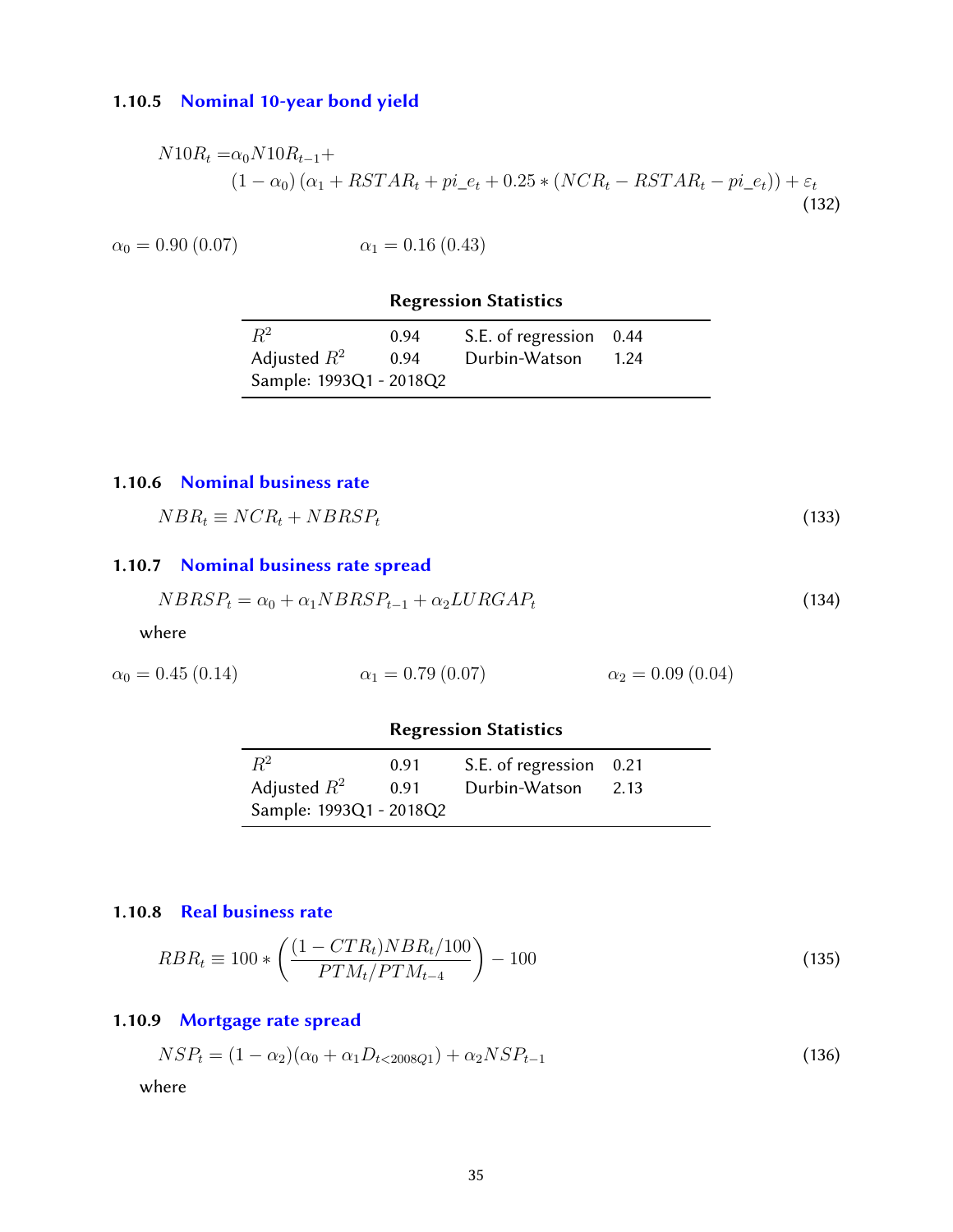### 1.10.5 [Nominal 10-year bond yield](#page-38-0)

$$
N10R_t = \alpha_0 N10R_{t-1} + (1 - \alpha_0)(\alpha_1 + RSTAR_t + pi_e + 0.25 * (NCR_t - RSTAR_t - pi_e)) + \varepsilon_t
$$
\n(132)

 $\alpha_0 = 0.90 (0.07)$   $\alpha_1 = 0.16 (0.43)$ 

### Regression Statistics

| $R^2$                   | 0.94 | S.E. of regression 0.44 |      |
|-------------------------|------|-------------------------|------|
| Adjusted $R^2$          | 0.94 | Durbin-Watson           | 1.24 |
| Sample: 1993Q1 - 2018Q2 |      |                         |      |

#### <span id="page-34-0"></span>1.10.6 [Nominal business rate](#page-38-0)

 $NBR_t \equiv NCR_t + NBRSP_t$  (133)

# <span id="page-34-1"></span>1.10.7 [Nominal business rate spread](#page-38-0)

$$
NBRSP_t = \alpha_0 + \alpha_1 NBRSP_{t-1} + \alpha_2 LURGAP_t \tag{134}
$$

where

$$
\alpha_0 = 0.45 (0.14) \qquad \alpha_1 = 0.79 (0.07) \qquad \alpha_2 = 0.09 (0.04)
$$

# Regression Statistics

| $R^2$                   | 0.91 | S.E. of regression 0.21 |      |
|-------------------------|------|-------------------------|------|
| Adjusted $R^2$          | 0.91 | Durbin-Watson           | 2.13 |
| Sample: 1993Q1 - 2018Q2 |      |                         |      |

#### <span id="page-34-2"></span>1.10.8 [Real business rate](#page-38-0)

$$
RBR_t \equiv 100 * \left(\frac{(1 - CTR_t)NBR_t/100}{PTM_t/PTM_{t-4}}\right) - 100\tag{135}
$$

# <span id="page-34-3"></span>1.10.9 [Mortgage rate spread](#page-38-0)

$$
NSP_t = (1 - \alpha_2)(\alpha_0 + \alpha_1 D_{t < 2008Q1}) + \alpha_2 NSP_{t-1} \tag{136}
$$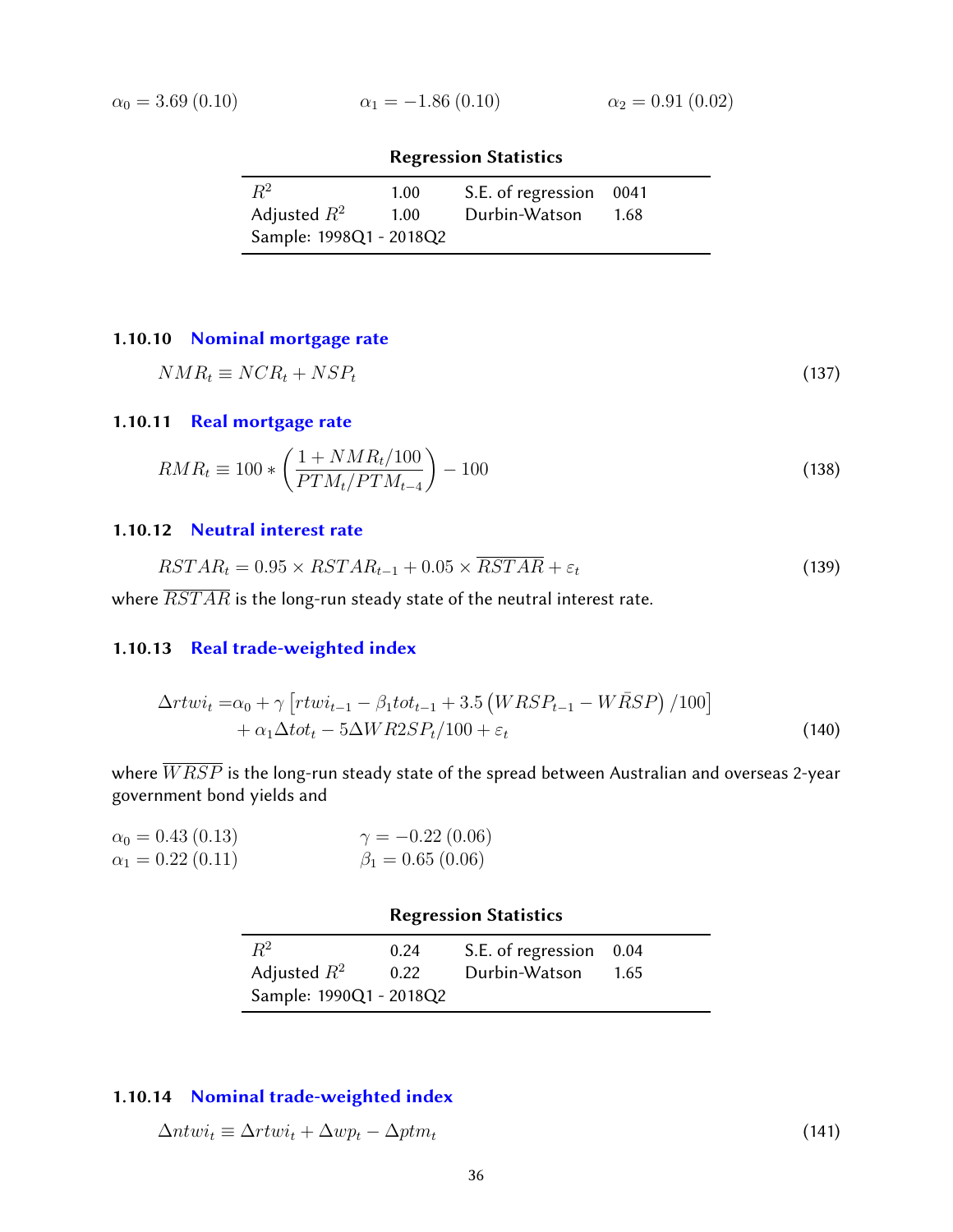$$
\alpha_0 = 3.69 \ (0.10)
$$

$$
\alpha_1 = -1.86 \ (0.10) \qquad \alpha_2 = 0.91 \ (0.02)
$$

| $R^2$                   | 1.00 | S.E. of regression 0041 |      |
|-------------------------|------|-------------------------|------|
| Adjusted $R^2$          | 1.00 | Durbin-Watson           | 1.68 |
| Sample: 1998Q1 - 2018Q2 |      |                         |      |

# <span id="page-35-0"></span>1.10.10 [Nominal mortgage rate](#page-38-0)

$$
NMR_t \equiv NCR_t + NSP_t \tag{137}
$$

### <span id="page-35-1"></span>1.10.11 [Real mortgage rate](#page-38-0)

$$
RMR_t \equiv 100 * \left(\frac{1 + NMR_t/100}{PTM_t/PTM_{t-4}}\right) - 100\tag{138}
$$

#### <span id="page-35-2"></span>1.10.12 [Neutral interest rate](#page-38-0)

$$
RSTAR_t = 0.95 \times RSTAR_{t-1} + 0.05 \times \overline{RSTAR} + \varepsilon_t \tag{139}
$$

<span id="page-35-3"></span>where  $\overline{RSTAR}$  is the long-run steady state of the neutral interest rate.

### 1.10.13 [Real trade-weighted index](#page-38-0)

$$
\Delta rtwi_t = \alpha_0 + \gamma \left[ rtwi_{t-1} - \beta_1 tot_{t-1} + 3.5 \left( WRSP_{t-1} - W\bar{R}SP \right) / 100 \right] + \alpha_1 \Delta tot_t - 5\Delta WRSSP_t / 100 + \varepsilon_t
$$
\n(140)

where  $\overline{W R S P}$  is the long-run steady state of the spread between Australian and overseas 2-year government bond yields and

| $\alpha_0 = 0.43$ (0.13) | $\gamma = -0.22(0.06)$ |
|--------------------------|------------------------|
| $\alpha_1 = 0.22$ (0.11) | $\beta_1 = 0.65(0.06)$ |

### Regression Statistics

| $R^2$                   | 0.24 | S.E. of regression 0.04 |      |
|-------------------------|------|-------------------------|------|
| Adjusted $R^2$          | 0.22 | Durbin-Watson           | 1.65 |
| Sample: 1990Q1 - 2018Q2 |      |                         |      |

### <span id="page-35-4"></span>1.10.14 [Nominal trade-weighted index](#page-38-0)

<span id="page-35-5"></span>
$$
\Delta ntwi_t \equiv \Delta rtwi_t + \Delta wp_t - \Delta ptm_t \tag{141}
$$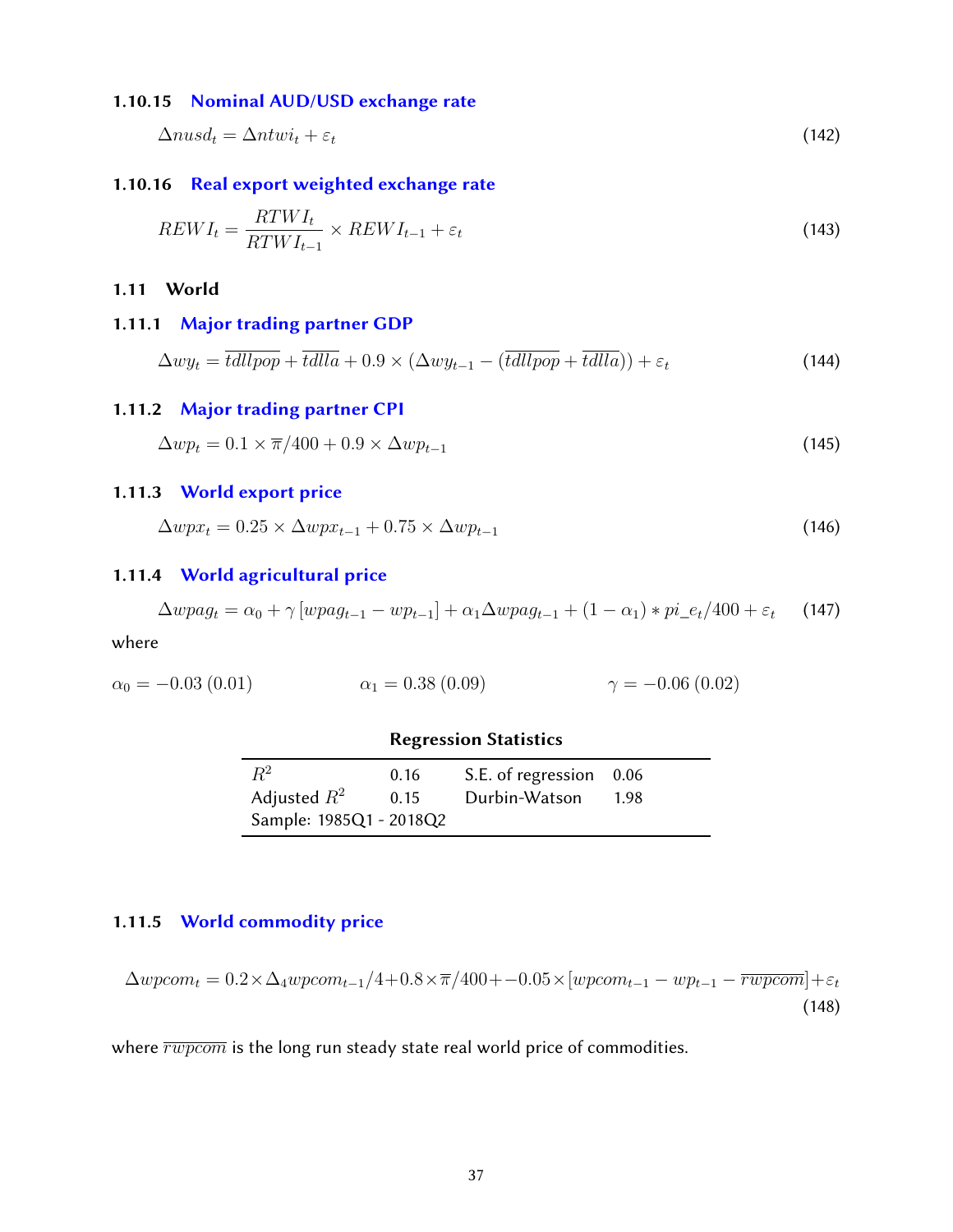#### 1.10.15 [Nominal AUD/USD exchange rate](#page-38-0)

$$
\Delta nus d_t = \Delta n t w i_t + \varepsilon_t \tag{142}
$$

### <span id="page-36-0"></span>1.10.16 [Real export weighted exchange rate](#page-38-0)

$$
REWI_t = \frac{RTWI_t}{RTWI_{t-1}} \times REWI_{t-1} + \varepsilon_t
$$
\n(143)

#### <span id="page-36-1"></span>1.11 World

#### <span id="page-36-2"></span>1.11.1 [Major trading partner GDP](#page-38-0)

$$
\Delta wy_t = \overline{tdlpop} + \overline{tdlla} + 0.9 \times (\Delta wy_{t-1} - (\overline{tdlpop} + \overline{tdlla})) + \varepsilon_t
$$
\n(144)

#### <span id="page-36-3"></span>1.11.2 [Major trading partner CPI](#page-38-0)

 $\Delta w p_t = 0.1 \times \bar{\pi}/400 + 0.9 \times \Delta w p_{t-1}$  (145)

#### <span id="page-36-4"></span>1.11.3 [World export price](#page-38-0)

 $\Delta wpx_t = 0.25 \times \Delta wpx_{t-1} + 0.75 \times \Delta wp_{t-1}$  (146)

### <span id="page-36-5"></span>1.11.4 [World agricultural price](#page-38-0)

$$
\Delta wpaq_t = \alpha_0 + \gamma [wpaq_{t-1} - wp_{t-1}] + \alpha_1 \Delta wpaq_{t-1} + (1 - \alpha_1) * pi_{e}e_t/400 + \varepsilon_t \tag{147}
$$

where

$$
\alpha_0 = -0.03 \ (0.01) \qquad \alpha_1 = 0.38 \ (0.09) \qquad \gamma = -0.06 \ (0.02)
$$

#### Regression Statistics

| $R^2$                   | 0.16 | S.E. of regression 0.06 |      |
|-------------------------|------|-------------------------|------|
| Adjusted $R^2$          | 0.15 | Durbin-Watson           | 1.98 |
| Sample: 1985Q1 - 2018Q2 |      |                         |      |

#### <span id="page-36-6"></span>1.11.5 [World commodity price](#page-38-0)

 $\Delta wpcom_t = 0.2 \times \Delta_4 wpcom_{t-1}/4 + 0.8 \times \overline{\pi}/400 + -0.05 \times [wpcom_{t-1} - wp_{t-1} - \overline{rwpcom}] + \varepsilon_t$ (148)

where  $\overline{rwpcom}$  is the long run steady state real world price of commodities.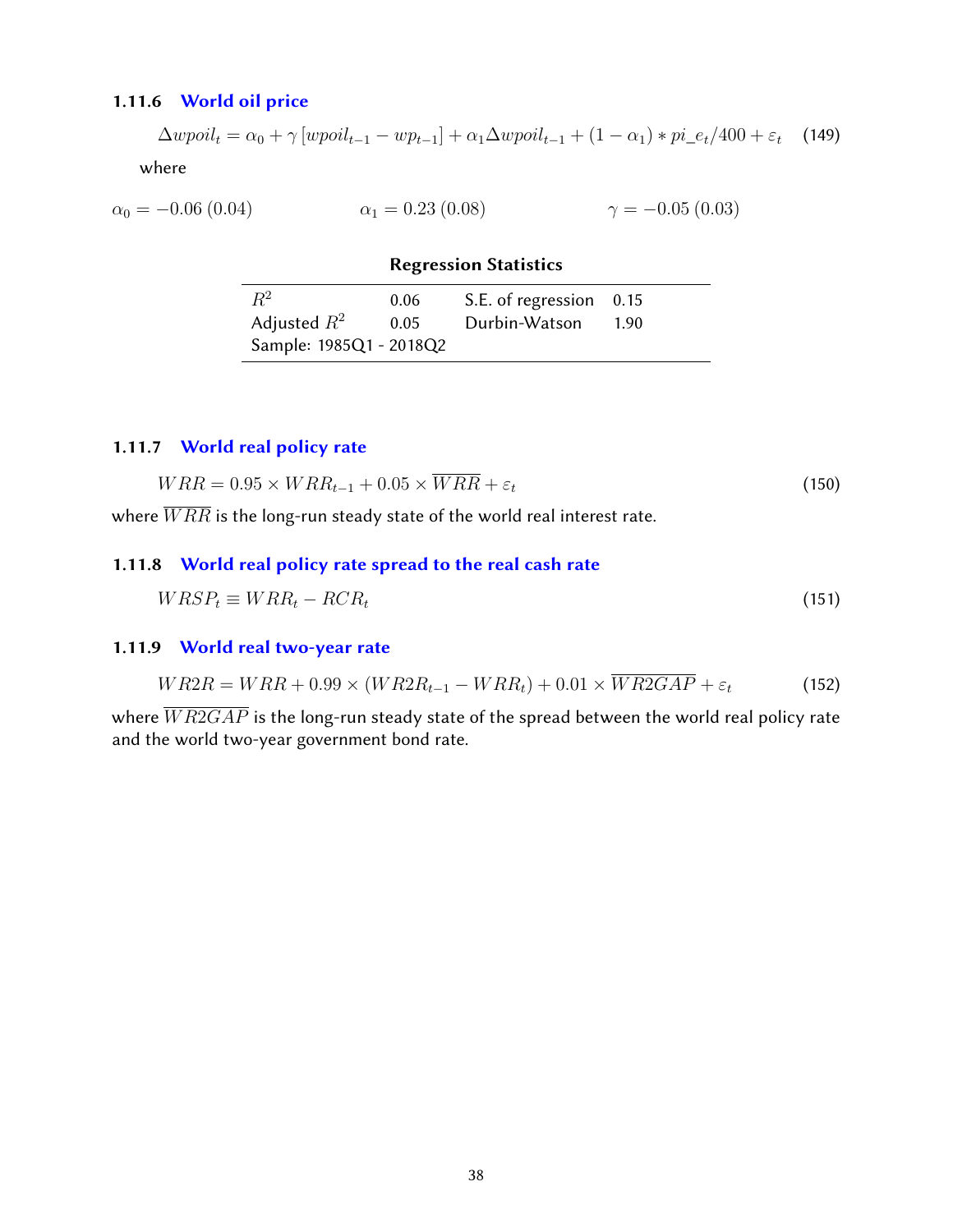### <span id="page-37-0"></span>1.11.6 [World oil price](#page-38-0)

 $\Delta w point_t = \alpha_0 + \gamma [w point_{t-1} - w p_{t-1}] + \alpha_1 \Delta w point_{t-1} + (1 - \alpha_1) * pi_{e}e_t/400 + \varepsilon_t$  (149) where

$$
\alpha_0 = -0.06 \ (0.04) \qquad \alpha_1 = 0.23 \ (0.08) \qquad \gamma = -0.05 \ (0.03)
$$

Regression Statistics

| $R^2$                   | 0.06 | S.E. of regression 0.15 |        |
|-------------------------|------|-------------------------|--------|
| Adjusted $R^2$          | 0.05 | Durbin-Watson           | - 1.90 |
| Sample: 1985Q1 - 2018Q2 |      |                         |        |

# <span id="page-37-1"></span>1.11.7 [World real policy rate](#page-38-0)

$$
WRR = 0.95 \times WRR_{t-1} + 0.05 \times \overline{WRR} + \varepsilon_t \tag{150}
$$

<span id="page-37-2"></span>where  $\overline{WRR}$  is the long-run steady state of the world real interest rate.

### 1.11.8 [World real policy rate spread to the real cash rate](#page-38-0)

$$
WRSP_t \equiv WRR_t - RCR_t \tag{151}
$$

### <span id="page-37-3"></span>1.11.9 [World real two-year rate](#page-38-0)

$$
WR2R = WRR + 0.99 \times (WR2R_{t-1} - WRR_t) + 0.01 \times \overline{WR2GAP} + \varepsilon_t
$$
\n(152)

where  $\overline{WR2GAP}$  is the long-run steady state of the spread between the world real policy rate and the world two-year government bond rate.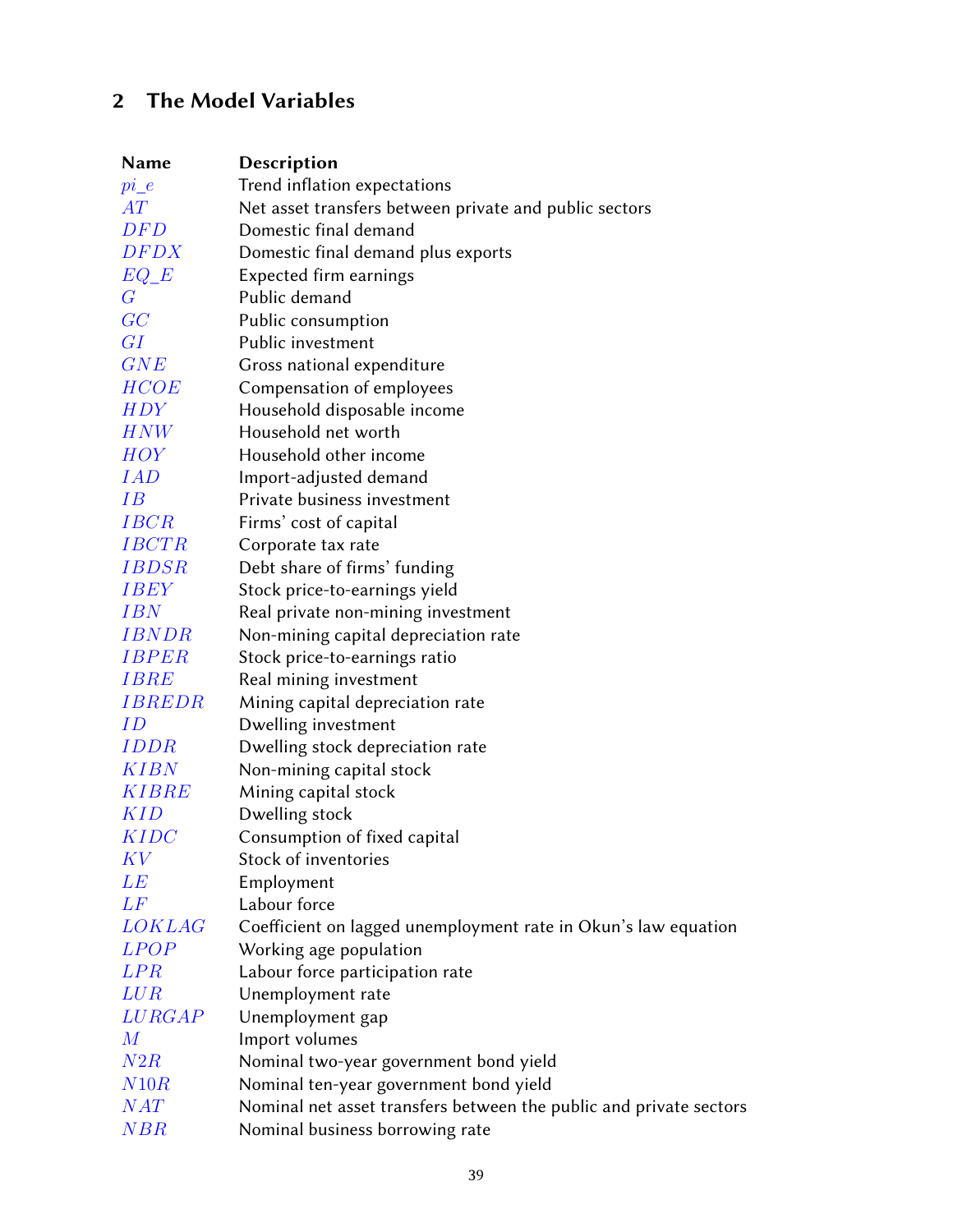# <span id="page-38-1"></span>2 The Model Variables

<span id="page-38-0"></span>

| Name                | Description                                                        |
|---------------------|--------------------------------------------------------------------|
| $pi_e$              | Trend inflation expectations                                       |
| AT                  | Net asset transfers between private and public sectors             |
| DFD                 | Domestic final demand                                              |
| DFDX                | Domestic final demand plus exports                                 |
| $EQ\_E$             | Expected firm earnings                                             |
| $G\$                | Public demand                                                      |
| GC                  | Public consumption                                                 |
| GI                  | Public investment                                                  |
| GNE                 | Gross national expenditure                                         |
| <i>HCOE</i>         | Compensation of employees                                          |
| <i>HDY</i>          | Household disposable income                                        |
| HNW                 | Household net worth                                                |
| HOY                 | Household other income                                             |
| <i>IAD</i>          | Import-adjusted demand                                             |
| IΒ                  | Private business investment                                        |
| <b>IBCR</b>         | Firms' cost of capital                                             |
| <b>IBCTR</b>        | Corporate tax rate                                                 |
| <i>IBDSR</i>        | Debt share of firms' funding                                       |
| <i>IBEY</i>         | Stock price-to-earnings yield                                      |
| IBN                 | Real private non-mining investment                                 |
| <i><b>IBNDR</b></i> | Non-mining capital depreciation rate                               |
| <i><b>IBPER</b></i> | Stock price-to-earnings ratio                                      |
| <i>IBRE</i>         | Real mining investment                                             |
| <i>IBREDR</i>       | Mining capital depreciation rate                                   |
| ID                  | Dwelling investment                                                |
| <i>IDDR</i>         | Dwelling stock depreciation rate                                   |
| KIBN                | Non-mining capital stock                                           |
| KIBRE               | Mining capital stock                                               |
| KID                 | Dwelling stock                                                     |
| KIDC                | Consumption of fixed capital                                       |
| K V                 | Stock of inventories                                               |
| LE                  | Employment                                                         |
| L F                 | Labour force                                                       |
| <i>LOKLAG</i>       | Coefficient on lagged unemployment rate in Okun's law equation     |
| <i>LPOP</i>         | Working age population                                             |
| <b>LPR</b>          | Labour force participation rate                                    |
| LUR                 | Unemployment rate                                                  |
| LURGAP              | Unemployment gap                                                   |
| $\,M_{\rm}$         | Import volumes                                                     |
| N2R                 | Nominal two-year government bond yield                             |
| N10R                | Nominal ten-year government bond yield                             |
| NAT                 | Nominal net asset transfers between the public and private sectors |
| NBR                 | Nominal business borrowing rate                                    |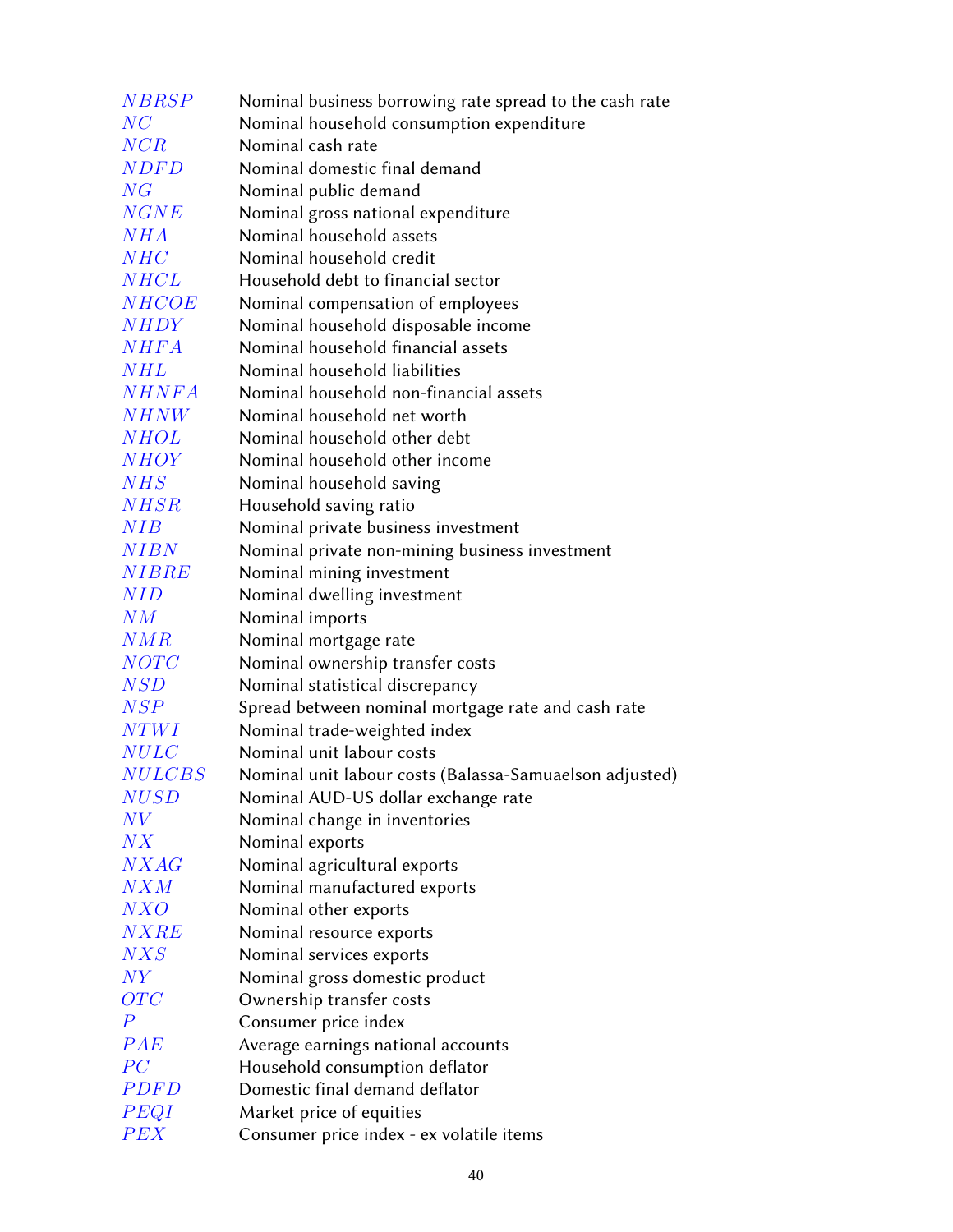| <b>NBRSP</b>                 | Nominal business borrowing rate spread to the cash rate                                        |
|------------------------------|------------------------------------------------------------------------------------------------|
| NC                           | Nominal household consumption expenditure                                                      |
| NCR                          | Nominal cash rate                                                                              |
| <b>NDFD</b>                  | Nominal domestic final demand                                                                  |
| NG                           | Nominal public demand                                                                          |
| NGNE                         | Nominal gross national expenditure                                                             |
| NHA                          | Nominal household assets                                                                       |
| NHC                          | Nominal household credit                                                                       |
| NHCL                         | Household debt to financial sector                                                             |
| <b>NHCOE</b>                 | Nominal compensation of employees                                                              |
| <b>NHDY</b>                  | Nominal household disposable income                                                            |
| <b>NHFA</b>                  | Nominal household financial assets                                                             |
| NHL                          | Nominal household liabilities                                                                  |
| <b>NHNFA</b>                 | Nominal household non-financial assets                                                         |
| <b>NHNW</b>                  | Nominal household net worth                                                                    |
| <b>NHOL</b>                  | Nominal household other debt                                                                   |
| <b>NHOY</b>                  | Nominal household other income                                                                 |
| NHS                          | Nominal household saving                                                                       |
| <b>NHSR</b>                  | Household saving ratio                                                                         |
| NIB                          | Nominal private business investment                                                            |
| <b>NIBN</b>                  | Nominal private non-mining business investment                                                 |
| <b>NIBRE</b>                 | Nominal mining investment                                                                      |
| <b>NID</b>                   | Nominal dwelling investment                                                                    |
| NM                           | Nominal imports                                                                                |
| NMR                          | Nominal mortgage rate                                                                          |
| <b>NOTC</b>                  | Nominal ownership transfer costs                                                               |
| NSD                          | Nominal statistical discrepancy                                                                |
| NSP                          | Spread between nominal mortgage rate and cash rate                                             |
| NTWI                         | Nominal trade-weighted index<br>Nominal unit labour costs                                      |
| <b>NULC</b><br><b>NULCBS</b> |                                                                                                |
| NUSD                         | Nominal unit labour costs (Balassa-Samuaelson adjusted)<br>Nominal AUD-US dollar exchange rate |
| N V                          | Nominal change in inventories                                                                  |
| N X                          | Nominal exports                                                                                |
| NXAG                         | Nominal agricultural exports                                                                   |
| N X M                        | Nominal manufactured exports                                                                   |
| NXO                          | Nominal other exports                                                                          |
| NXRE                         | Nominal resource exports                                                                       |
| NXS                          | Nominal services exports                                                                       |
| $\mathit{NY}$                | Nominal gross domestic product                                                                 |
| OTC                          | Ownership transfer costs                                                                       |
| $\overline{P}$               | Consumer price index                                                                           |
| PAE                          | Average earnings national accounts                                                             |
| PC                           | Household consumption deflator                                                                 |
| <i>PDFD</i>                  | Domestic final demand deflator                                                                 |
| PEQI                         | Market price of equities                                                                       |
| PEX                          | Consumer price index - ex volatile items                                                       |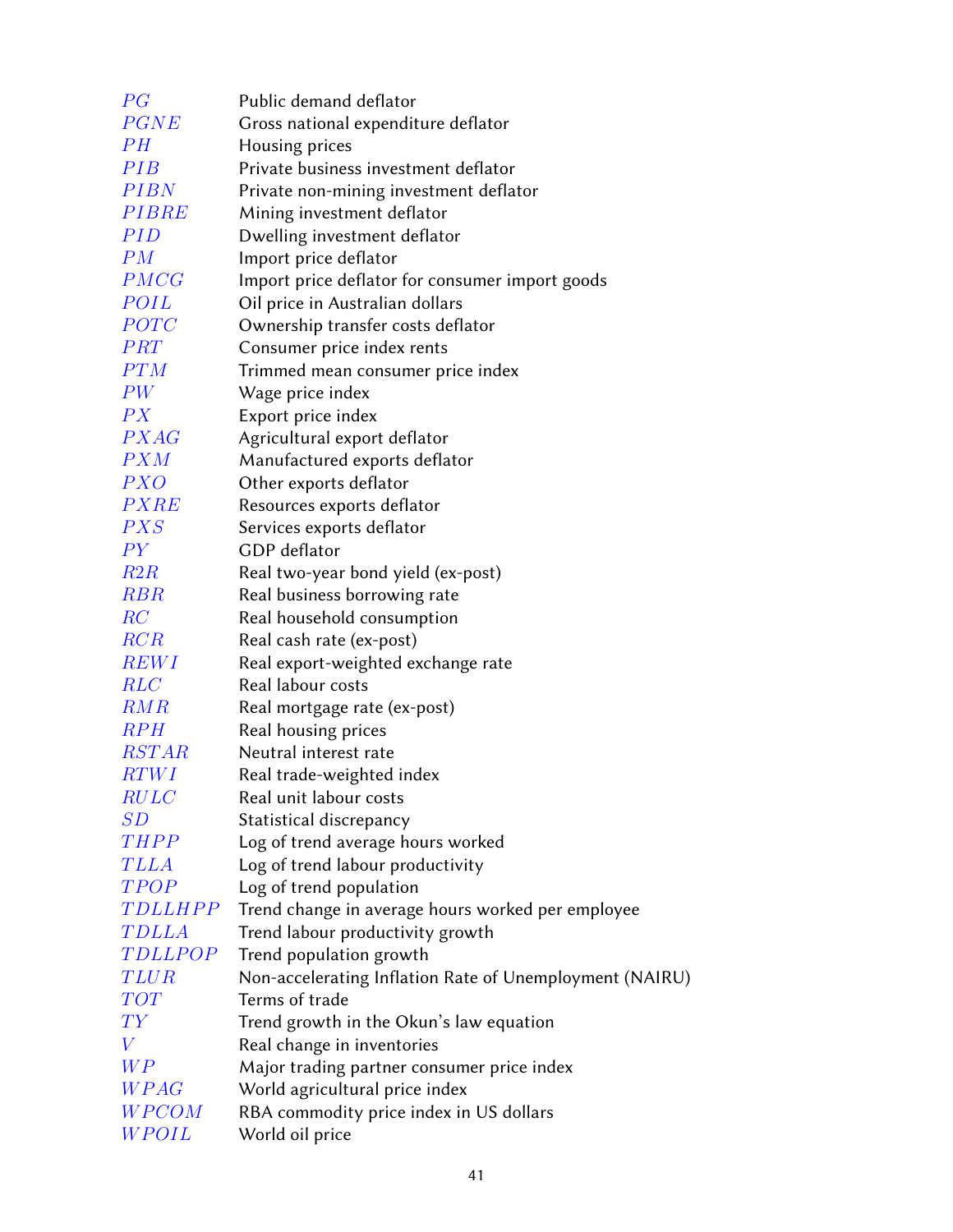| PG               | Public demand deflator                                       |
|------------------|--------------------------------------------------------------|
| <b>PGNE</b>      | Gross national expenditure deflator                          |
| PH               | Housing prices                                               |
| PIB              | Private business investment deflator                         |
| <b>PIBN</b>      | Private non-mining investment deflator                       |
| <b>PIBRE</b>     | Mining investment deflator                                   |
| <i>PID</i>       | Dwelling investment deflator                                 |
| PM               | Import price deflator                                        |
| PMCG             | Import price deflator for consumer import goods              |
| POIL             | Oil price in Australian dollars                              |
| <i>POTC</i>      | Ownership transfer costs deflator                            |
| PRT              | Consumer price index rents                                   |
| PTM              | Trimmed mean consumer price index                            |
| PW               | Wage price index                                             |
| PX               | Export price index                                           |
| <i>PXAG</i>      | Agricultural export deflator                                 |
| PXM              | Manufactured exports deflator                                |
| <b>PXO</b>       | Other exports deflator                                       |
| <b>PXRE</b>      | Resources exports deflator                                   |
| PXS              | Services exports deflator                                    |
| PY               | <b>GDP</b> deflator                                          |
| R2R              | Real two-year bond yield (ex-post)                           |
| RBR              | Real business borrowing rate                                 |
| RC               | Real household consumption                                   |
| RCR              | Real cash rate (ex-post)                                     |
| <b>REWI</b>      | Real export-weighted exchange rate                           |
| <b>RLC</b>       | Real labour costs                                            |
| RMR              | Real mortgage rate (ex-post)                                 |
| $R$ $PH$         | Real housing prices                                          |
| <b>RSTAR</b>     | Neutral interest rate                                        |
| RTWI             | Real trade-weighted index                                    |
| RULC<br>SD       | Real unit labour costs                                       |
| <b>THPP</b>      | Statistical discrepancy<br>Log of trend average hours worked |
| <b>TLLA</b>      | Log of trend labour productivity                             |
| TPOP             | Log of trend population                                      |
| <b>TDLLHPP</b>   | Trend change in average hours worked per employee            |
| <b>TDLLA</b>     | Trend labour productivity growth                             |
| <b>TDLLPOP</b>   | Trend population growth                                      |
| <i>TLUR</i>      | Non-accelerating Inflation Rate of Unemployment (NAIRU)      |
| TOT              | Terms of trade                                               |
| $\mathit{TY}$    | Trend growth in the Okun's law equation                      |
| $\boldsymbol{V}$ | Real change in inventories                                   |
| WP               | Major trading partner consumer price index                   |
| <b>WPAG</b>      | World agricultural price index                               |
| WPCOM            | RBA commodity price index in US dollars                      |
| WPOIL            | World oil price                                              |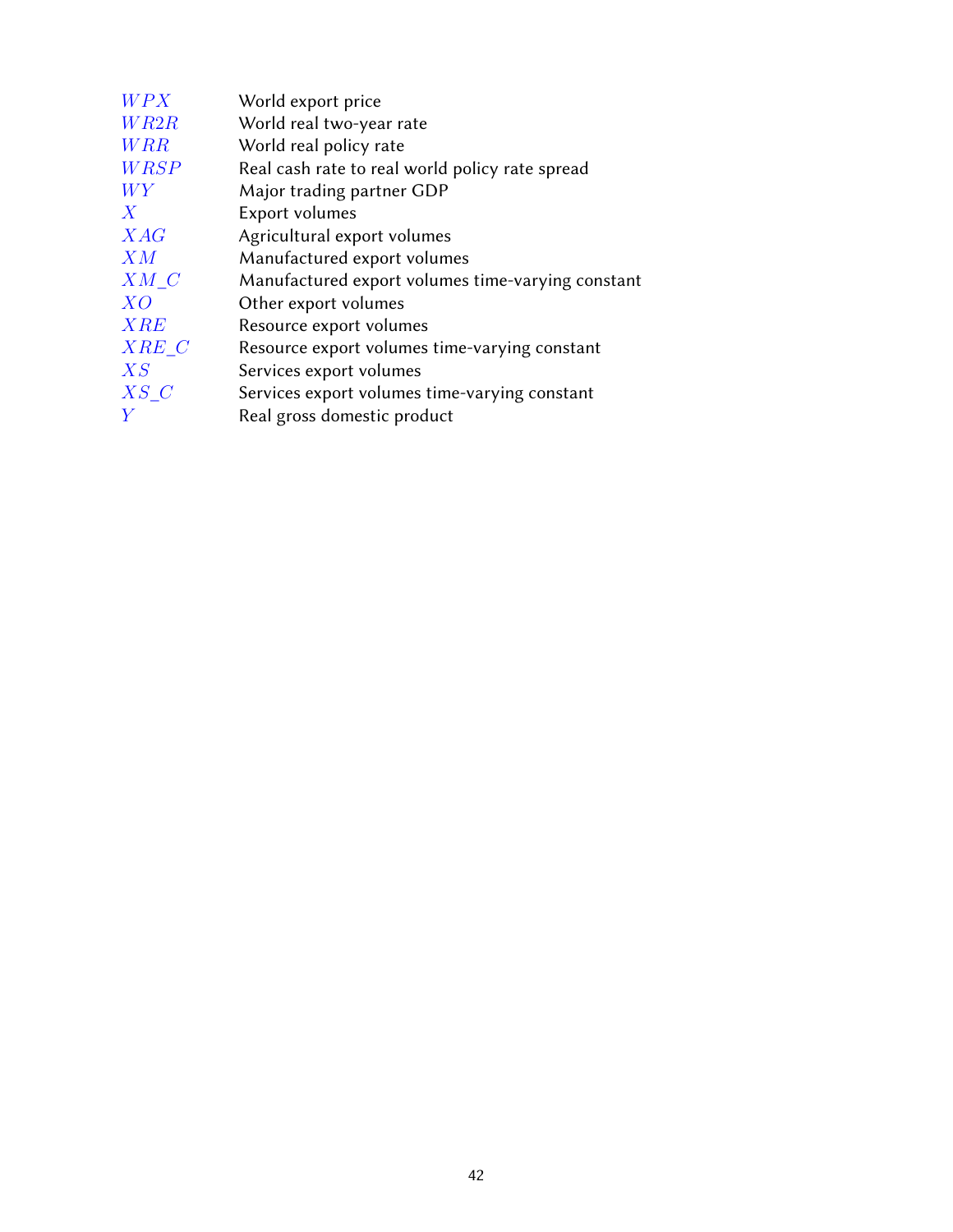| WPX              | World export price                                |
|------------------|---------------------------------------------------|
| WR2R             | World real two-year rate                          |
| <b>WRR</b>       | World real policy rate                            |
| <b>WRSP</b>      | Real cash rate to real world policy rate spread   |
| WY               | Major trading partner GDP                         |
| $\boldsymbol{X}$ | Export volumes                                    |
| XAG              | Agricultural export volumes                       |
| X M              | Manufactured export volumes                       |
| X M C            | Manufactured export volumes time-varying constant |
| XO               | Other export volumes                              |
| XRE              | Resource export volumes                           |
| XRE C            | Resource export volumes time-varying constant     |
| X S              | Services export volumes                           |
| $XS\ C$          | Services export volumes time-varying constant     |
| Y                | Real gross domestic product                       |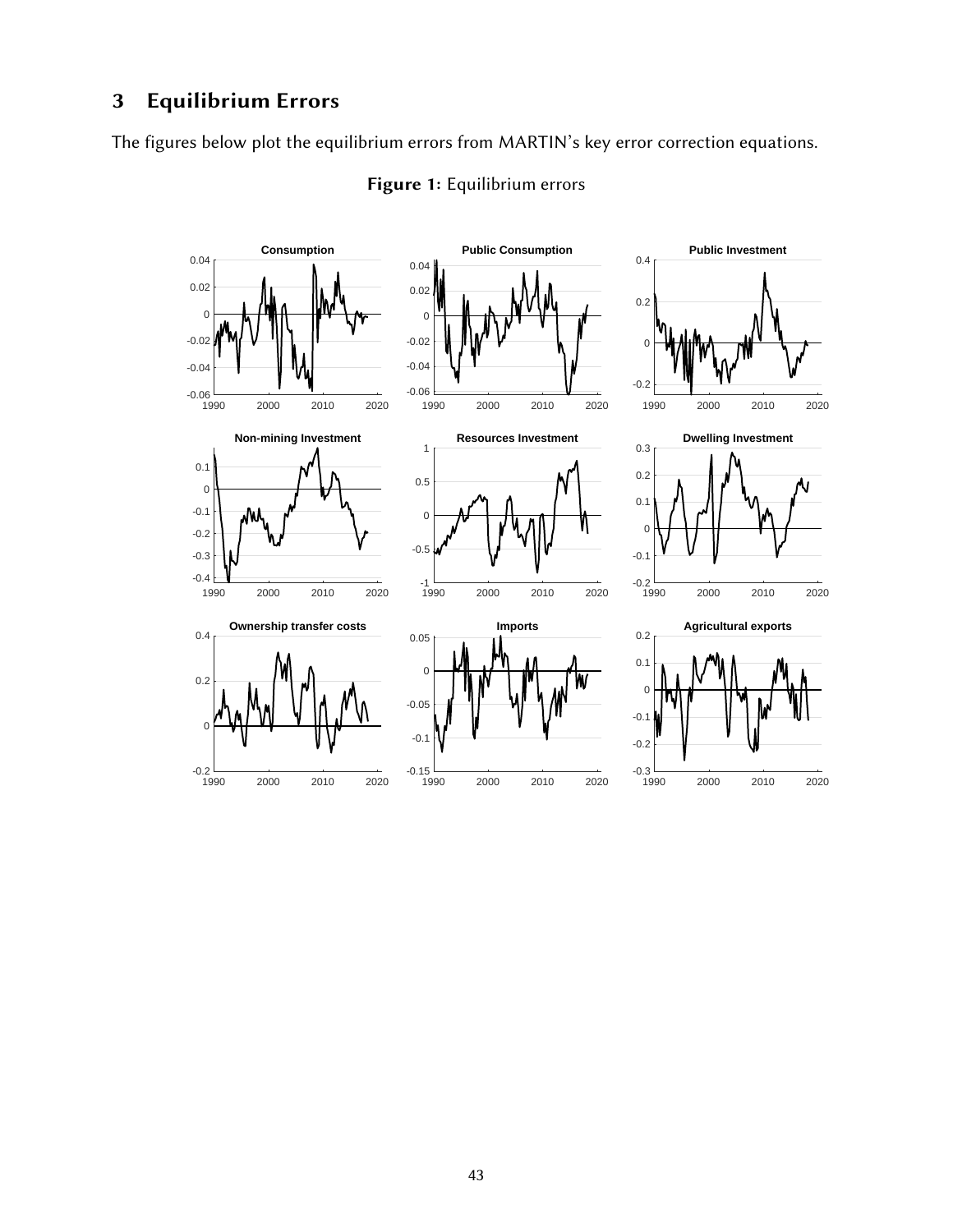# <span id="page-42-0"></span>3 Equilibrium Errors

The figures below plot the equilibrium errors from MARTIN's key error correction equations.



# Figure 1: Equilibrium errors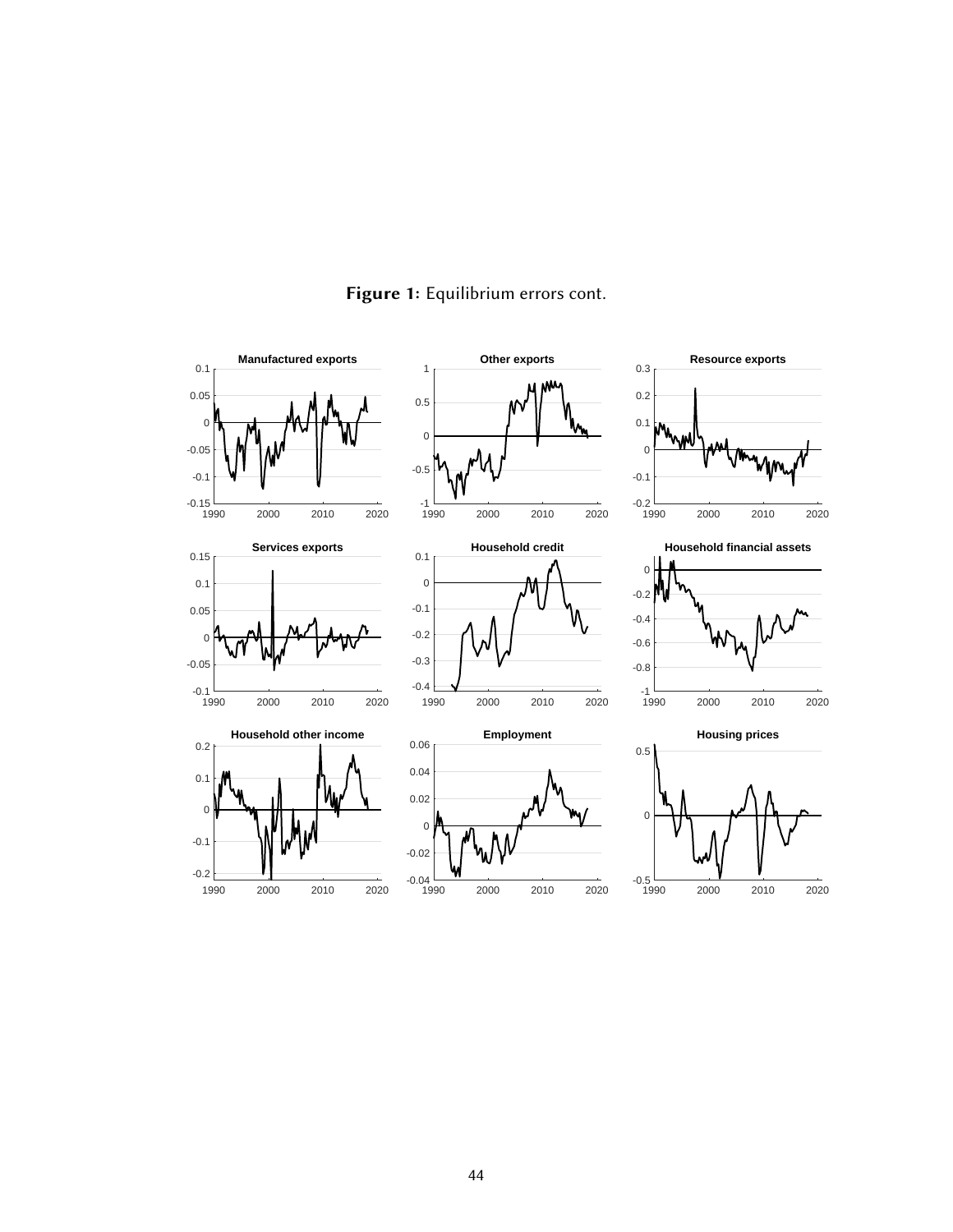

# Figure 1: Equilibrium errors cont.